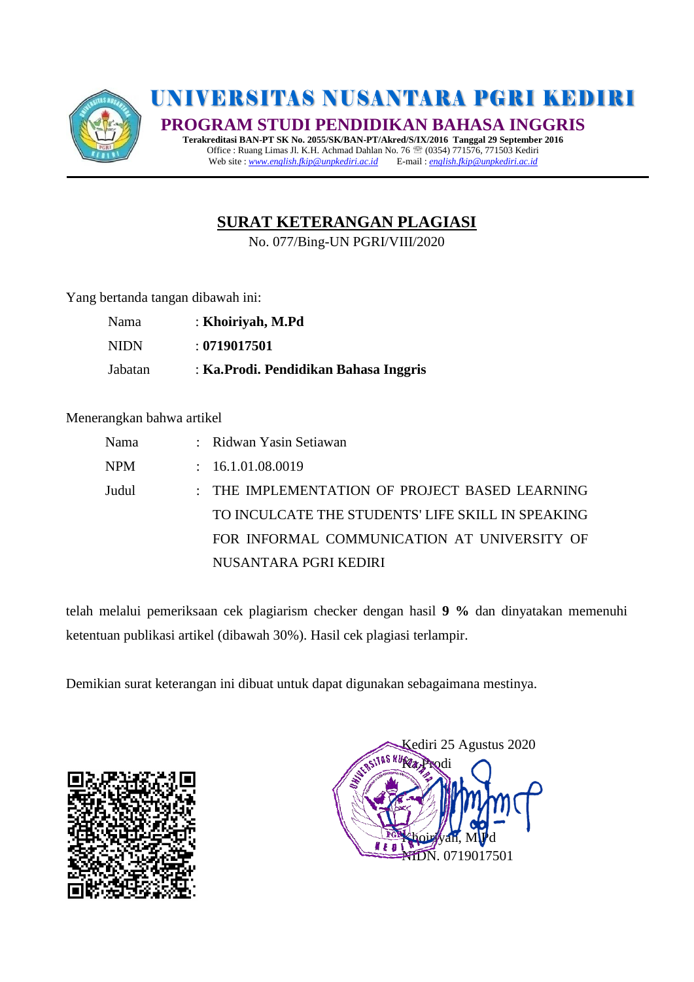

# UNIVERSITAS NUSANTARA PGRI KEDIRI

**PROGRAM STUDI PENDIDIKAN BAHASA INGGRIS**

**Terakreditasi BAN-PT SK No. 2055/SK/BAN-PT/Akred/S/IX/2016 Tanggal 29 September 2016** Office : Ruang Limas Jl. K.H. Achmad Dahlan No. 76  $^{\circ\circ}$  (0354) 771576, 771503 Kediri<br>Web site : www.english.fkip@unpkediri.ac.id E-mail : english.fkip@unpkediri.ac.id Web site : *[www.english.fkip@unpkediri.ac.id](http://www.english.fkip@unpkediri.ac.id)* E-mail : *[english.fkip@unpkediri.ac.id](mailto:english.fkip@unpkediri.ac.id)* 

# **SURAT KETERANGAN PLAGIASI**

No. 077/Bing-UN PGRI/VIII/2020

Yang bertanda tangan dibawah ini:

| Nama        | : Khoiriyah, M.Pd                      |
|-------------|----------------------------------------|
| <b>NIDN</b> | : 0719017501                           |
| Jabatan     | : Ka. Prodi. Pendidikan Bahasa Inggris |

#### Menerangkan bahwa artikel

| Nama  | : Ridwan Yasin Setiawan                           |
|-------|---------------------------------------------------|
| NPM   | : 16.1.01.08.0019                                 |
| Judul | : THE IMPLEMENTATION OF PROJECT BASED LEARNING    |
|       | TO INCULCATE THE STUDENTS' LIFE SKILL IN SPEAKING |
|       | FOR INFORMAL COMMUNICATION AT UNIVERSITY OF       |
|       | NUSANTARA PGRI KEDIRI                             |

telah melalui pemeriksaan cek plagiarism checker dengan hasil **9 %** dan dinyatakan memenuhi ketentuan publikasi artikel (dibawah 30%). Hasil cek plagiasi terlampir.

Demikian surat keterangan ini dibuat untuk dapat digunakan sebagaimana mestinya.



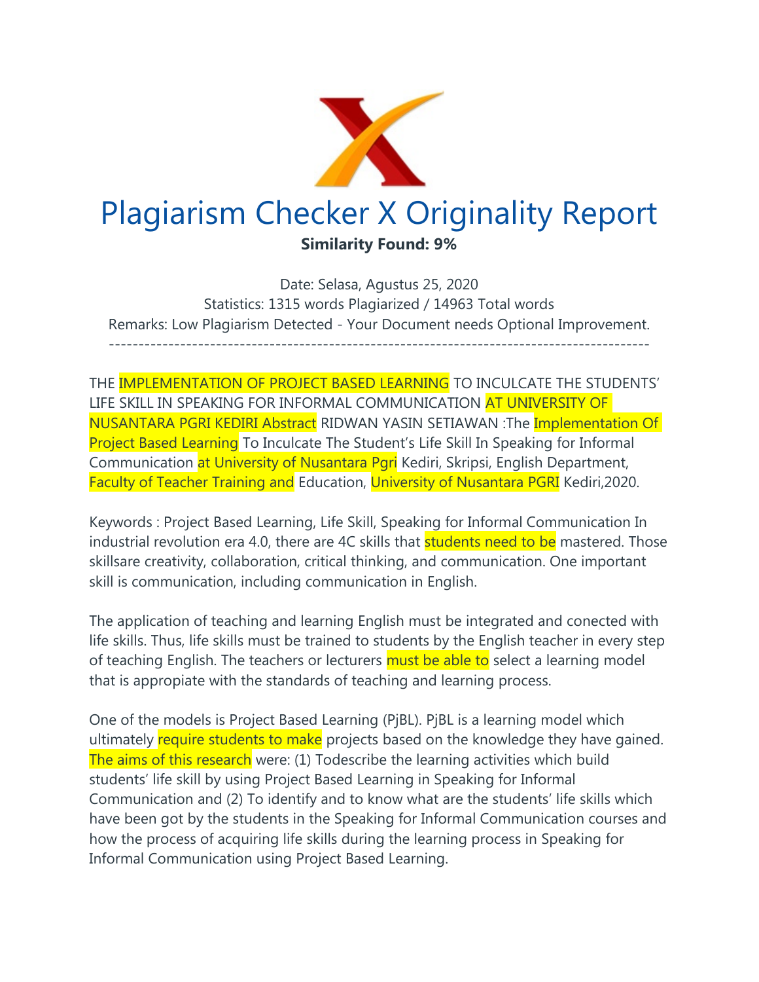

Date: Selasa, Agustus 25, 2020 Statistics: 1315 words Plagiarized / 14963 Total words Remarks: Low Plagiarism Detected - Your Document needs Optional Improvement. -------------------------------------------------------------------------------------------

THE IMPLEMENTATION OF PROJECT BASED LEARNING TO INCULCATE THE STUDENTS' LIFE SKILL IN SPEAKING FOR INFORMAL COMMUNICATION AT UNIVERSITY OF NUSANTARA PGRI KEDIRI Abstract RIDWAN YASIN SETIAWAN :The Implementation Of Project Based Learning To Inculcate The Student's Life Skill In Speaking for Informal Communication at University of Nusantara Pgri Kediri, Skripsi, English Department, Faculty of Teacher Training and Education, University of Nusantara PGRI Kediri,2020.

Keywords : Project Based Learning, Life Skill, Speaking for Informal Communication In industrial revolution era 4.0, there are 4C skills that **students need to be** mastered. Those skillsare creativity, collaboration, critical thinking, and communication. One important skill is communication, including communication in English.

The application of teaching and learning English must be integrated and conected with life skills. Thus, life skills must be trained to students by the English teacher in every step of teaching English. The teachers or lecturers must be able to select a learning model that is appropiate with the standards of teaching and learning process.

One of the models is Project Based Learning (PjBL). PjBL is a learning model which ultimately require students to make projects based on the knowledge they have gained. The aims of this research were: (1) Todescribe the learning activities which build students' life skill by using Project Based Learning in Speaking for Informal Communication and (2) To identify and to know what are the students' life skills which have been got by the students in the Speaking for Informal Communication courses and how the process of acquiring life skills during the learning process in Speaking for Informal Communication using Project Based Learning.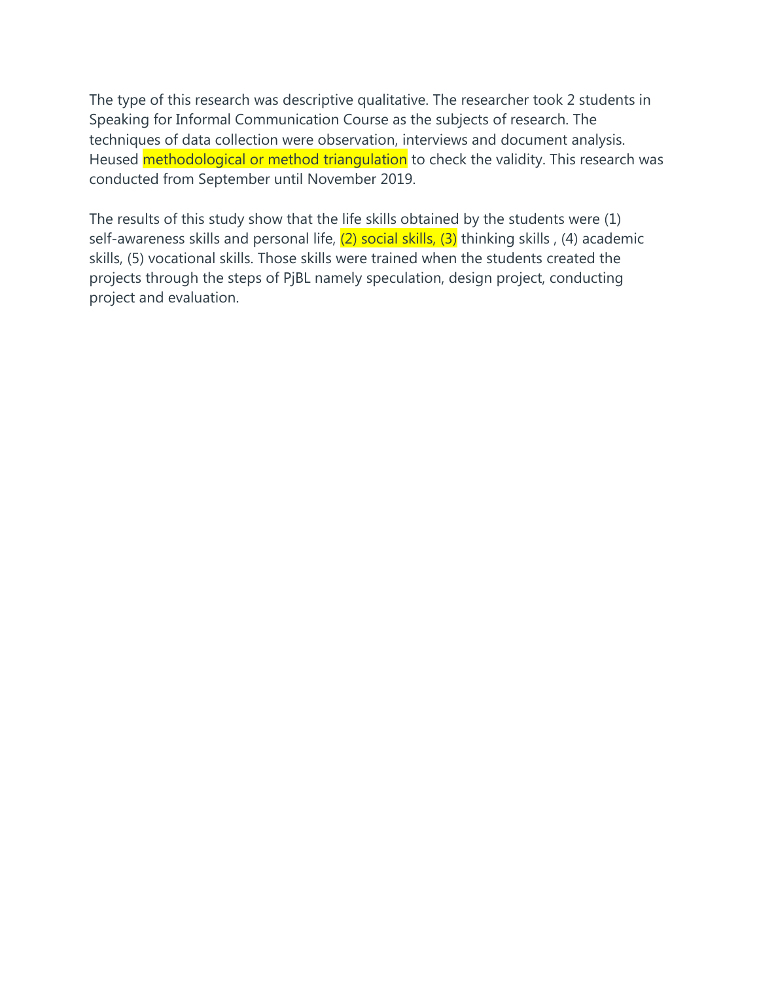The type of this research was descriptive qualitative. The researcher took 2 students in Speaking for Informal Communication Course as the subjects of research. The techniques of data collection were observation, interviews and document analysis. Heused methodological or method triangulation to check the validity. This research was conducted from September until November 2019.

The results of this study show that the life skills obtained by the students were (1) self-awareness skills and personal life,  $(2)$  social skills,  $(3)$  thinking skills,  $(4)$  academic skills, (5) vocational skills. Those skills were trained when the students created the projects through the steps of PjBL namely speculation, design project, conducting project and evaluation.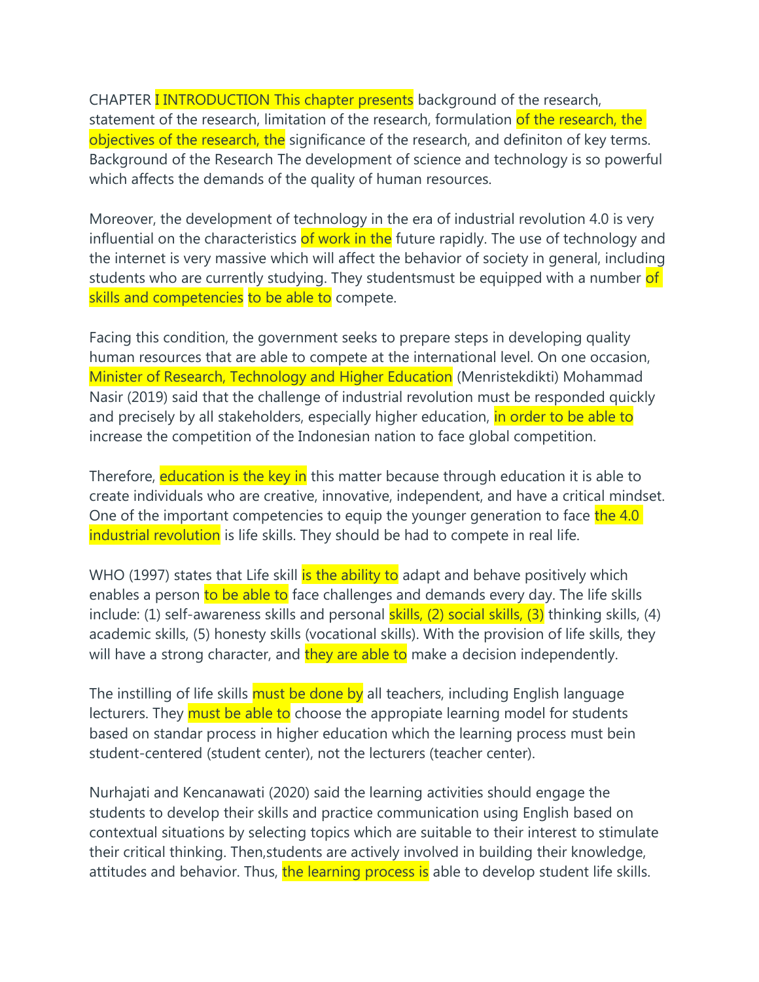CHAPTER **I INTRODUCTION This chapter presents** background of the research, statement of the research, limitation of the research, formulation of the research, the objectives of the research, the significance of the research, and definiton of key terms. Background of the Research The development of science and technology is so powerful which affects the demands of the quality of human resources.

Moreover, the development of technology in the era of industrial revolution 4.0 is very influential on the characteristics of work in the future rapidly. The use of technology and the internet is very massive which will affect the behavior of society in general, including students who are currently studying. They studentsmust be equipped with a number of skills and competencies to be able to compete.

Facing this condition, the government seeks to prepare steps in developing quality human resources that are able to compete at the international level. On one occasion, Minister of Research, Technology and Higher Education (Menristekdikti) Mohammad Nasir (2019) said that the challenge of industrial revolution must be responded quickly and precisely by all stakeholders, especially higher education, in order to be able to increase the competition of the Indonesian nation to face global competition.

Therefore, education is the key in this matter because through education it is able to create individuals who are creative, innovative, independent, and have a critical mindset. One of the important competencies to equip the younger generation to face the 4.0 industrial revolution is life skills. They should be had to compete in real life.

WHO (1997) states that Life skill is the ability to adapt and behave positively which enables a person to be able to face challenges and demands every day. The life skills include: (1) self-awareness skills and personal skills, (2) social skills, (3) thinking skills, (4) academic skills, (5) honesty skills (vocational skills). With the provision of life skills, they will have a strong character, and they are able to make a decision independently.

The instilling of life skills must be done by all teachers, including English language lecturers. They must be able to choose the appropiate learning model for students based on standar process in higher education which the learning process must bein student-centered (student center), not the lecturers (teacher center).

Nurhajati and Kencanawati (2020) said the learning activities should engage the students to develop their skills and practice communication using English based on contextual situations by selecting topics which are suitable to their interest to stimulate their critical thinking. Then,students are actively involved in building their knowledge, attitudes and behavior. Thus, the learning process is able to develop student life skills.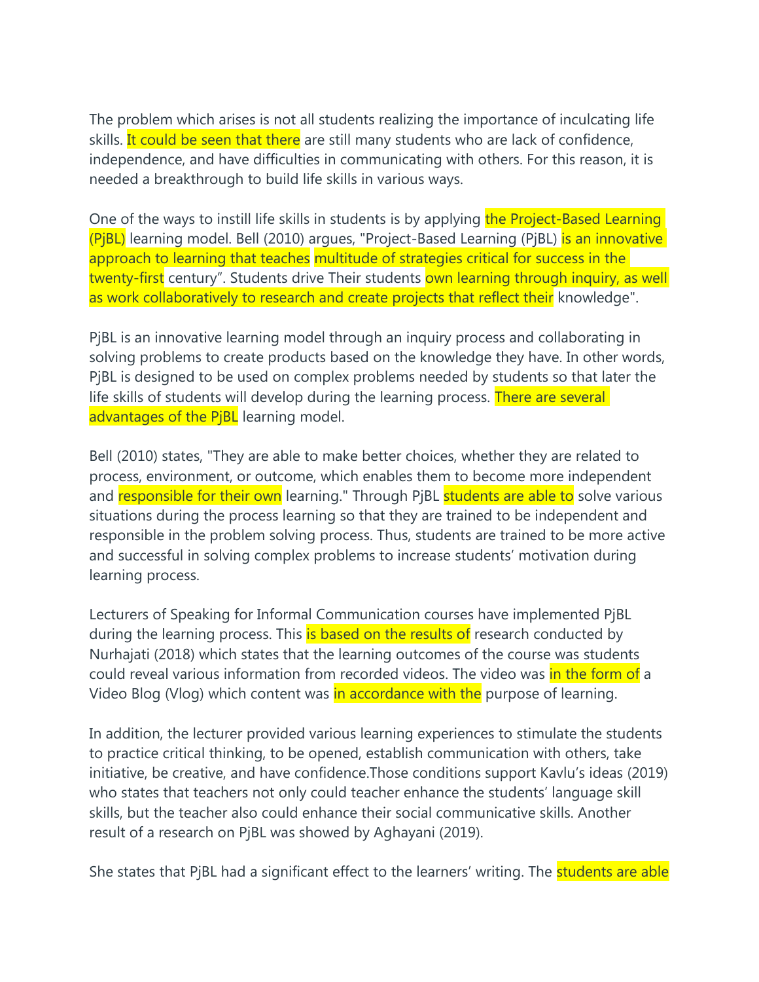The problem which arises is not all students realizing the importance of inculcating life skills. It could be seen that there are still many students who are lack of confidence, independence, and have difficulties in communicating with others. For this reason, it is needed a breakthrough to build life skills in various ways.

One of the ways to instill life skills in students is by applying the Project-Based Learning (PjBL) learning model. Bell (2010) argues, "Project-Based Learning (PjBL) is an innovative approach to learning that teaches multitude of strategies critical for success in the twenty-first century". Students drive Their students own learning through inquiry, as well as work collaboratively to research and create projects that reflect their knowledge".

PjBL is an innovative learning model through an inquiry process and collaborating in solving problems to create products based on the knowledge they have. In other words, PjBL is designed to be used on complex problems needed by students so that later the life skills of students will develop during the learning process. There are several advantages of the PjBL learning model.

Bell (2010) states, "They are able to make better choices, whether they are related to process, environment, or outcome, which enables them to become more independent and responsible for their own learning." Through PjBL students are able to solve various situations during the process learning so that they are trained to be independent and responsible in the problem solving process. Thus, students are trained to be more active and successful in solving complex problems to increase students' motivation during learning process.

Lecturers of Speaking for Informal Communication courses have implemented PjBL during the learning process. This is based on the results of research conducted by Nurhajati (2018) which states that the learning outcomes of the course was students could reveal various information from recorded videos. The video was in the form of a Video Blog (Vlog) which content was in accordance with the purpose of learning.

In addition, the lecturer provided various learning experiences to stimulate the students to practice critical thinking, to be opened, establish communication with others, take initiative, be creative, and have confidence.Those conditions support Kavlu's ideas (2019) who states that teachers not only could teacher enhance the students' language skill skills, but the teacher also could enhance their social communicative skills. Another result of a research on PjBL was showed by Aghayani (2019).

She states that PjBL had a significant effect to the learners' writing. The **students are able**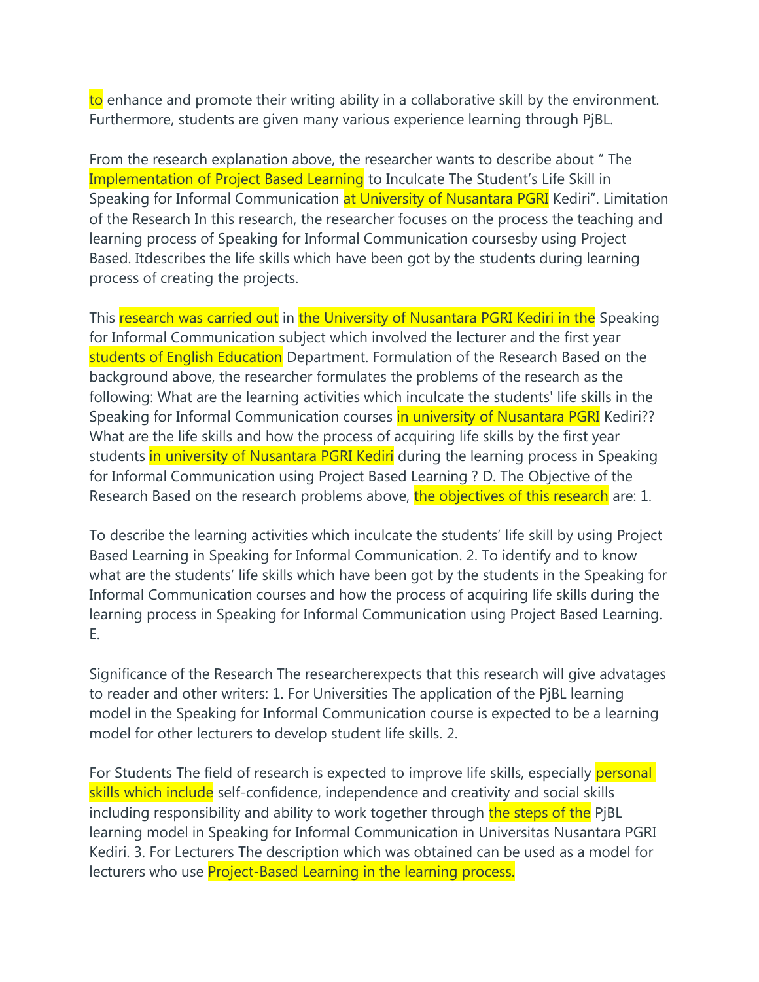to enhance and promote their writing ability in a collaborative skill by the environment. Furthermore, students are given many various experience learning through PjBL.

From the research explanation above, the researcher wants to describe about " The Implementation of Project Based Learning to Inculcate The Student's Life Skill in Speaking for Informal Communication at University of Nusantara PGRI Kediri". Limitation of the Research In this research, the researcher focuses on the process the teaching and learning process of Speaking for Informal Communication coursesby using Project Based. Itdescribes the life skills which have been got by the students during learning process of creating the projects.

This research was carried out in the University of Nusantara PGRI Kediri in the Speaking for Informal Communication subject which involved the lecturer and the first year students of English Education Department. Formulation of the Research Based on the background above, the researcher formulates the problems of the research as the following: What are the learning activities which inculcate the students' life skills in the Speaking for Informal Communication courses in university of Nusantara PGRI Kediri?? What are the life skills and how the process of acquiring life skills by the first year students in university of Nusantara PGRI Kediri during the learning process in Speaking for Informal Communication using Project Based Learning ? D. The Objective of the Research Based on the research problems above, the objectives of this research are: 1.

To describe the learning activities which inculcate the students' life skill by using Project Based Learning in Speaking for Informal Communication. 2. To identify and to know what are the students' life skills which have been got by the students in the Speaking for Informal Communication courses and how the process of acquiring life skills during the learning process in Speaking for Informal Communication using Project Based Learning. E.

Significance of the Research The researcherexpects that this research will give advatages to reader and other writers: 1. For Universities The application of the PjBL learning model in the Speaking for Informal Communication course is expected to be a learning model for other lecturers to develop student life skills. 2.

For Students The field of research is expected to improve life skills, especially personal skills which include self-confidence, independence and creativity and social skills including responsibility and ability to work together through the steps of the PjBL learning model in Speaking for Informal Communication in Universitas Nusantara PGRI Kediri. 3. For Lecturers The description which was obtained can be used as a model for lecturers who use **Project-Based Learning in the learning process.**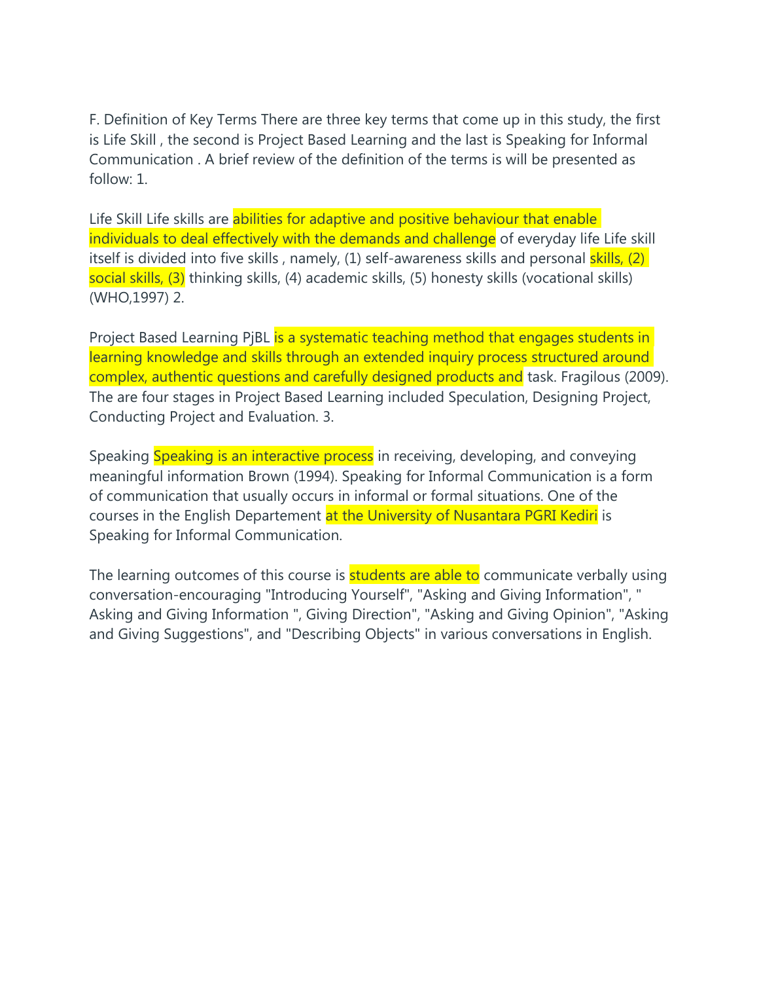F. Definition of Key Terms There are three key terms that come up in this study, the first is Life Skill , the second is Project Based Learning and the last is Speaking for Informal Communication . A brief review of the definition of the terms is will be presented as follow: 1.

Life Skill Life skills are abilities for adaptive and positive behaviour that enable individuals to deal effectively with the demands and challenge of everyday life Life skill itself is divided into five skills, namely, (1) self-awareness skills and personal skills, (2) social skills, (3) thinking skills, (4) academic skills, (5) honesty skills (vocational skills) (WHO,1997) 2.

Project Based Learning PjBL is a systematic teaching method that engages students in learning knowledge and skills through an extended inquiry process structured around complex, authentic questions and carefully designed products and task. Fragilous (2009). The are four stages in Project Based Learning included Speculation, Designing Project, Conducting Project and Evaluation. 3.

Speaking Speaking is an interactive process in receiving, developing, and conveying meaningful information Brown (1994). Speaking for Informal Communication is a form of communication that usually occurs in informal or formal situations. One of the courses in the English Departement at the University of Nusantara PGRI Kediri is Speaking for Informal Communication.

The learning outcomes of this course is students are able to communicate verbally using conversation-encouraging "Introducing Yourself", "Asking and Giving Information", " Asking and Giving Information ", Giving Direction", "Asking and Giving Opinion", "Asking and Giving Suggestions", and "Describing Objects" in various conversations in English.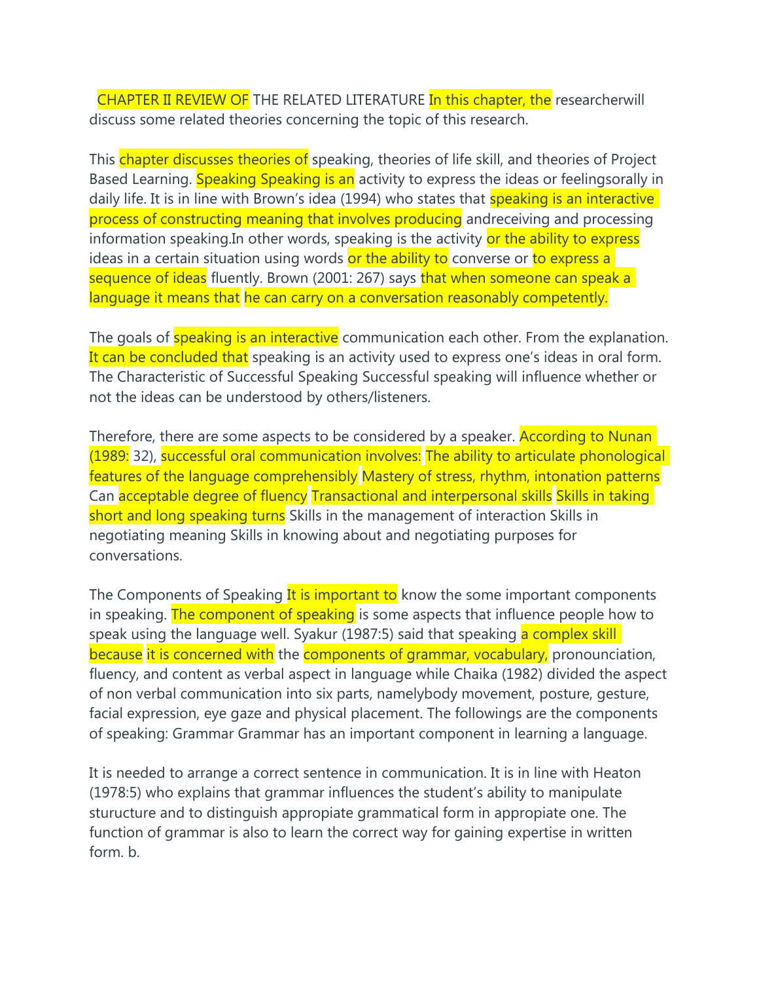CHAPTER II REVIEW OF THE RELATED LITERATURE In this chapter, the researcherwill discuss some related theories concerning the topic of this research.

This chapter discusses theories of speaking, theories of life skill, and theories of Project Based Learning. Speaking Speaking is an activity to express the ideas or feelingsorally in daily life. It is in line with Brown's idea (1994) who states that **speaking is an interactive** process of constructing meaning that involves producing andreceiving and processing information speaking. In other words, speaking is the activity or the ability to express ideas in a certain situation using words or the ability to converse or to express a sequence of ideas fluently. Brown (2001: 267) says that when someone can speak a language it means that he can carry on a conversation reasonably competently.

The goals of **speaking is an interactive** communication each other. From the explanation. It can be concluded that speaking is an activity used to express one's ideas in oral form. The Characteristic of Successful Speaking Successful speaking will influence whether or not the ideas can be understood by others/listeners.

Therefore, there are some aspects to be considered by a speaker. **According to Nunan** (1989: 32), successful oral communication involves: The ability to articulate phonological features of the language comprehensibly Mastery of stress, rhythm, intonation patterns Can acceptable degree of fluency Transactional and interpersonal skills Skills in taking short and long speaking turns Skills in the management of interaction Skills in negotiating meaning Skills in knowing about and negotiating purposes for conversations.

The Components of Speaking It is important to know the some important components in speaking. The component of speaking is some aspects that influence people how to speak using the language well. Syakur (1987:5) said that speaking a complex skill because it is concerned with the components of grammar, vocabulary, pronounciation, fluency, and content as verbal aspect in language while Chaika (1982) divided the aspect of non verbal communication into six parts, namelybody movement, posture, gesture, facial expression, eye gaze and physical placement. The followings are the components of speaking: Grammar Grammar has an important component in learning a language.

It is needed to arrange a correct sentence in communication. It is in line with Heaton (1978:5) who explains that grammar influences the student's ability to manipulate sturucture and to distinguish appropiate grammatical form in appropiate one. The function of grammar is also to learn the correct way for gaining expertise in written form. b.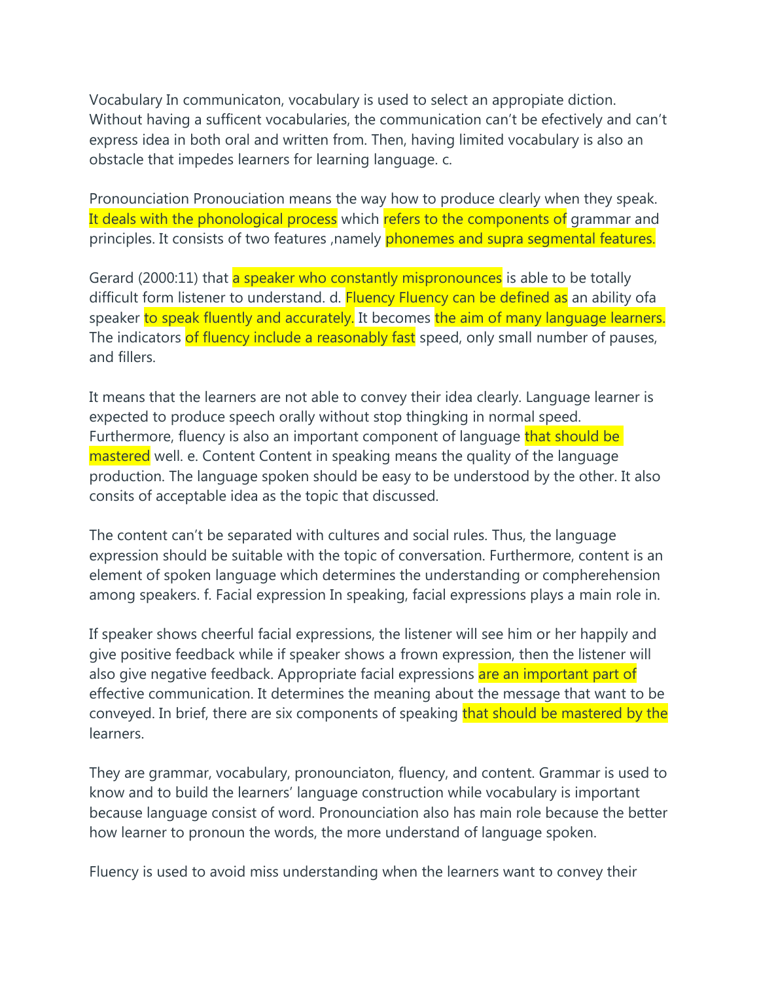Vocabulary In communicaton, vocabulary is used to select an appropiate diction. Without having a sufficent vocabularies, the communication can't be efectively and can't express idea in both oral and written from. Then, having limited vocabulary is also an obstacle that impedes learners for learning language. c.

Pronounciation Pronouciation means the way how to produce clearly when they speak. It deals with the phonological process which refers to the components of grammar and principles. It consists of two features , namely phonemes and supra segmental features.

Gerard (2000:11) that a speaker who constantly mispronounces is able to be totally difficult form listener to understand. d. Fluency Fluency can be defined as an ability of a speaker to speak fluently and accurately. It becomes the aim of many language learners. The indicators of fluency include a reasonably fast speed, only small number of pauses, and fillers.

It means that the learners are not able to convey their idea clearly. Language learner is expected to produce speech orally without stop thingking in normal speed. Furthermore, fluency is also an important component of language that should be mastered well. e. Content Content in speaking means the quality of the language production. The language spoken should be easy to be understood by the other. It also consits of acceptable idea as the topic that discussed.

The content can't be separated with cultures and social rules. Thus, the language expression should be suitable with the topic of conversation. Furthermore, content is an element of spoken language which determines the understanding or compherehension among speakers. f. Facial expression In speaking, facial expressions plays a main role in.

If speaker shows cheerful facial expressions, the listener will see him or her happily and give positive feedback while if speaker shows a frown expression, then the listener will also give negative feedback. Appropriate facial expressions are an important part of effective communication. It determines the meaning about the message that want to be conveyed. In brief, there are six components of speaking that should be mastered by the learners.

They are grammar, vocabulary, pronounciaton, fluency, and content. Grammar is used to know and to build the learners' language construction while vocabulary is important because language consist of word. Pronounciation also has main role because the better how learner to pronoun the words, the more understand of language spoken.

Fluency is used to avoid miss understanding when the learners want to convey their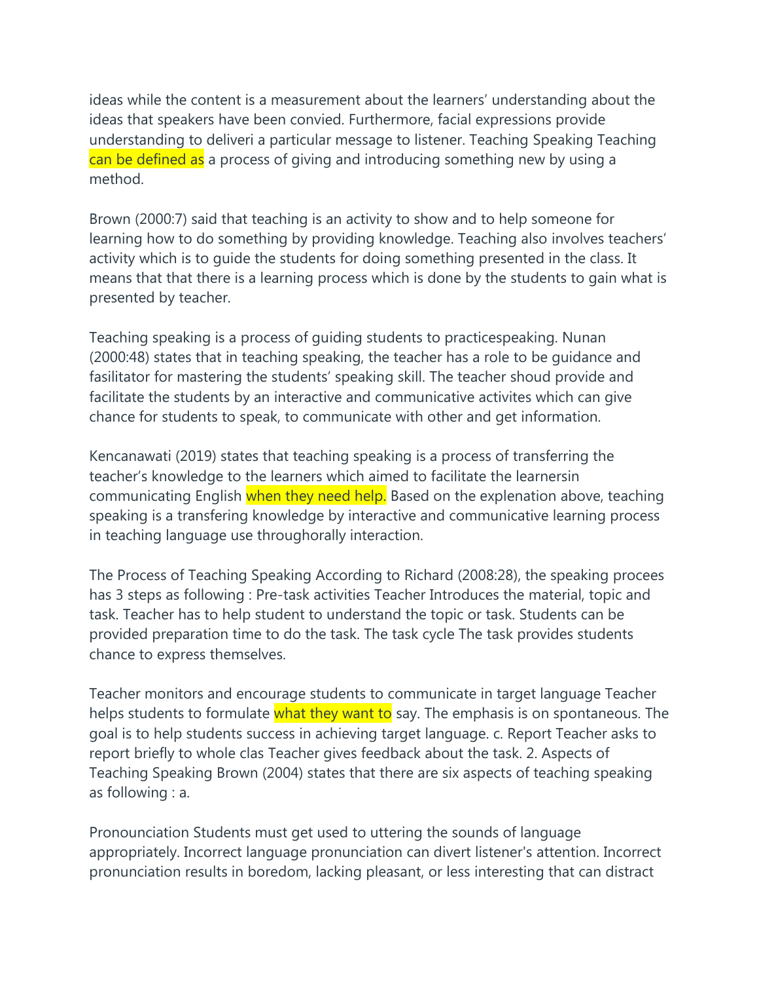ideas while the content is a measurement about the learners' understanding about the ideas that speakers have been convied. Furthermore, facial expressions provide understanding to deliveri a particular message to listener. Teaching Speaking Teaching can be defined as a process of giving and introducing something new by using a method.

Brown (2000:7) said that teaching is an activity to show and to help someone for learning how to do something by providing knowledge. Teaching also involves teachers' activity which is to guide the students for doing something presented in the class. It means that that there is a learning process which is done by the students to gain what is presented by teacher.

Teaching speaking is a process of guiding students to practicespeaking. Nunan (2000:48) states that in teaching speaking, the teacher has a role to be guidance and fasilitator for mastering the students' speaking skill. The teacher shoud provide and facilitate the students by an interactive and communicative activites which can give chance for students to speak, to communicate with other and get information.

Kencanawati (2019) states that teaching speaking is a process of transferring the teacher's knowledge to the learners which aimed to facilitate the learnersin communicating English when they need help. Based on the explenation above, teaching speaking is a transfering knowledge by interactive and communicative learning process in teaching language use throughorally interaction.

The Process of Teaching Speaking According to Richard (2008:28), the speaking procees has 3 steps as following : Pre-task activities Teacher Introduces the material, topic and task. Teacher has to help student to understand the topic or task. Students can be provided preparation time to do the task. The task cycle The task provides students chance to express themselves.

Teacher monitors and encourage students to communicate in target language Teacher helps students to formulate what they want to say. The emphasis is on spontaneous. The goal is to help students success in achieving target language. c. Report Teacher asks to report briefly to whole clas Teacher gives feedback about the task. 2. Aspects of Teaching Speaking Brown (2004) states that there are six aspects of teaching speaking as following : a.

Pronounciation Students must get used to uttering the sounds of language appropriately. Incorrect language pronunciation can divert listener's attention. Incorrect pronunciation results in boredom, lacking pleasant, or less interesting that can distract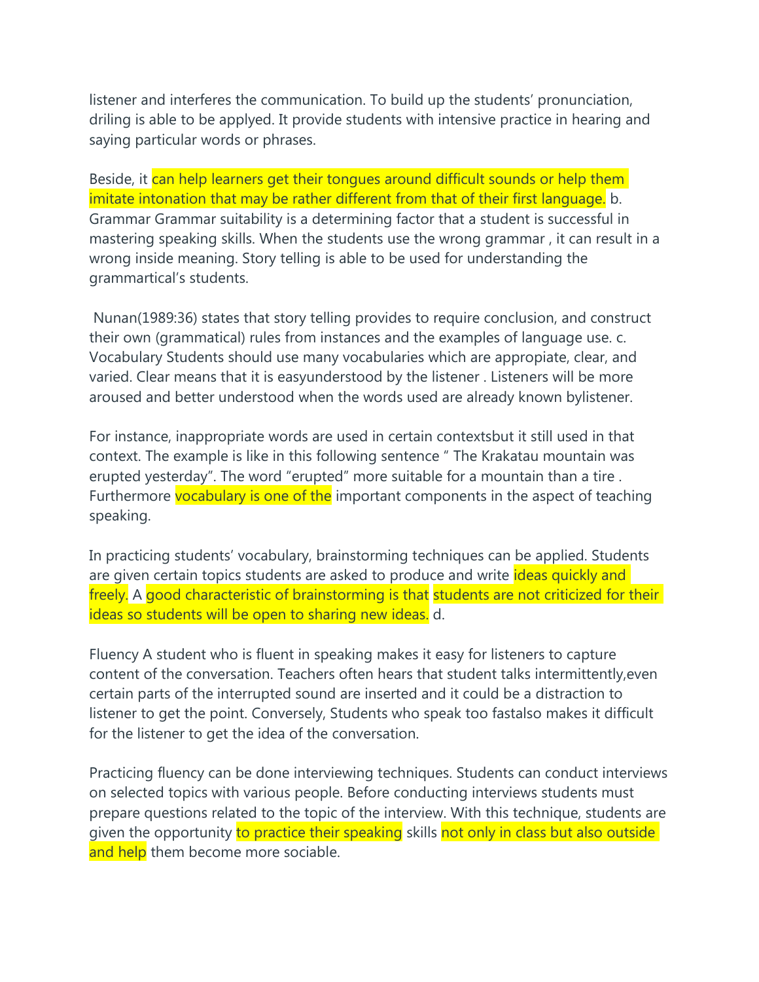listener and interferes the communication. To build up the students' pronunciation, driling is able to be applyed. It provide students with intensive practice in hearing and saying particular words or phrases.

Beside, it can help learners get their tongues around difficult sounds or help them imitate intonation that may be rather different from that of their first language. b. Grammar Grammar suitability is a determining factor that a student is successful in mastering speaking skills. When the students use the wrong grammar , it can result in a wrong inside meaning. Story telling is able to be used for understanding the grammartical's students.

Nunan(1989:36) states that story telling provides to require conclusion, and construct their own (grammatical) rules from instances and the examples of language use. c. Vocabulary Students should use many vocabularies which are appropiate, clear, and varied. Clear means that it is easyunderstood by the listener . Listeners will be more aroused and better understood when the words used are already known bylistener.

For instance, inappropriate words are used in certain contextsbut it still used in that context. The example is like in this following sentence " The Krakatau mountain was erupted yesterday". The word "erupted" more suitable for a mountain than a tire . Furthermore vocabulary is one of the important components in the aspect of teaching speaking.

In practicing students' vocabulary, brainstorming techniques can be applied. Students are given certain topics students are asked to produce and write ideas quickly and freely. A good characteristic of brainstorming is that students are not criticized for their ideas so students will be open to sharing new ideas. d.

Fluency A student who is fluent in speaking makes it easy for listeners to capture content of the conversation. Teachers often hears that student talks intermittently,even certain parts of the interrupted sound are inserted and it could be a distraction to listener to get the point. Conversely, Students who speak too fastalso makes it difficult for the listener to get the idea of the conversation.

Practicing fluency can be done interviewing techniques. Students can conduct interviews on selected topics with various people. Before conducting interviews students must prepare questions related to the topic of the interview. With this technique, students are given the opportunity to practice their speaking skills not only in class but also outside and help them become more sociable.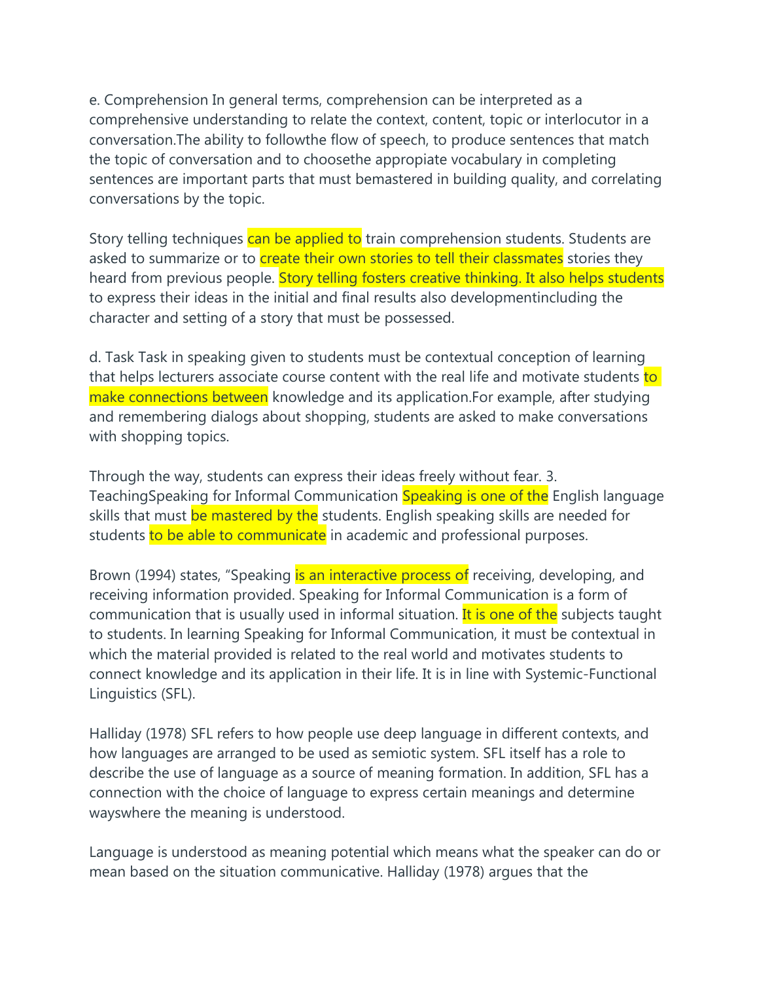e. Comprehension In general terms, comprehension can be interpreted as a comprehensive understanding to relate the context, content, topic or interlocutor in a conversation.The ability to followthe flow of speech, to produce sentences that match the topic of conversation and to choosethe appropiate vocabulary in completing sentences are important parts that must bemastered in building quality, and correlating conversations by the topic.

Story telling techniques can be applied to train comprehension students. Students are asked to summarize or to **create their own stories to tell their classmates** stories they heard from previous people. Story telling fosters creative thinking. It also helps students to express their ideas in the initial and final results also developmentincluding the character and setting of a story that must be possessed.

d. Task Task in speaking given to students must be contextual conception of learning that helps lecturers associate course content with the real life and motivate students to make connections between knowledge and its application. For example, after studying and remembering dialogs about shopping, students are asked to make conversations with shopping topics.

Through the way, students can express their ideas freely without fear. 3. TeachingSpeaking for Informal Communication Speaking is one of the English language skills that must be mastered by the students. English speaking skills are needed for students to be able to communicate in academic and professional purposes.

Brown (1994) states, "Speaking is an interactive process of receiving, developing, and receiving information provided. Speaking for Informal Communication is a form of communication that is usually used in informal situation. It is one of the subjects taught to students. In learning Speaking for Informal Communication, it must be contextual in which the material provided is related to the real world and motivates students to connect knowledge and its application in their life. It is in line with Systemic-Functional Linguistics (SFL).

Halliday (1978) SFL refers to how people use deep language in different contexts, and how languages are arranged to be used as semiotic system. SFL itself has a role to describe the use of language as a source of meaning formation. In addition, SFL has a connection with the choice of language to express certain meanings and determine wayswhere the meaning is understood.

Language is understood as meaning potential which means what the speaker can do or mean based on the situation communicative. Halliday (1978) argues that the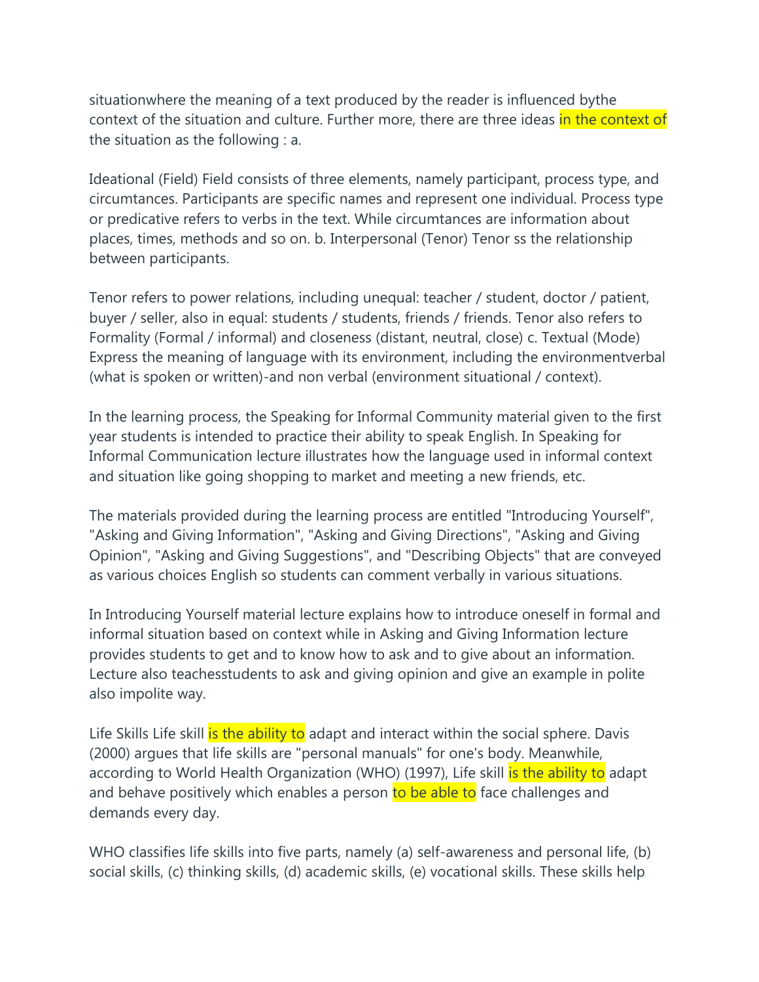situationwhere the meaning of a text produced by the reader is influenced bythe context of the situation and culture. Further more, there are three ideas in the context of the situation as the following : a.

Ideational (Field) Field consists of three elements, namely participant, process type, and circumtances. Participants are specific names and represent one individual. Process type or predicative refers to verbs in the text. While circumtances are information about places, times, methods and so on. b. Interpersonal (Tenor) Tenor ss the relationship between participants.

Tenor refers to power relations, including unequal: teacher / student, doctor / patient, buyer / seller, also in equal: students / students, friends / friends. Tenor also refers to Formality (Formal / informal) and closeness (distant, neutral, close) c. Textual (Mode) Express the meaning of language with its environment, including the environmentverbal (what is spoken or written)-and non verbal (environment situational / context).

In the learning process, the Speaking for Informal Community material given to the first year students is intended to practice their ability to speak English. In Speaking for Informal Communication lecture illustrates how the language used in informal context and situation like going shopping to market and meeting a new friends, etc.

The materials provided during the learning process are entitled "Introducing Yourself", "Asking and Giving Information", "Asking and Giving Directions", "Asking and Giving Opinion", "Asking and Giving Suggestions", and "Describing Objects" that are conveyed as various choices English so students can comment verbally in various situations.

In Introducing Yourself material lecture explains how to introduce oneself in formal and informal situation based on context while in Asking and Giving Information lecture provides students to get and to know how to ask and to give about an information. Lecture also teachesstudents to ask and giving opinion and give an example in polite also impolite way.

Life Skills Life skill is the ability to adapt and interact within the social sphere. Davis (2000) argues that life skills are "personal manuals" for one's body. Meanwhile, according to World Health Organization (WHO) (1997), Life skill is the ability to adapt and behave positively which enables a person to be able to face challenges and demands every day.

WHO classifies life skills into five parts, namely (a) self-awareness and personal life, (b) social skills, (c) thinking skills, (d) academic skills, (e) vocational skills. These skills help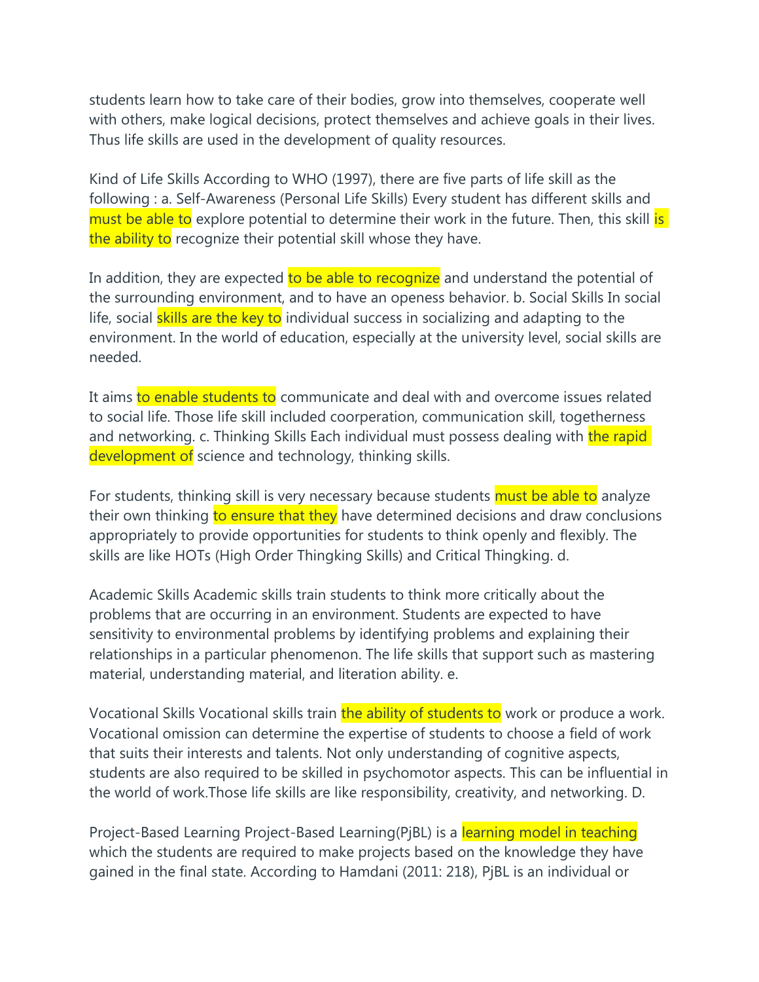students learn how to take care of their bodies, grow into themselves, cooperate well with others, make logical decisions, protect themselves and achieve goals in their lives. Thus life skills are used in the development of quality resources.

Kind of Life Skills According to WHO (1997), there are five parts of life skill as the following : a. Self-Awareness (Personal Life Skills) Every student has different skills and must be able to explore potential to determine their work in the future. Then, this skill is the ability to recognize their potential skill whose they have.

In addition, they are expected to be able to recognize and understand the potential of the surrounding environment, and to have an openess behavior. b. Social Skills In social life, social skills are the key to individual success in socializing and adapting to the environment. In the world of education, especially at the university level, social skills are needed.

It aims to enable students to communicate and deal with and overcome issues related to social life. Those life skill included coorperation, communication skill, togetherness and networking. c. Thinking Skills Each individual must possess dealing with the rapid development of science and technology, thinking skills.

For students, thinking skill is very necessary because students must be able to analyze their own thinking to ensure that they have determined decisions and draw conclusions appropriately to provide opportunities for students to think openly and flexibly. The skills are like HOTs (High Order Thingking Skills) and Critical Thingking. d.

Academic Skills Academic skills train students to think more critically about the problems that are occurring in an environment. Students are expected to have sensitivity to environmental problems by identifying problems and explaining their relationships in a particular phenomenon. The life skills that support such as mastering material, understanding material, and literation ability. e.

Vocational Skills Vocational skills train the ability of students to work or produce a work. Vocational omission can determine the expertise of students to choose a field of work that suits their interests and talents. Not only understanding of cognitive aspects, students are also required to be skilled in psychomotor aspects. This can be influential in the world of work.Those life skills are like responsibility, creativity, and networking. D.

Project-Based Learning Project-Based Learning(PjBL) is a learning model in teaching which the students are required to make projects based on the knowledge they have gained in the final state. According to Hamdani (2011: 218), PjBL is an individual or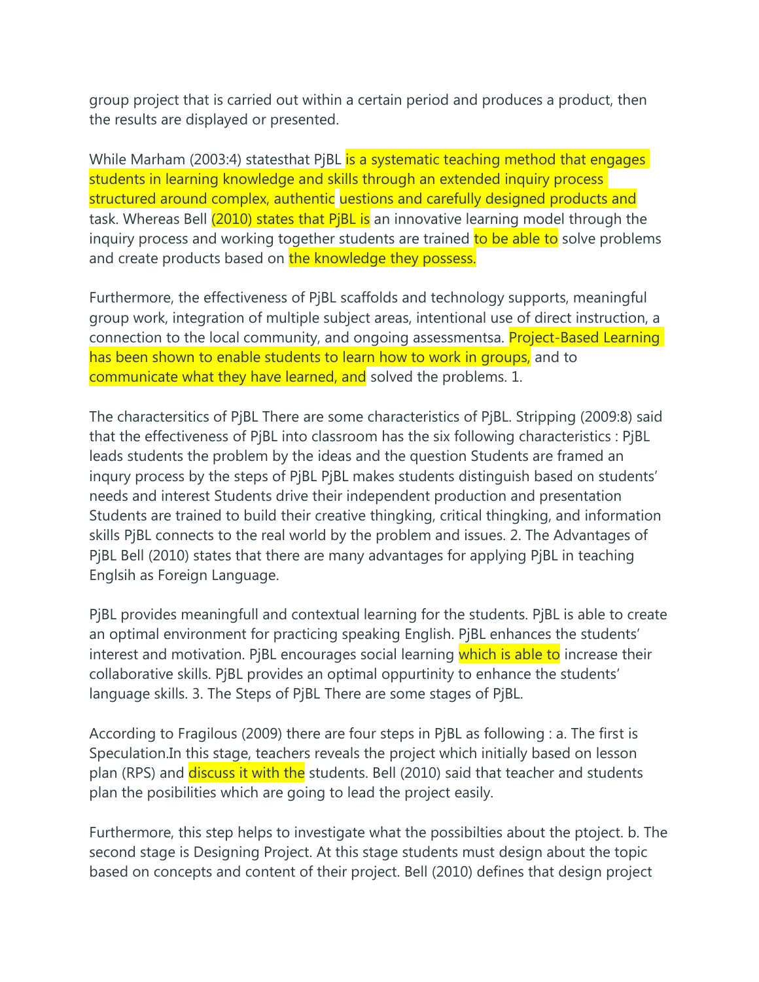group project that is carried out within a certain period and produces a product, then the results are displayed or presented.

While Marham (2003:4) statesthat PjBL is a systematic teaching method that engages students in learning knowledge and skills through an extended inquiry process structured around complex, authentic uestions and carefully designed products and task. Whereas Bell (2010) states that PiBL is an innovative learning model through the inquiry process and working together students are trained to be able to solve problems and create products based on the knowledge they possess.

Furthermore, the effectiveness of PjBL scaffolds and technology supports, meaningful group work, integration of multiple subject areas, intentional use of direct instruction, a connection to the local community, and ongoing assessmentsa. **Project-Based Learning** has been shown to enable students to learn how to work in groups, and to communicate what they have learned, and solved the problems. 1.

The charactersitics of PjBL There are some characteristics of PjBL. Stripping (2009:8) said that the effectiveness of PjBL into classroom has the six following characteristics : PjBL leads students the problem by the ideas and the question Students are framed an inqury process by the steps of PjBL PjBL makes students distinguish based on students' needs and interest Students drive their independent production and presentation Students are trained to build their creative thingking, critical thingking, and information skills PjBL connects to the real world by the problem and issues. 2. The Advantages of PjBL Bell (2010) states that there are many advantages for applying PjBL in teaching Englsih as Foreign Language.

PjBL provides meaningfull and contextual learning for the students. PjBL is able to create an optimal environment for practicing speaking English. PjBL enhances the students' interest and motivation. PjBL encourages social learning which is able to increase their collaborative skills. PjBL provides an optimal oppurtinity to enhance the students' language skills. 3. The Steps of PjBL There are some stages of PjBL.

According to Fragilous (2009) there are four steps in PjBL as following : a. The first is Speculation.In this stage, teachers reveals the project which initially based on lesson plan (RPS) and *discuss it with the* students. Bell (2010) said that teacher and students plan the posibilities which are going to lead the project easily.

Furthermore, this step helps to investigate what the possibilties about the ptoject. b. The second stage is Designing Project. At this stage students must design about the topic based on concepts and content of their project. Bell (2010) defines that design project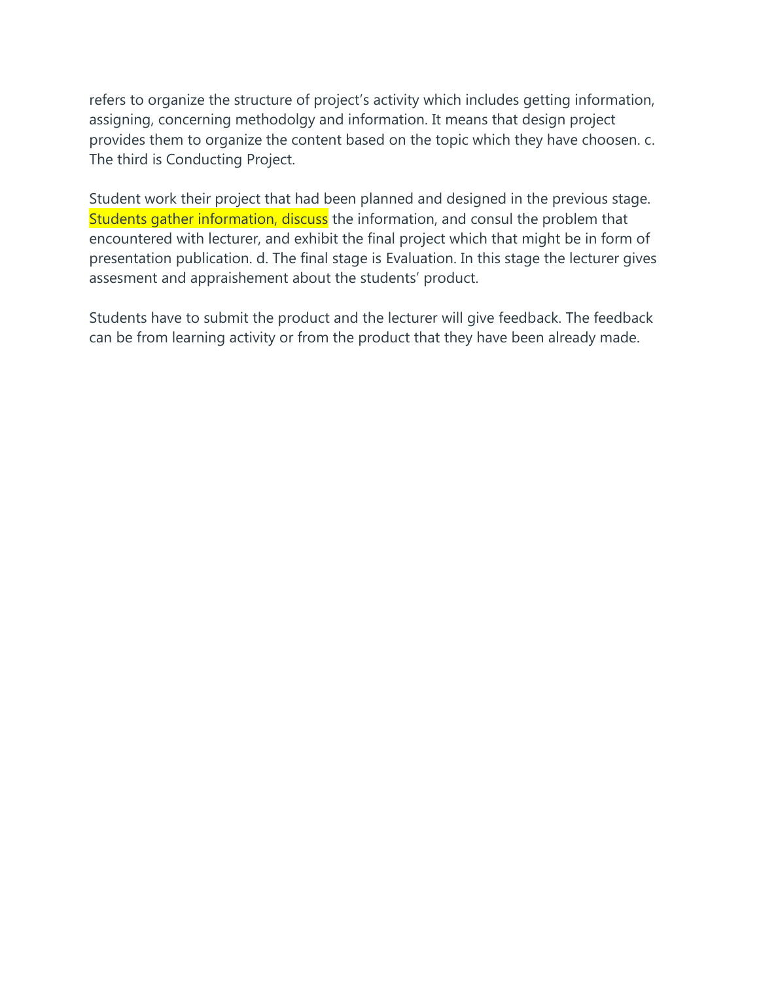refers to organize the structure of project's activity which includes getting information, assigning, concerning methodolgy and information. It means that design project provides them to organize the content based on the topic which they have choosen. c. The third is Conducting Project.

Student work their project that had been planned and designed in the previous stage. Students gather information, discuss the information, and consul the problem that encountered with lecturer, and exhibit the final project which that might be in form of presentation publication. d. The final stage is Evaluation. In this stage the lecturer gives assesment and appraishement about the students' product.

Students have to submit the product and the lecturer will give feedback. The feedback can be from learning activity or from the product that they have been already made.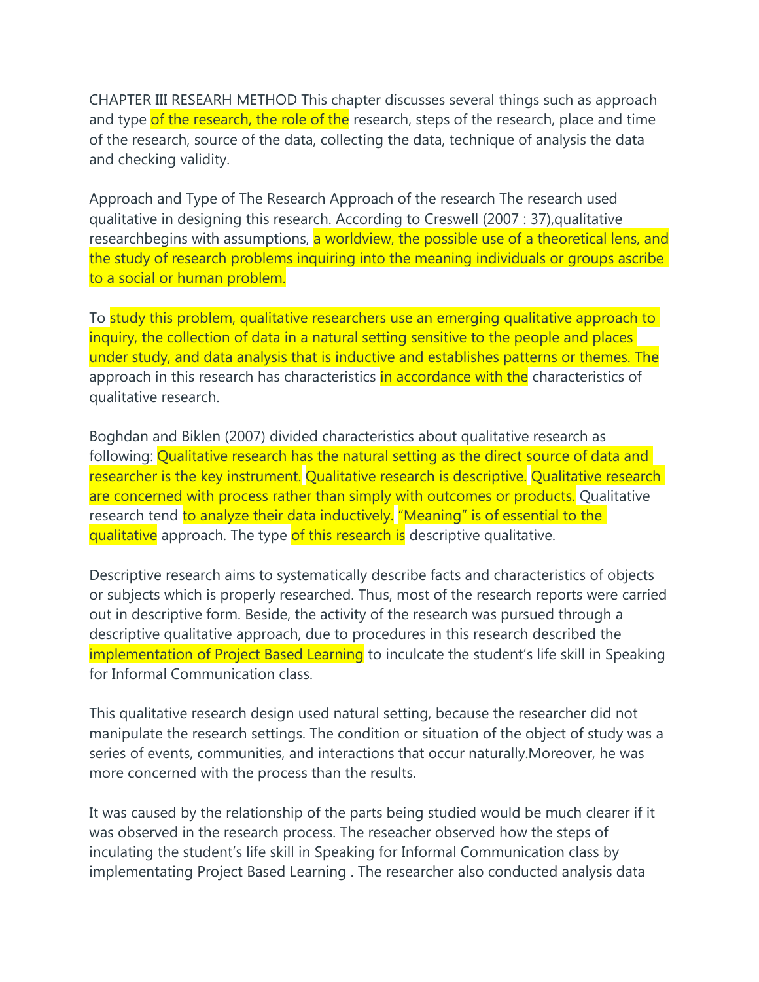CHAPTER III RESEARH METHOD This chapter discusses several things such as approach and type of the research, the role of the research, steps of the research, place and time of the research, source of the data, collecting the data, technique of analysis the data and checking validity.

Approach and Type of The Research Approach of the research The research used qualitative in designing this research. According to Creswell (2007 : 37),qualitative researchbegins with assumptions, a worldview, the possible use of a theoretical lens, and the study of research problems inquiring into the meaning individuals or groups ascribe to a social or human problem.

To study this problem, qualitative researchers use an emerging qualitative approach to inquiry, the collection of data in a natural setting sensitive to the people and places under study, and data analysis that is inductive and establishes patterns or themes. The approach in this research has characteristics in accordance with the characteristics of qualitative research.

Boghdan and Biklen (2007) divided characteristics about qualitative research as following: Qualitative research has the natural setting as the direct source of data and researcher is the key instrument. Qualitative research is descriptive. Qualitative research are concerned with process rather than simply with outcomes or products. Qualitative research tend to analyze their data inductively. "Meaning" is of essential to the qualitative approach. The type of this research is descriptive qualitative.

Descriptive research aims to systematically describe facts and characteristics of objects or subjects which is properly researched. Thus, most of the research reports were carried out in descriptive form. Beside, the activity of the research was pursued through a descriptive qualitative approach, due to procedures in this research described the implementation of Project Based Learning to inculcate the student's life skill in Speaking for Informal Communication class.

This qualitative research design used natural setting, because the researcher did not manipulate the research settings. The condition or situation of the object of study was a series of events, communities, and interactions that occur naturally.Moreover, he was more concerned with the process than the results.

It was caused by the relationship of the parts being studied would be much clearer if it was observed in the research process. The reseacher observed how the steps of inculating the student's life skill in Speaking for Informal Communication class by implementating Project Based Learning . The researcher also conducted analysis data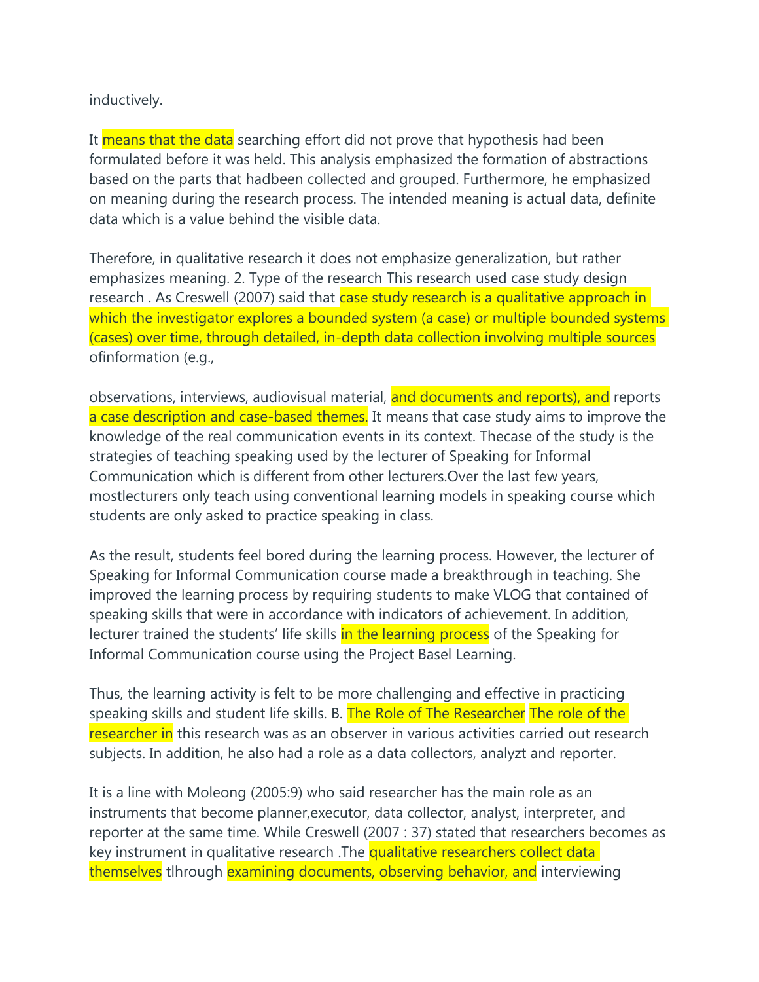## inductively.

It means that the data searching effort did not prove that hypothesis had been formulated before it was held. This analysis emphasized the formation of abstractions based on the parts that hadbeen collected and grouped. Furthermore, he emphasized on meaning during the research process. The intended meaning is actual data, definite data which is a value behind the visible data.

Therefore, in qualitative research it does not emphasize generalization, but rather emphasizes meaning. 2. Type of the research This research used case study design research. As Creswell (2007) said that case study research is a qualitative approach in which the investigator explores a bounded system (a case) or multiple bounded systems (cases) over time, through detailed, in-depth data collection involving multiple sources ofinformation (e.g.,

observations, interviews, audiovisual material, and documents and reports), and reports a case description and case-based themes. It means that case study aims to improve the knowledge of the real communication events in its context. Thecase of the study is the strategies of teaching speaking used by the lecturer of Speaking for Informal Communication which is different from other lecturers.Over the last few years, mostlecturers only teach using conventional learning models in speaking course which students are only asked to practice speaking in class.

As the result, students feel bored during the learning process. However, the lecturer of Speaking for Informal Communication course made a breakthrough in teaching. She improved the learning process by requiring students to make VLOG that contained of speaking skills that were in accordance with indicators of achievement. In addition, lecturer trained the students' life skills in the learning process of the Speaking for Informal Communication course using the Project Basel Learning.

Thus, the learning activity is felt to be more challenging and effective in practicing speaking skills and student life skills. B. The Role of The Researcher The role of the researcher in this research was as an observer in various activities carried out research subjects. In addition, he also had a role as a data collectors, analyzt and reporter.

It is a line with Moleong (2005:9) who said researcher has the main role as an instruments that become planner,executor, data collector, analyst, interpreter, and reporter at the same time. While Creswell (2007 : 37) stated that researchers becomes as key instrument in qualitative research .The qualitative researchers collect data themselves tlhrough examining documents, observing behavior, and interviewing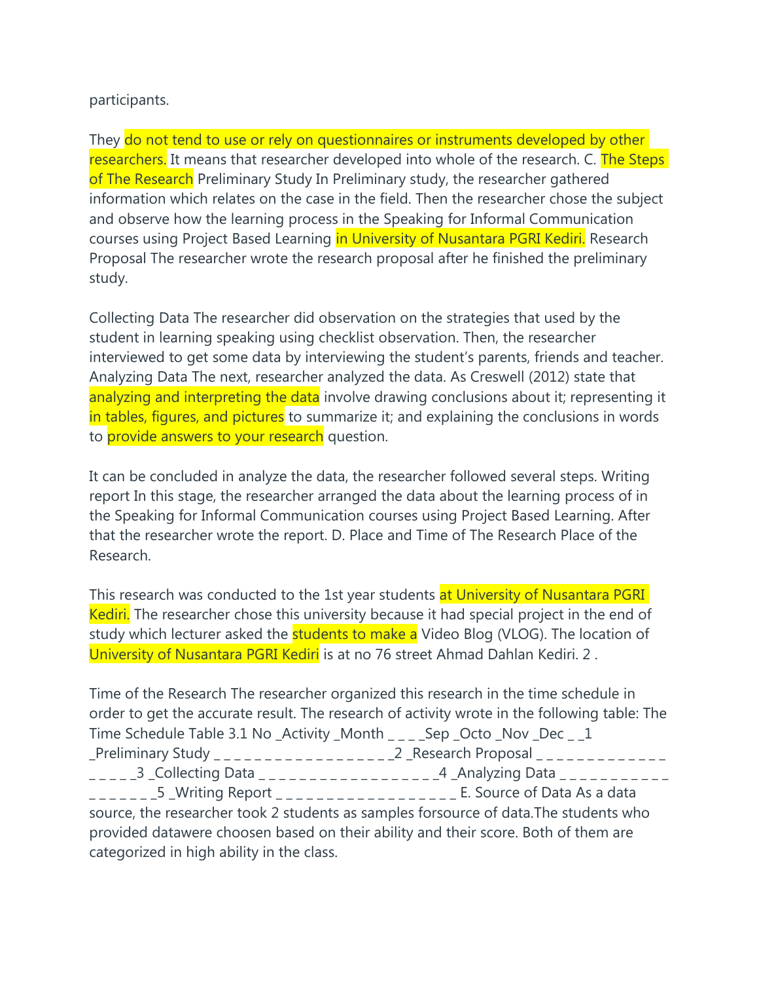## participants.

They do not tend to use or rely on questionnaires or instruments developed by other researchers. It means that researcher developed into whole of the research. C. The Steps of The Research Preliminary Study In Preliminary study, the researcher gathered information which relates on the case in the field. Then the researcher chose the subject and observe how the learning process in the Speaking for Informal Communication courses using Project Based Learning in University of Nusantara PGRI Kediri. Research Proposal The researcher wrote the research proposal after he finished the preliminary study.

Collecting Data The researcher did observation on the strategies that used by the student in learning speaking using checklist observation. Then, the researcher interviewed to get some data by interviewing the student's parents, friends and teacher. Analyzing Data The next, researcher analyzed the data. As Creswell (2012) state that analyzing and interpreting the data involve drawing conclusions about it; representing it in tables, figures, and pictures to summarize it; and explaining the conclusions in words to provide answers to your research question.

It can be concluded in analyze the data, the researcher followed several steps. Writing report In this stage, the researcher arranged the data about the learning process of in the Speaking for Informal Communication courses using Project Based Learning. After that the researcher wrote the report. D. Place and Time of The Research Place of the Research.

This research was conducted to the 1st year students at University of Nusantara PGRI Kediri. The researcher chose this university because it had special project in the end of study which lecturer asked the **students to make a** Video Blog (VLOG). The location of University of Nusantara PGRI Kediri is at no 76 street Ahmad Dahlan Kediri. 2.

Time of the Research The researcher organized this research in the time schedule in order to get the accurate result. The research of activity wrote in the following table: The Time Schedule Table 3.1 No \_Activity \_Month \_ \_ \_ \_ Sep \_Octo \_Nov \_Dec \_ \_1 \_Preliminary Study \_ \_ \_ \_ \_ \_ \_ \_ \_ \_ \_ \_ \_ \_ \_ \_ \_ \_2 \_Research Proposal \_ \_ \_ \_ \_ \_ \_ \_ \_ \_ \_ \_ \_ \_ \_ \_ \_ \_3 \_Collecting Data \_ \_ \_ \_ \_ \_ \_ \_ \_ \_ \_ \_ \_ \_ \_ \_ \_ \_4 \_Analyzing Data \_ \_ \_ \_ \_ \_ \_ \_ \_ \_ \_ \_\_\_\_\_\_\_5 \_Writing Report \_\_\_\_\_\_\_\_\_\_\_\_\_\_\_\_\_\_\_\_ E. Source of Data As a data source, the researcher took 2 students as samples forsource of data.The students who provided datawere choosen based on their ability and their score. Both of them are categorized in high ability in the class.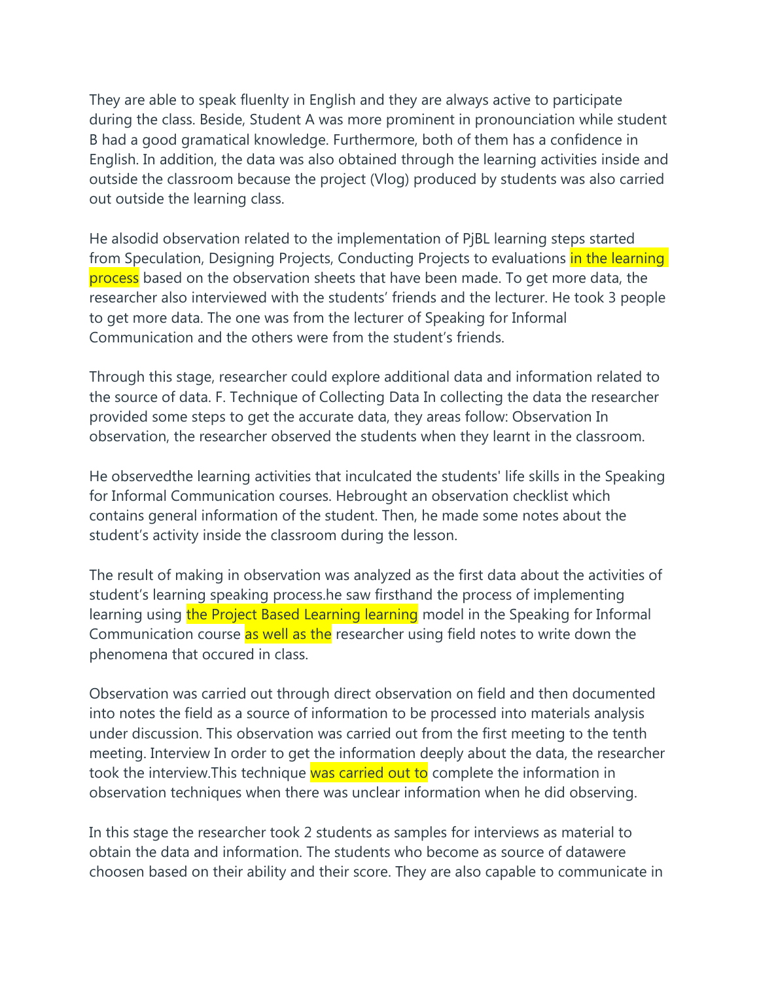They are able to speak fluenlty in English and they are always active to participate during the class. Beside, Student A was more prominent in pronounciation while student B had a good gramatical knowledge. Furthermore, both of them has a confidence in English. In addition, the data was also obtained through the learning activities inside and outside the classroom because the project (Vlog) produced by students was also carried out outside the learning class.

He alsodid observation related to the implementation of PjBL learning steps started from Speculation, Designing Projects, Conducting Projects to evaluations in the learning process based on the observation sheets that have been made. To get more data, the researcher also interviewed with the students' friends and the lecturer. He took 3 people to get more data. The one was from the lecturer of Speaking for Informal Communication and the others were from the student's friends.

Through this stage, researcher could explore additional data and information related to the source of data. F. Technique of Collecting Data In collecting the data the researcher provided some steps to get the accurate data, they areas follow: Observation In observation, the researcher observed the students when they learnt in the classroom.

He observedthe learning activities that inculcated the students' life skills in the Speaking for Informal Communication courses. Hebrought an observation checklist which contains general information of the student. Then, he made some notes about the student's activity inside the classroom during the lesson.

The result of making in observation was analyzed as the first data about the activities of student's learning speaking process.he saw firsthand the process of implementing learning using the Project Based Learning learning model in the Speaking for Informal Communication course as well as the researcher using field notes to write down the phenomena that occured in class.

Observation was carried out through direct observation on field and then documented into notes the field as a source of information to be processed into materials analysis under discussion. This observation was carried out from the first meeting to the tenth meeting. Interview In order to get the information deeply about the data, the researcher took the interview. This technique was carried out to complete the information in observation techniques when there was unclear information when he did observing.

In this stage the researcher took 2 students as samples for interviews as material to obtain the data and information. The students who become as source of datawere choosen based on their ability and their score. They are also capable to communicate in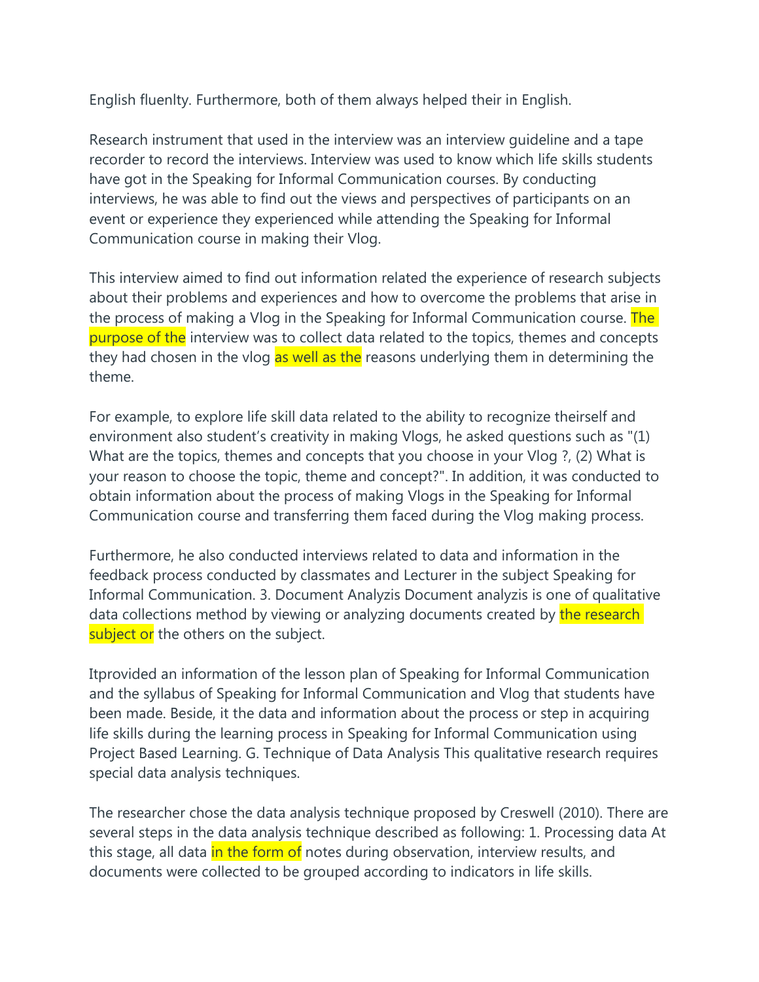English fluenlty. Furthermore, both of them always helped their in English.

Research instrument that used in the interview was an interview guideline and a tape recorder to record the interviews. Interview was used to know which life skills students have got in the Speaking for Informal Communication courses. By conducting interviews, he was able to find out the views and perspectives of participants on an event or experience they experienced while attending the Speaking for Informal Communication course in making their Vlog.

This interview aimed to find out information related the experience of research subjects about their problems and experiences and how to overcome the problems that arise in the process of making a Vlog in the Speaking for Informal Communication course. The purpose of the interview was to collect data related to the topics, themes and concepts they had chosen in the vlog as well as the reasons underlying them in determining the theme.

For example, to explore life skill data related to the ability to recognize theirself and environment also student's creativity in making Vlogs, he asked questions such as "(1) What are the topics, themes and concepts that you choose in your Vlog ?, (2) What is your reason to choose the topic, theme and concept?". In addition, it was conducted to obtain information about the process of making Vlogs in the Speaking for Informal Communication course and transferring them faced during the Vlog making process.

Furthermore, he also conducted interviews related to data and information in the feedback process conducted by classmates and Lecturer in the subject Speaking for Informal Communication. 3. Document Analyzis Document analyzis is one of qualitative data collections method by viewing or analyzing documents created by the research subject or the others on the subject.

Itprovided an information of the lesson plan of Speaking for Informal Communication and the syllabus of Speaking for Informal Communication and Vlog that students have been made. Beside, it the data and information about the process or step in acquiring life skills during the learning process in Speaking for Informal Communication using Project Based Learning. G. Technique of Data Analysis This qualitative research requires special data analysis techniques.

The researcher chose the data analysis technique proposed by Creswell (2010). There are several steps in the data analysis technique described as following: 1. Processing data At this stage, all data in the form of notes during observation, interview results, and documents were collected to be grouped according to indicators in life skills.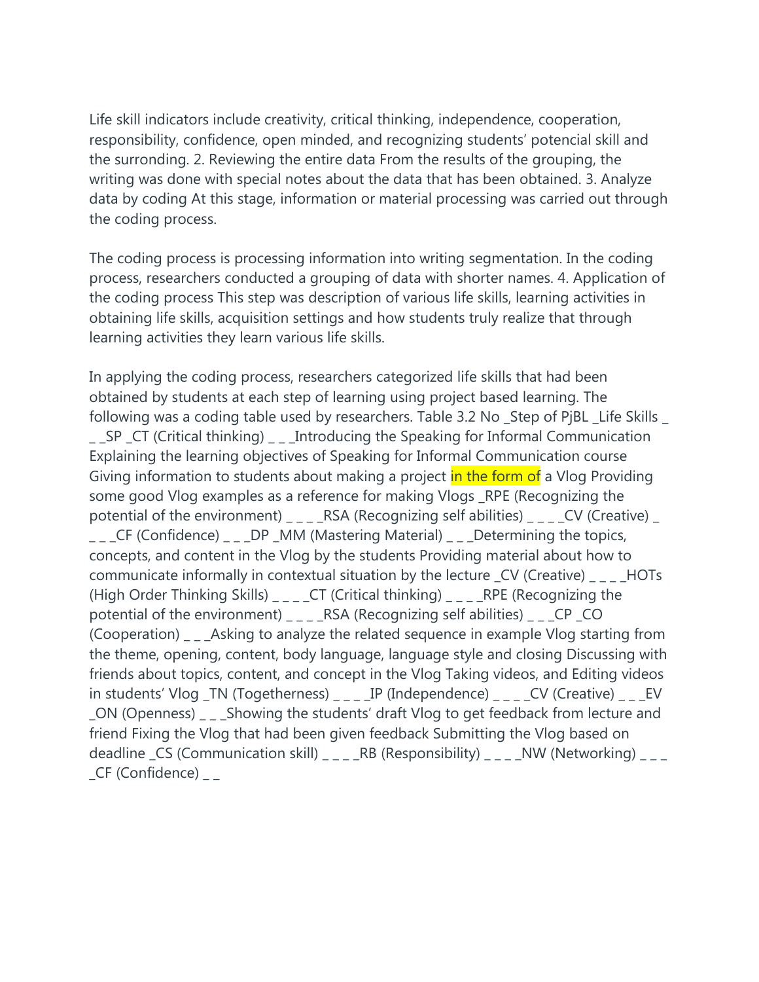Life skill indicators include creativity, critical thinking, independence, cooperation, responsibility, confidence, open minded, and recognizing students' potencial skill and the surronding. 2. Reviewing the entire data From the results of the grouping, the writing was done with special notes about the data that has been obtained. 3. Analyze data by coding At this stage, information or material processing was carried out through the coding process.

The coding process is processing information into writing segmentation. In the coding process, researchers conducted a grouping of data with shorter names. 4. Application of the coding process This step was description of various life skills, learning activities in obtaining life skills, acquisition settings and how students truly realize that through learning activities they learn various life skills.

In applying the coding process, researchers categorized life skills that had been obtained by students at each step of learning using project based learning. The following was a coding table used by researchers. Table 3.2 No \_Step of PjBL \_Life Skills \_ \_ \_SP \_CT (Critical thinking) \_ \_ \_Introducing the Speaking for Informal Communication Explaining the learning objectives of Speaking for Informal Communication course Giving information to students about making a project in the form of a Vlog Providing some good Vlog examples as a reference for making Vlogs \_RPE (Recognizing the potential of the environment) \_ \_ \_ \_ RSA (Recognizing self abilities) \_ \_ \_ \_ CV (Creative) \_ \_ \_ \_CF (Confidence) \_ \_ \_DP \_MM (Mastering Material) \_ \_ \_Determining the topics, concepts, and content in the Vlog by the students Providing material about how to communicate informally in contextual situation by the lecture \_CV (Creative) \_ \_ \_ \_HOTs (High Order Thinking Skills) \_ \_ \_ \_ CT (Critical thinking) \_ \_ \_ \_ RPE (Recognizing the potential of the environment) \_ \_ \_ RSA (Recognizing self abilities) \_ \_ \_ CP \_ CO (Cooperation) \_ \_ \_Asking to analyze the related sequence in example Vlog starting from the theme, opening, content, body language, language style and closing Discussing with friends about topics, content, and concept in the Vlog Taking videos, and Editing videos in students' Vlog \_TN (Togetherness) \_ \_ \_ \_IP (Independence) \_ \_ \_ \_CV (Creative) \_ \_ \_EV \_ON (Openness) \_ \_ \_Showing the students' draft Vlog to get feedback from lecture and friend Fixing the Vlog that had been given feedback Submitting the Vlog based on deadline  $\text{CS}$  (Communication skill)  $\text{S} = \text{CS}$  (Responsibility)  $\text{CS}$   $\text{CS}$  (Networking)  $\text{CS}$  $_C$ F (Confidence)  $_{\_}$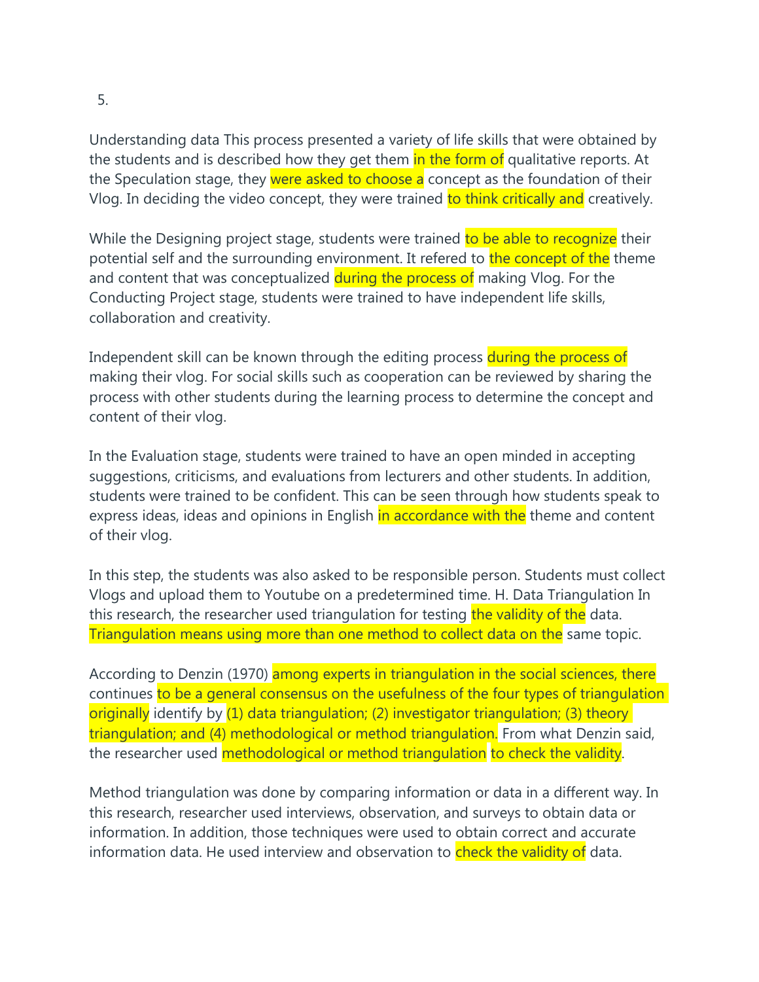5.

Understanding data This process presented a variety of life skills that were obtained by the students and is described how they get them in the form of qualitative reports. At the Speculation stage, they were asked to choose a concept as the foundation of their Vlog. In deciding the video concept, they were trained to think critically and creatively.

While the Designing project stage, students were trained to be able to recognize their potential self and the surrounding environment. It refered to the concept of the theme and content that was conceptualized during the process of making Vlog. For the Conducting Project stage, students were trained to have independent life skills, collaboration and creativity.

Independent skill can be known through the editing process during the process of making their vlog. For social skills such as cooperation can be reviewed by sharing the process with other students during the learning process to determine the concept and content of their vlog.

In the Evaluation stage, students were trained to have an open minded in accepting suggestions, criticisms, and evaluations from lecturers and other students. In addition, students were trained to be confident. This can be seen through how students speak to express ideas, ideas and opinions in English in accordance with the theme and content of their vlog.

In this step, the students was also asked to be responsible person. Students must collect Vlogs and upload them to Youtube on a predetermined time. H. Data Triangulation In this research, the researcher used triangulation for testing the validity of the data. Triangulation means using more than one method to collect data on the same topic.

According to Denzin (1970) among experts in triangulation in the social sciences, there continues to be a general consensus on the usefulness of the four types of triangulation originally identify by (1) data triangulation; (2) investigator triangulation; (3) theory triangulation; and (4) methodological or method triangulation. From what Denzin said, the researcher used methodological or method triangulation to check the validity.

Method triangulation was done by comparing information or data in a different way. In this research, researcher used interviews, observation, and surveys to obtain data or information. In addition, those techniques were used to obtain correct and accurate information data. He used interview and observation to check the validity of data.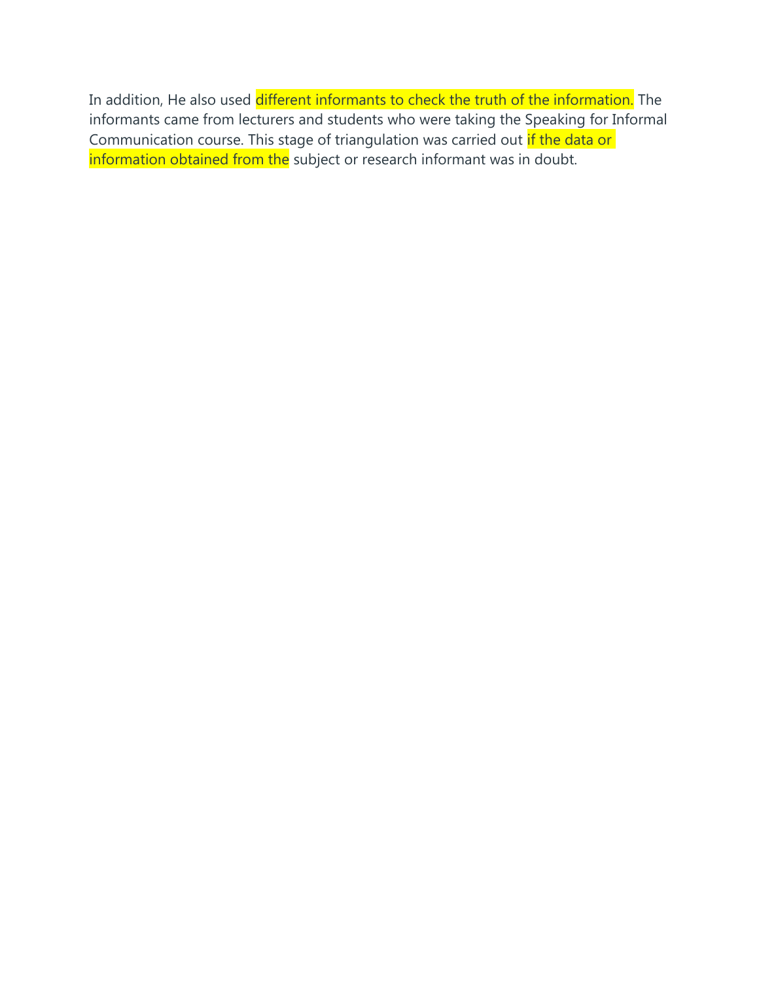In addition, He also used different informants to check the truth of the information. The informants came from lecturers and students who were taking the Speaking for Informal Communication course. This stage of triangulation was carried out if the data or information obtained from the subject or research informant was in doubt.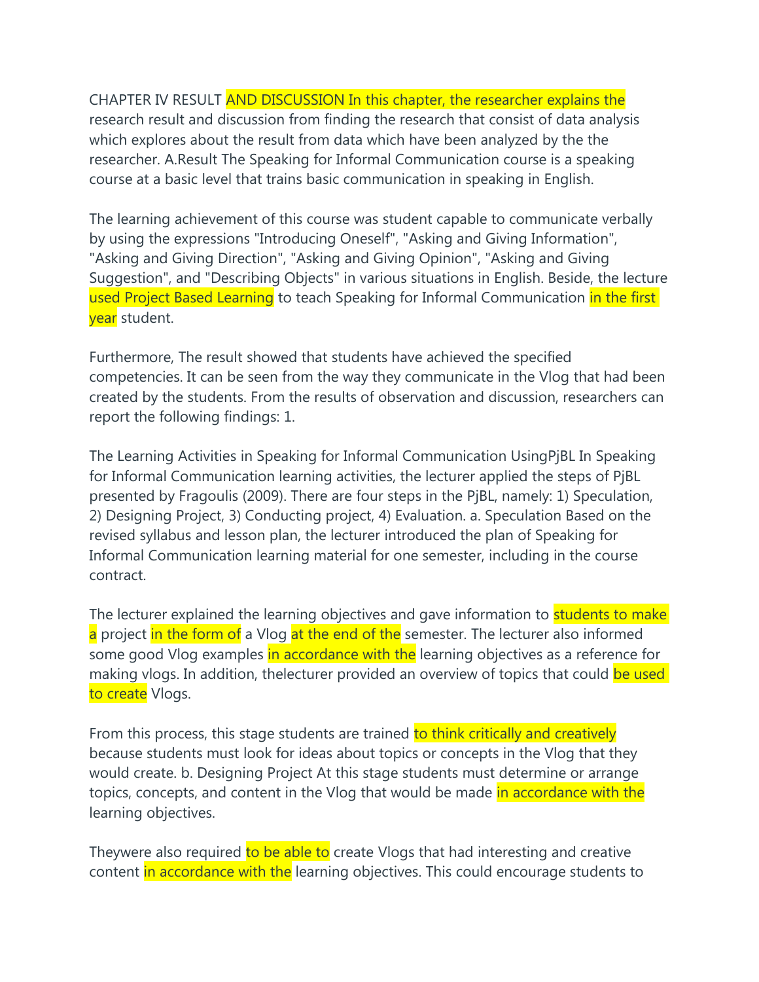CHAPTER IV RESULT AND DISCUSSION In this chapter, the researcher explains the research result and discussion from finding the research that consist of data analysis which explores about the result from data which have been analyzed by the the researcher. A.Result The Speaking for Informal Communication course is a speaking course at a basic level that trains basic communication in speaking in English.

The learning achievement of this course was student capable to communicate verbally by using the expressions "Introducing Oneself", "Asking and Giving Information", "Asking and Giving Direction", "Asking and Giving Opinion", "Asking and Giving Suggestion", and "Describing Objects" in various situations in English. Beside, the lecture used Project Based Learning to teach Speaking for Informal Communication in the first year student.

Furthermore, The result showed that students have achieved the specified competencies. It can be seen from the way they communicate in the Vlog that had been created by the students. From the results of observation and discussion, researchers can report the following findings: 1.

The Learning Activities in Speaking for Informal Communication UsingPjBL In Speaking for Informal Communication learning activities, the lecturer applied the steps of PjBL presented by Fragoulis (2009). There are four steps in the PjBL, namely: 1) Speculation, 2) Designing Project, 3) Conducting project, 4) Evaluation. a. Speculation Based on the revised syllabus and lesson plan, the lecturer introduced the plan of Speaking for Informal Communication learning material for one semester, including in the course contract.

The lecturer explained the learning objectives and gave information to students to make a project in the form of a Vlog at the end of the semester. The lecturer also informed some good Vlog examples in accordance with the learning objectives as a reference for making vlogs. In addition, thelecturer provided an overview of topics that could be used to create Vlogs.

From this process, this stage students are trained to think critically and creatively because students must look for ideas about topics or concepts in the Vlog that they would create. b. Designing Project At this stage students must determine or arrange topics, concepts, and content in the Vlog that would be made in accordance with the learning objectives.

Theywere also required to be able to create Vlogs that had interesting and creative content in accordance with the learning objectives. This could encourage students to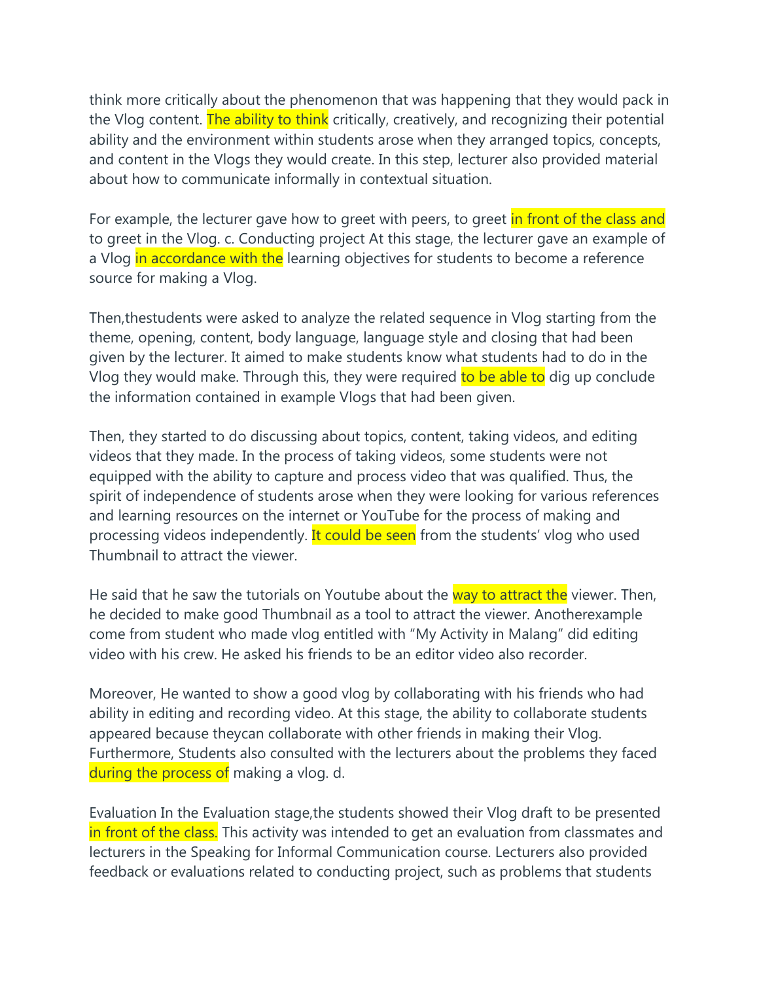think more critically about the phenomenon that was happening that they would pack in the Vlog content. The ability to think critically, creatively, and recognizing their potential ability and the environment within students arose when they arranged topics, concepts, and content in the Vlogs they would create. In this step, lecturer also provided material about how to communicate informally in contextual situation.

For example, the lecturer gave how to greet with peers, to greet in front of the class and to greet in the Vlog. c. Conducting project At this stage, the lecturer gave an example of a Vlog in accordance with the learning objectives for students to become a reference source for making a Vlog.

Then,thestudents were asked to analyze the related sequence in Vlog starting from the theme, opening, content, body language, language style and closing that had been given by the lecturer. It aimed to make students know what students had to do in the Vlog they would make. Through this, they were required to be able to dig up conclude the information contained in example Vlogs that had been given.

Then, they started to do discussing about topics, content, taking videos, and editing videos that they made. In the process of taking videos, some students were not equipped with the ability to capture and process video that was qualified. Thus, the spirit of independence of students arose when they were looking for various references and learning resources on the internet or YouTube for the process of making and processing videos independently. It could be seen from the students' vlog who used Thumbnail to attract the viewer.

He said that he saw the tutorials on Youtube about the way to attract the viewer. Then, he decided to make good Thumbnail as a tool to attract the viewer. Anotherexample come from student who made vlog entitled with "My Activity in Malang" did editing video with his crew. He asked his friends to be an editor video also recorder.

Moreover, He wanted to show a good vlog by collaborating with his friends who had ability in editing and recording video. At this stage, the ability to collaborate students appeared because theycan collaborate with other friends in making their Vlog. Furthermore, Students also consulted with the lecturers about the problems they faced during the process of making a vlog. d.

Evaluation In the Evaluation stage,the students showed their Vlog draft to be presented in front of the class. This activity was intended to get an evaluation from classmates and lecturers in the Speaking for Informal Communication course. Lecturers also provided feedback or evaluations related to conducting project, such as problems that students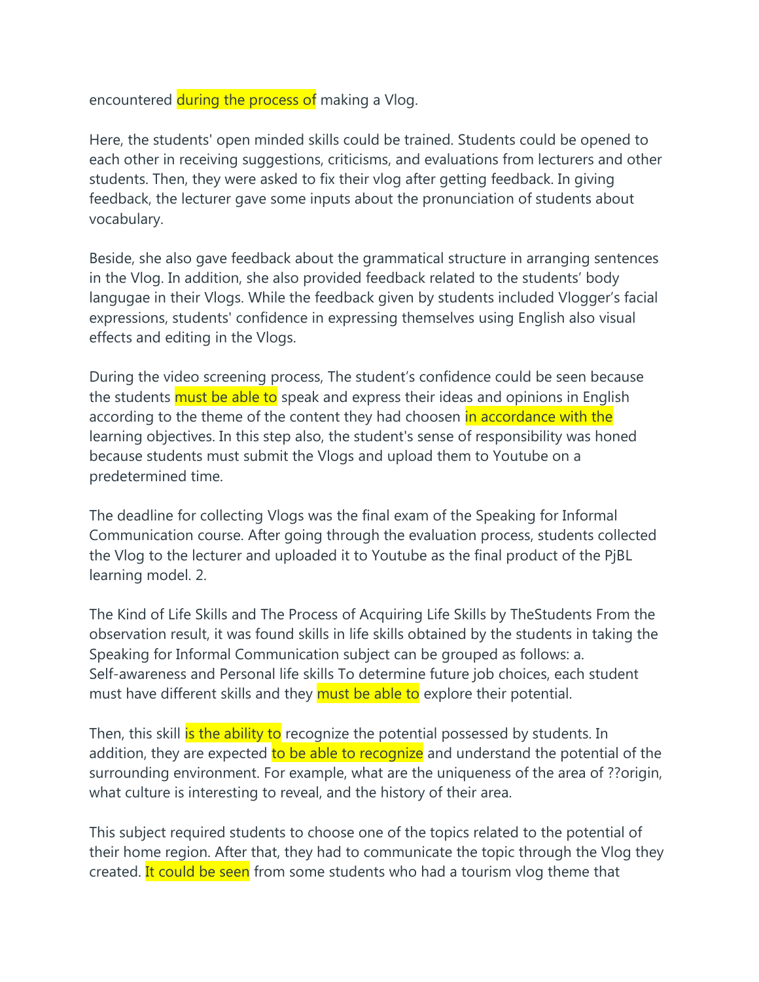encountered during the process of making a Vlog.

Here, the students' open minded skills could be trained. Students could be opened to each other in receiving suggestions, criticisms, and evaluations from lecturers and other students. Then, they were asked to fix their vlog after getting feedback. In giving feedback, the lecturer gave some inputs about the pronunciation of students about vocabulary.

Beside, she also gave feedback about the grammatical structure in arranging sentences in the Vlog. In addition, she also provided feedback related to the students' body langugae in their Vlogs. While the feedback given by students included Vlogger's facial expressions, students' confidence in expressing themselves using English also visual effects and editing in the Vlogs.

During the video screening process, The student's confidence could be seen because the students must be able to speak and express their ideas and opinions in English according to the theme of the content they had choosen in accordance with the learning objectives. In this step also, the student's sense of responsibility was honed because students must submit the Vlogs and upload them to Youtube on a predetermined time.

The deadline for collecting Vlogs was the final exam of the Speaking for Informal Communication course. After going through the evaluation process, students collected the Vlog to the lecturer and uploaded it to Youtube as the final product of the PjBL learning model. 2.

The Kind of Life Skills and The Process of Acquiring Life Skills by TheStudents From the observation result, it was found skills in life skills obtained by the students in taking the Speaking for Informal Communication subject can be grouped as follows: a. Self-awareness and Personal life skills To determine future job choices, each student must have different skills and they must be able to explore their potential.

Then, this skill is the ability to recognize the potential possessed by students. In addition, they are expected to be able to recognize and understand the potential of the surrounding environment. For example, what are the uniqueness of the area of ??origin, what culture is interesting to reveal, and the history of their area.

This subject required students to choose one of the topics related to the potential of their home region. After that, they had to communicate the topic through the Vlog they created. It could be seen from some students who had a tourism vlog theme that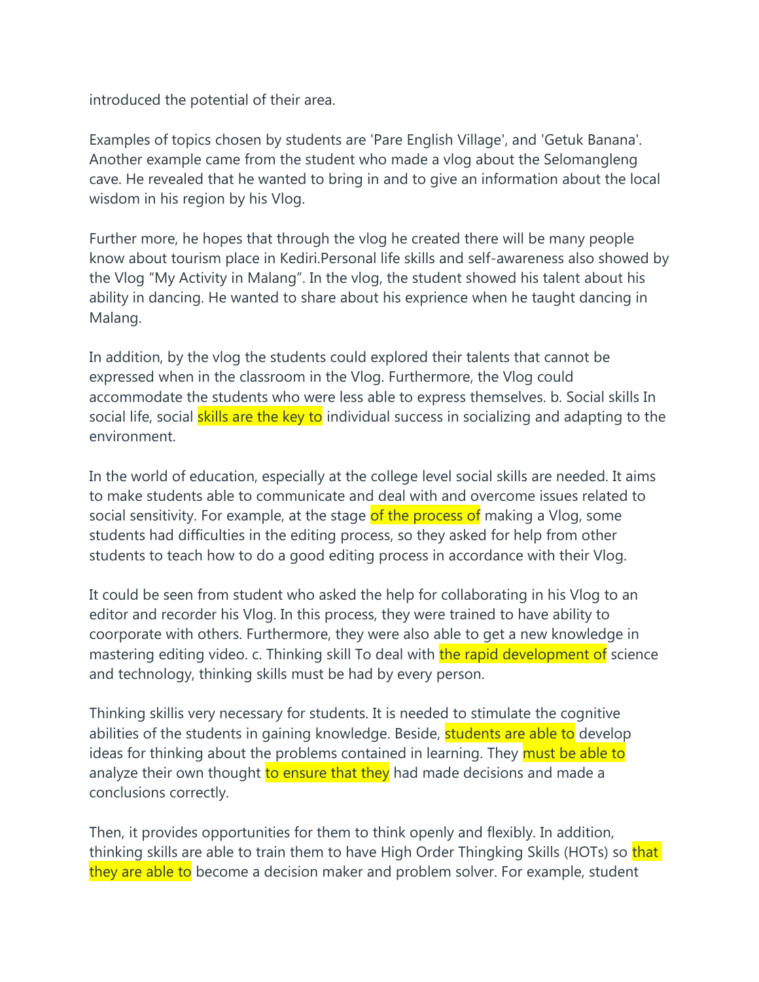introduced the potential of their area.

Examples of topics chosen by students are 'Pare English Village', and 'Getuk Banana'. Another example came from the student who made a vlog about the Selomangleng cave. He revealed that he wanted to bring in and to give an information about the local wisdom in his region by his Vlog.

Further more, he hopes that through the vlog he created there will be many people know about tourism place in Kediri.Personal life skills and self-awareness also showed by the Vlog "My Activity in Malang". In the vlog, the student showed his talent about his ability in dancing. He wanted to share about his exprience when he taught dancing in Malang.

In addition, by the vlog the students could explored their talents that cannot be expressed when in the classroom in the Vlog. Furthermore, the Vlog could accommodate the students who were less able to express themselves. b. Social skills In social life, social skills are the key to individual success in socializing and adapting to the environment.

In the world of education, especially at the college level social skills are needed. It aims to make students able to communicate and deal with and overcome issues related to social sensitivity. For example, at the stage of the process of making a Vlog, some students had difficulties in the editing process, so they asked for help from other students to teach how to do a good editing process in accordance with their Vlog.

It could be seen from student who asked the help for collaborating in his Vlog to an editor and recorder his Vlog. In this process, they were trained to have ability to coorporate with others. Furthermore, they were also able to get a new knowledge in mastering editing video. c. Thinking skill To deal with the rapid development of science and technology, thinking skills must be had by every person.

Thinking skillis very necessary for students. It is needed to stimulate the cognitive abilities of the students in gaining knowledge. Beside, students are able to develop ideas for thinking about the problems contained in learning. They must be able to analyze their own thought to ensure that they had made decisions and made a conclusions correctly.

Then, it provides opportunities for them to think openly and flexibly. In addition, thinking skills are able to train them to have High Order Thingking Skills (HOTs) so that they are able to become a decision maker and problem solver. For example, student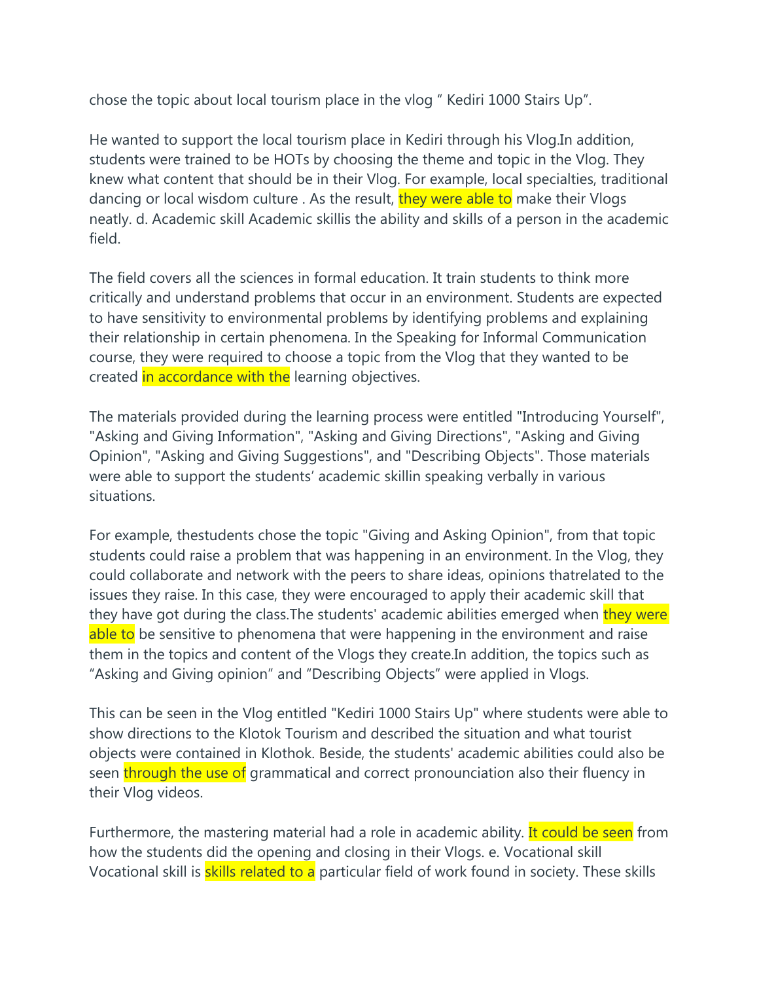chose the topic about local tourism place in the vlog " Kediri 1000 Stairs Up".

He wanted to support the local tourism place in Kediri through his Vlog.In addition, students were trained to be HOTs by choosing the theme and topic in the Vlog. They knew what content that should be in their Vlog. For example, local specialties, traditional dancing or local wisdom culture . As the result, they were able to make their Vlogs neatly. d. Academic skill Academic skillis the ability and skills of a person in the academic field.

The field covers all the sciences in formal education. It train students to think more critically and understand problems that occur in an environment. Students are expected to have sensitivity to environmental problems by identifying problems and explaining their relationship in certain phenomena. In the Speaking for Informal Communication course, they were required to choose a topic from the Vlog that they wanted to be created in accordance with the learning objectives.

The materials provided during the learning process were entitled "Introducing Yourself", "Asking and Giving Information", "Asking and Giving Directions", "Asking and Giving Opinion", "Asking and Giving Suggestions", and "Describing Objects". Those materials were able to support the students' academic skillin speaking verbally in various situations.

For example, thestudents chose the topic "Giving and Asking Opinion", from that topic students could raise a problem that was happening in an environment. In the Vlog, they could collaborate and network with the peers to share ideas, opinions thatrelated to the issues they raise. In this case, they were encouraged to apply their academic skill that they have got during the class. The students' academic abilities emerged when they were able to be sensitive to phenomena that were happening in the environment and raise them in the topics and content of the Vlogs they create.In addition, the topics such as "Asking and Giving opinion" and "Describing Objects" were applied in Vlogs.

This can be seen in the Vlog entitled "Kediri 1000 Stairs Up" where students were able to show directions to the Klotok Tourism and described the situation and what tourist objects were contained in Klothok. Beside, the students' academic abilities could also be seen through the use of grammatical and correct pronounciation also their fluency in their Vlog videos.

Furthermore, the mastering material had a role in academic ability. It could be seen from how the students did the opening and closing in their Vlogs. e. Vocational skill Vocational skill is **skills related to a** particular field of work found in society. These skills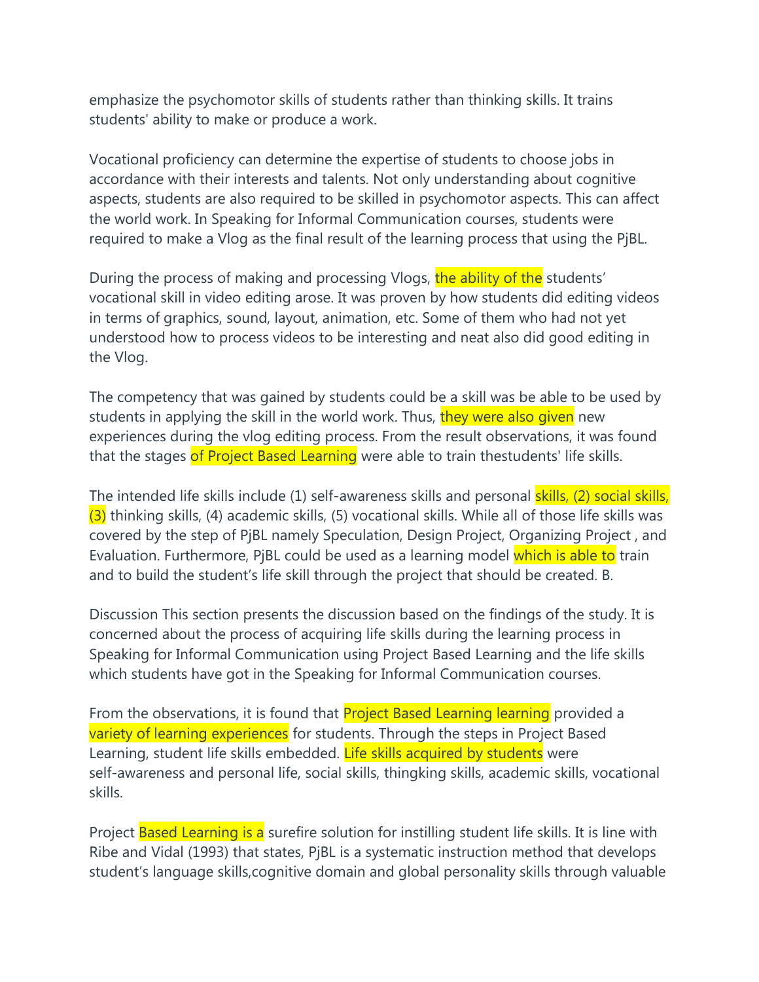emphasize the psychomotor skills of students rather than thinking skills. It trains students' ability to make or produce a work.

Vocational proficiency can determine the expertise of students to choose jobs in accordance with their interests and talents. Not only understanding about cognitive aspects, students are also required to be skilled in psychomotor aspects. This can affect the world work. In Speaking for Informal Communication courses, students were required to make a Vlog as the final result of the learning process that using the PjBL.

During the process of making and processing Vlogs, the ability of the students' vocational skill in video editing arose. It was proven by how students did editing videos in terms of graphics, sound, layout, animation, etc. Some of them who had not yet understood how to process videos to be interesting and neat also did good editing in the Vlog.

The competency that was gained by students could be a skill was be able to be used by students in applying the skill in the world work. Thus, they were also given new experiences during the vlog editing process. From the result observations, it was found that the stages of Project Based Learning were able to train thestudents' life skills.

The intended life skills include (1) self-awareness skills and personal skills, (2) social skills,  $(3)$  thinking skills, (4) academic skills, (5) vocational skills. While all of those life skills was covered by the step of PjBL namely Speculation, Design Project, Organizing Project , and Evaluation. Furthermore, PiBL could be used as a learning model which is able to train and to build the student's life skill through the project that should be created. B.

Discussion This section presents the discussion based on the findings of the study. It is concerned about the process of acquiring life skills during the learning process in Speaking for Informal Communication using Project Based Learning and the life skills which students have got in the Speaking for Informal Communication courses.

From the observations, it is found that **Project Based Learning learning** provided a variety of learning experiences for students. Through the steps in Project Based Learning, student life skills embedded. Life skills acquired by students were self-awareness and personal life, social skills, thingking skills, academic skills, vocational skills.

Project Based Learning is a surefire solution for instilling student life skills. It is line with Ribe and Vidal (1993) that states, PjBL is a systematic instruction method that develops student's language skills,cognitive domain and global personality skills through valuable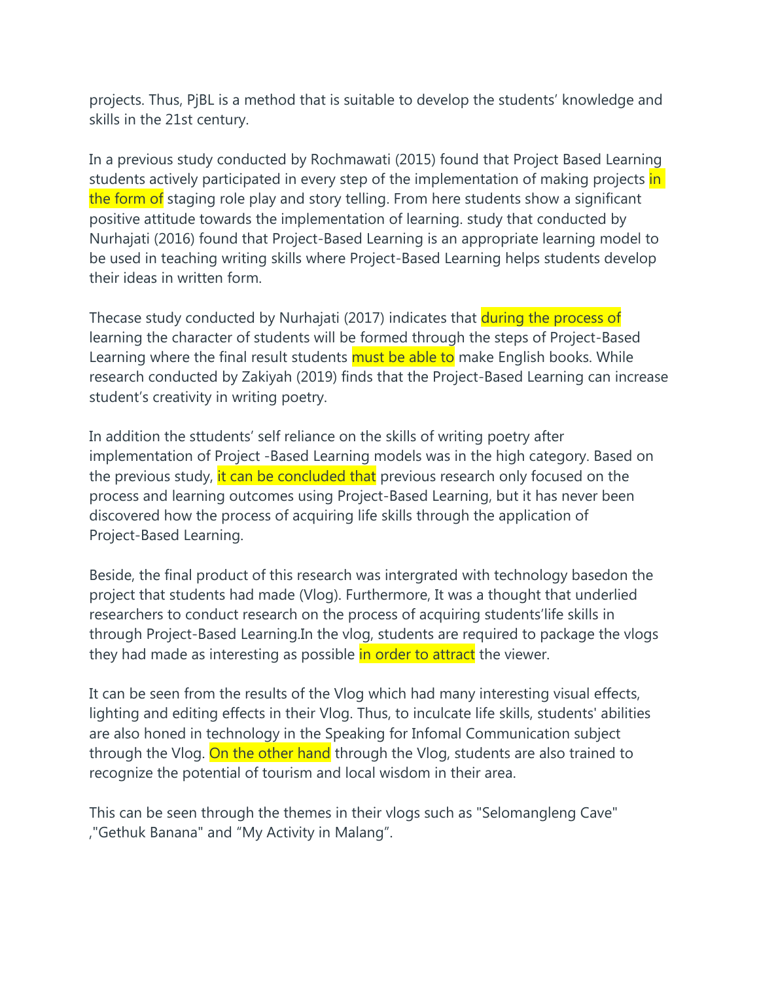projects. Thus, PjBL is a method that is suitable to develop the students' knowledge and skills in the 21st century.

In a previous study conducted by Rochmawati (2015) found that Project Based Learning students actively participated in every step of the implementation of making projects in the form of staging role play and story telling. From here students show a significant positive attitude towards the implementation of learning. study that conducted by Nurhajati (2016) found that Project-Based Learning is an appropriate learning model to be used in teaching writing skills where Project-Based Learning helps students develop their ideas in written form.

Thecase study conducted by Nurhajati (2017) indicates that during the process of learning the character of students will be formed through the steps of Project-Based Learning where the final result students must be able to make English books. While research conducted by Zakiyah (2019) finds that the Project-Based Learning can increase student's creativity in writing poetry.

In addition the sttudents' self reliance on the skills of writing poetry after implementation of Project -Based Learning models was in the high category. Based on the previous study, it can be concluded that previous research only focused on the process and learning outcomes using Project-Based Learning, but it has never been discovered how the process of acquiring life skills through the application of Project-Based Learning.

Beside, the final product of this research was intergrated with technology basedon the project that students had made (Vlog). Furthermore, It was a thought that underlied researchers to conduct research on the process of acquiring students'life skills in through Project-Based Learning.In the vlog, students are required to package the vlogs they had made as interesting as possible in order to attract the viewer.

It can be seen from the results of the Vlog which had many interesting visual effects, lighting and editing effects in their Vlog. Thus, to inculcate life skills, students' abilities are also honed in technology in the Speaking for Infomal Communication subject through the Vlog. On the other hand through the Vlog, students are also trained to recognize the potential of tourism and local wisdom in their area.

This can be seen through the themes in their vlogs such as "Selomangleng Cave" ,"Gethuk Banana" and "My Activity in Malang".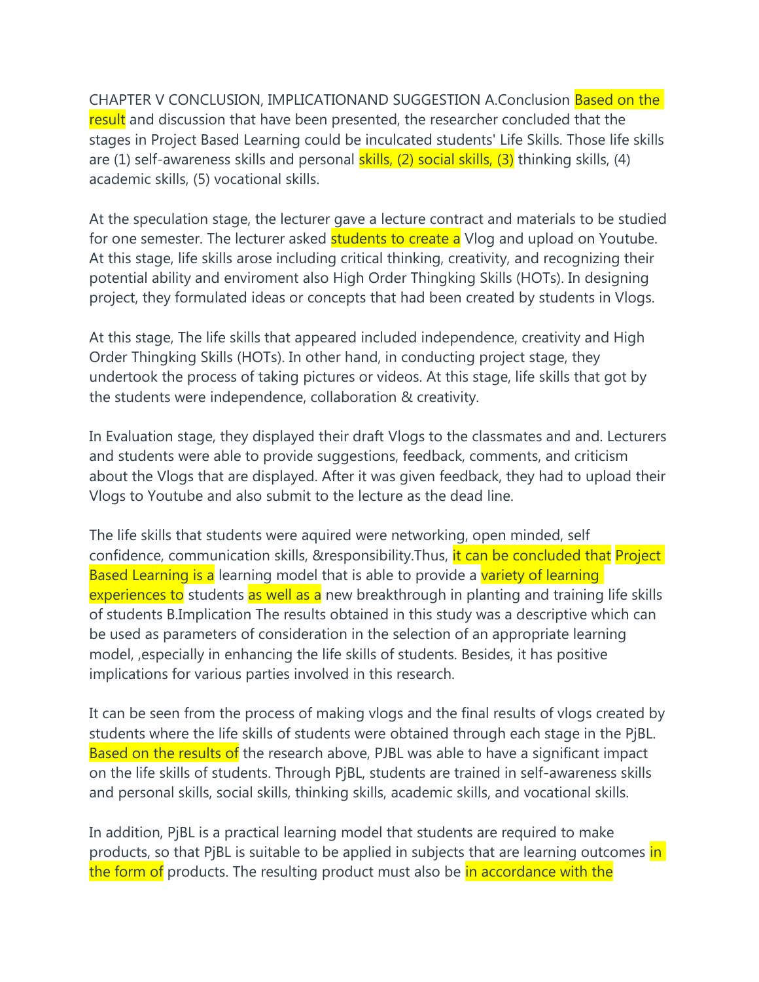CHAPTER V CONCLUSION, IMPLICATIONAND SUGGESTION A.Conclusion Based on the result and discussion that have been presented, the researcher concluded that the stages in Project Based Learning could be inculcated students' Life Skills. Those life skills are (1) self-awareness skills and personal **skills, (2) social skills, (3)** thinking skills, (4) academic skills, (5) vocational skills.

At the speculation stage, the lecturer gave a lecture contract and materials to be studied for one semester. The lecturer asked **students to create a** Vlog and upload on Youtube. At this stage, life skills arose including critical thinking, creativity, and recognizing their potential ability and enviroment also High Order Thingking Skills (HOTs). In designing project, they formulated ideas or concepts that had been created by students in Vlogs.

At this stage, The life skills that appeared included independence, creativity and High Order Thingking Skills (HOTs). In other hand, in conducting project stage, they undertook the process of taking pictures or videos. At this stage, life skills that got by the students were independence, collaboration & creativity.

In Evaluation stage, they displayed their draft Vlogs to the classmates and and. Lecturers and students were able to provide suggestions, feedback, comments, and criticism about the Vlogs that are displayed. After it was given feedback, they had to upload their Vlogs to Youtube and also submit to the lecture as the dead line.

The life skills that students were aquired were networking, open minded, self confidence, communication skills, &responsibility. Thus, it can be concluded that Project Based Learning is a learning model that is able to provide a variety of learning experiences to students as well as a new breakthrough in planting and training life skills of students B.Implication The results obtained in this study was a descriptive which can be used as parameters of consideration in the selection of an appropriate learning model, ,especially in enhancing the life skills of students. Besides, it has positive implications for various parties involved in this research.

It can be seen from the process of making vlogs and the final results of vlogs created by students where the life skills of students were obtained through each stage in the PjBL. Based on the results of the research above, PJBL was able to have a significant impact on the life skills of students. Through PjBL, students are trained in self-awareness skills and personal skills, social skills, thinking skills, academic skills, and vocational skills.

In addition, PjBL is a practical learning model that students are required to make products, so that PiBL is suitable to be applied in subjects that are learning outcomes in the form of products. The resulting product must also be in accordance with the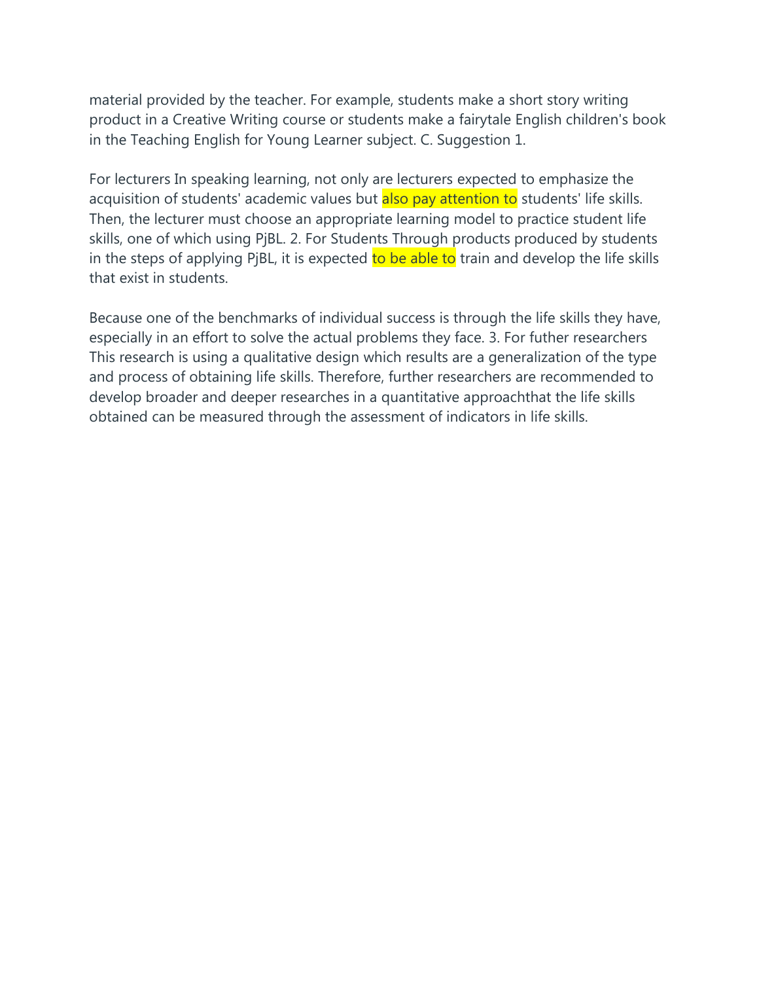material provided by the teacher. For example, students make a short story writing product in a Creative Writing course or students make a fairytale English children's book in the Teaching English for Young Learner subject. C. Suggestion 1.

For lecturers In speaking learning, not only are lecturers expected to emphasize the acquisition of students' academic values but also pay attention to students' life skills. Then, the lecturer must choose an appropriate learning model to practice student life skills, one of which using PjBL. 2. For Students Through products produced by students in the steps of applying PjBL, it is expected to be able to train and develop the life skills that exist in students.

Because one of the benchmarks of individual success is through the life skills they have, especially in an effort to solve the actual problems they face. 3. For futher researchers This research is using a qualitative design which results are a generalization of the type and process of obtaining life skills. Therefore, further researchers are recommended to develop broader and deeper researches in a quantitative approachthat the life skills obtained can be measured through the assessment of indicators in life skills.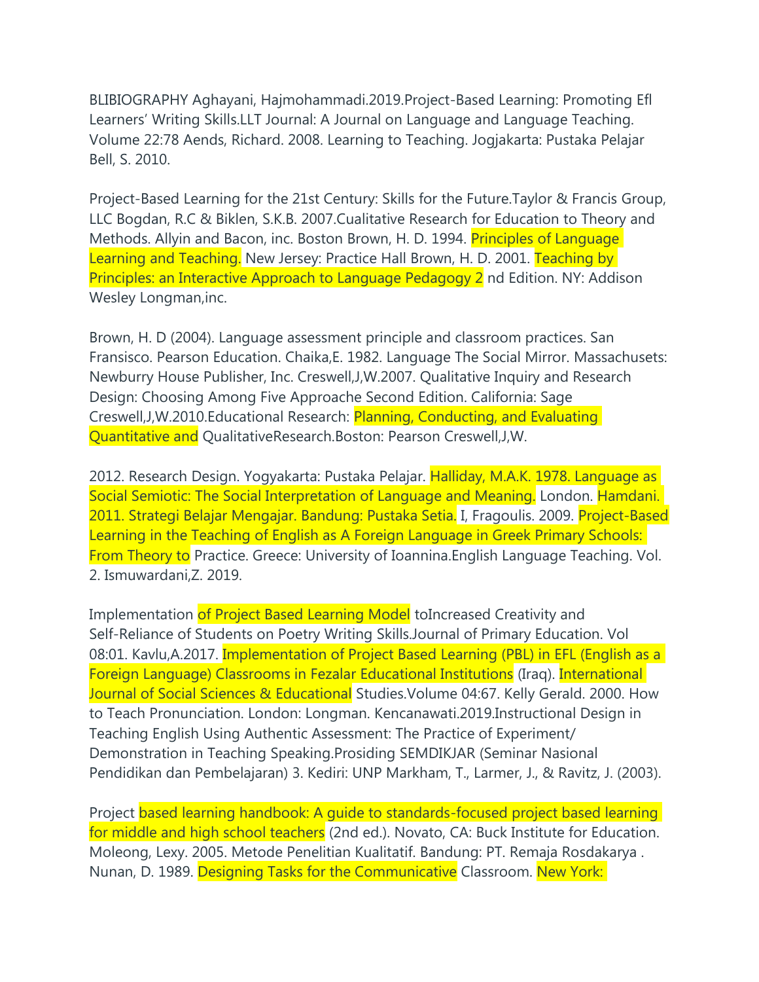BLIBIOGRAPHY Aghayani, Hajmohammadi.2019.Project-Based Learning: Promoting Efl Learners' Writing Skills.LLT Journal: A Journal on Language and Language Teaching. Volume 22:78 Aends, Richard. 2008. Learning to Teaching. Jogjakarta: Pustaka Pelajar Bell, S. 2010.

Project-Based Learning for the 21st Century: Skills for the Future.Taylor & Francis Group, LLC Bogdan, R.C & Biklen, S.K.B. 2007.Cualitative Research for Education to Theory and Methods. Allyin and Bacon, inc. Boston Brown, H. D. 1994. Principles of Language Learning and Teaching. New Jersey: Practice Hall Brown, H. D. 2001. Teaching by Principles: an Interactive Approach to Language Pedagogy 2 nd Edition. NY: Addison Wesley Longman,inc.

Brown, H. D (2004). Language assessment principle and classroom practices. San Fransisco. Pearson Education. Chaika,E. 1982. Language The Social Mirror. Massachusets: Newburry House Publisher, Inc. Creswell,J,W.2007. Qualitative Inquiry and Research Design: Choosing Among Five Approache Second Edition. California: Sage Creswell,J,W.2010.Educational Research: Planning, Conducting, and Evaluating Quantitative and QualitativeResearch.Boston: Pearson Creswell,J,W.

2012. Research Design. Yogyakarta: Pustaka Pelajar. Halliday, M.A.K. 1978. Language as Social Semiotic: The Social Interpretation of Language and Meaning. London. Hamdani. 2011. Strategi Belajar Mengajar. Bandung: Pustaka Setia. I, Fragoulis. 2009. Project-Based Learning in the Teaching of English as A Foreign Language in Greek Primary Schools: From Theory to Practice. Greece: University of Ioannina.English Language Teaching. Vol. 2. Ismuwardani,Z. 2019.

Implementation of Project Based Learning Model to Increased Creativity and Self-Reliance of Students on Poetry Writing Skills.Journal of Primary Education. Vol 08:01. Kavlu, A.2017. Implementation of Project Based Learning (PBL) in EFL (English as a Foreign Language) Classrooms in Fezalar Educational Institutions (Iraq). International Journal of Social Sciences & Educational Studies. Volume 04:67. Kelly Gerald. 2000. How to Teach Pronunciation. London: Longman. Kencanawati.2019.Instructional Design in Teaching English Using Authentic Assessment: The Practice of Experiment/ Demonstration in Teaching Speaking.Prosiding SEMDIKJAR (Seminar Nasional Pendidikan dan Pembelajaran) 3. Kediri: UNP Markham, T., Larmer, J., & Ravitz, J. (2003).

Project based learning handbook: A guide to standards-focused project based learning for middle and high school teachers (2nd ed.). Novato, CA: Buck Institute for Education. Moleong, Lexy. 2005. Metode Penelitian Kualitatif. Bandung: PT. Remaja Rosdakarya . Nunan, D. 1989. Designing Tasks for the Communicative Classroom. New York: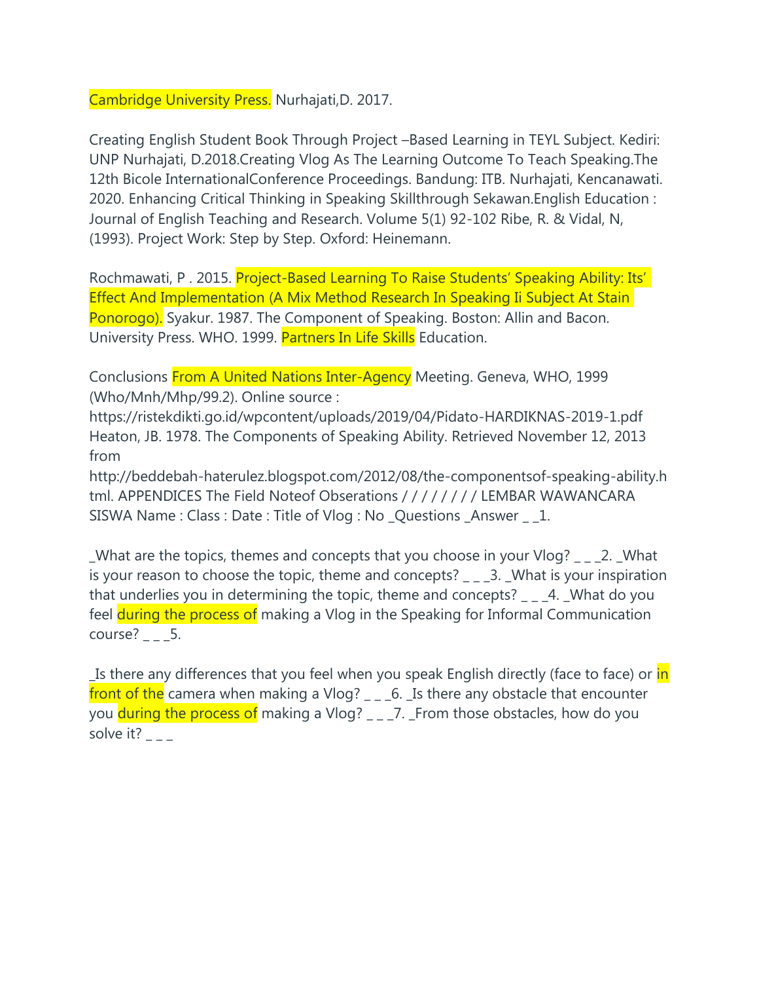Cambridge University Press. Nurhajati,D. 2017.

Creating English Student Book Through Project –Based Learning in TEYL Subject. Kediri: UNP Nurhajati, D.2018.Creating Vlog As The Learning Outcome To Teach Speaking.The 12th Bicole InternationalConference Proceedings. Bandung: ITB. Nurhajati, Kencanawati. 2020. Enhancing Critical Thinking in Speaking Skillthrough Sekawan.English Education : Journal of English Teaching and Research. Volume 5(1) 92-102 Ribe, R. & Vidal, N, (1993). Project Work: Step by Step. Oxford: Heinemann.

Rochmawati, P. 2015. Project-Based Learning To Raise Students' Speaking Ability: Its' Effect And Implementation (A Mix Method Research In Speaking Ii Subject At Stain Ponorogo). Syakur. 1987. The Component of Speaking. Boston: Allin and Bacon. University Press. WHO. 1999. Partners In Life Skills Education.

Conclusions From A United Nations Inter-Agency Meeting. Geneva, WHO, 1999 (Who/Mnh/Mhp/99.2). Online source :

https://ristekdikti.go.id/wpcontent/uploads/2019/04/Pidato-HARDIKNAS-2019-1.pdf Heaton, JB. 1978. The Components of Speaking Ability. Retrieved November 12, 2013 from

http://beddebah-haterulez.blogspot.com/2012/08/the-componentsof-speaking-ability.h tml. APPENDICES The Field Noteof Obserations / / / / / / / / LEMBAR WAWANCARA SISWA Name : Class : Date : Title of Vlog : No \_Questions \_Answer \_ \_1.

\_What are the topics, themes and concepts that you choose in your Vlog? \_ \_ \_2. \_What is your reason to choose the topic, theme and concepts? \_ \_ \_3. \_What is your inspiration that underlies you in determining the topic, theme and concepts? \_ \_ \_4. \_What do you feel during the process of making a Vlog in the Speaking for Informal Communication course?  $_{-\,-}$  5.

Ls there any differences that you feel when you speak English directly (face to face) or in front of the camera when making a Vlog?  $_{-\, -}$  6. Lis there any obstacle that encounter you during the process of making a Vlog? \_ \_ \_7. \_ From those obstacles, how do you solve it?  $-$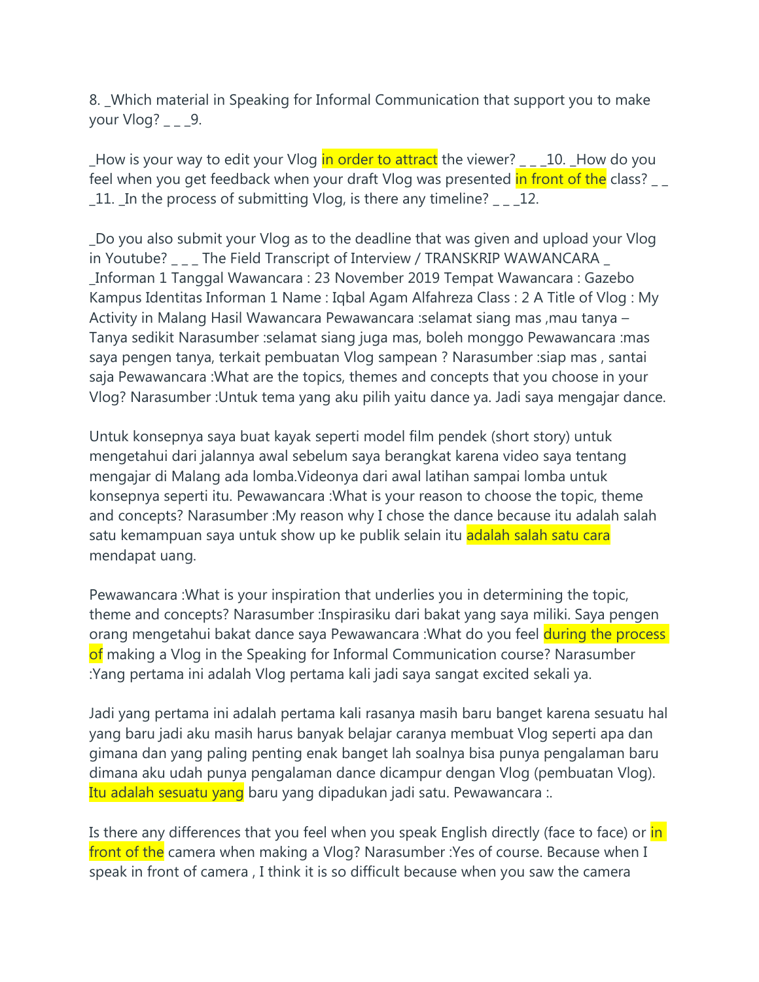8. \_Which material in Speaking for Informal Communication that support you to make your  $Vlog?$  \_ \_ \_9.

\_How is your way to edit your Vlog in order to attract the viewer? \_ \_ \_10. \_How do you feel when you get feedback when your draft Vlog was presented in front of the class? \_11. \_In the process of submitting Vlog, is there any timeline? \_ \_ \_12.

\_Do you also submit your Vlog as to the deadline that was given and upload your Vlog in Youtube? \_ \_ \_ The Field Transcript of Interview / TRANSKRIP WAWANCARA \_ \_Informan 1 Tanggal Wawancara : 23 November 2019 Tempat Wawancara : Gazebo Kampus Identitas Informan 1 Name : Iqbal Agam Alfahreza Class : 2 A Title of Vlog : My Activity in Malang Hasil Wawancara Pewawancara :selamat siang mas ,mau tanya – Tanya sedikit Narasumber :selamat siang juga mas, boleh monggo Pewawancara :mas saya pengen tanya, terkait pembuatan Vlog sampean ? Narasumber :siap mas , santai saja Pewawancara :What are the topics, themes and concepts that you choose in your Vlog? Narasumber :Untuk tema yang aku pilih yaitu dance ya. Jadi saya mengajar dance.

Untuk konsepnya saya buat kayak seperti model film pendek (short story) untuk mengetahui dari jalannya awal sebelum saya berangkat karena video saya tentang mengajar di Malang ada lomba.Videonya dari awal latihan sampai lomba untuk konsepnya seperti itu. Pewawancara :What is your reason to choose the topic, theme and concepts? Narasumber :My reason why I chose the dance because itu adalah salah satu kemampuan saya untuk show up ke publik selain itu adalah salah satu cara mendapat uang.

Pewawancara :What is your inspiration that underlies you in determining the topic, theme and concepts? Narasumber :Inspirasiku dari bakat yang saya miliki. Saya pengen orang mengetahui bakat dance saya Pewawancara : What do you feel during the process of making a Vlog in the Speaking for Informal Communication course? Narasumber :Yang pertama ini adalah Vlog pertama kali jadi saya sangat excited sekali ya.

Jadi yang pertama ini adalah pertama kali rasanya masih baru banget karena sesuatu hal yang baru jadi aku masih harus banyak belajar caranya membuat Vlog seperti apa dan gimana dan yang paling penting enak banget lah soalnya bisa punya pengalaman baru dimana aku udah punya pengalaman dance dicampur dengan Vlog (pembuatan Vlog). Itu adalah sesuatu yang baru yang dipadukan jadi satu. Pewawancara :.

Is there any differences that you feel when you speak English directly (face to face) or in front of the camera when making a Vlog? Narasumber : Yes of course. Because when I speak in front of camera , I think it is so difficult because when you saw the camera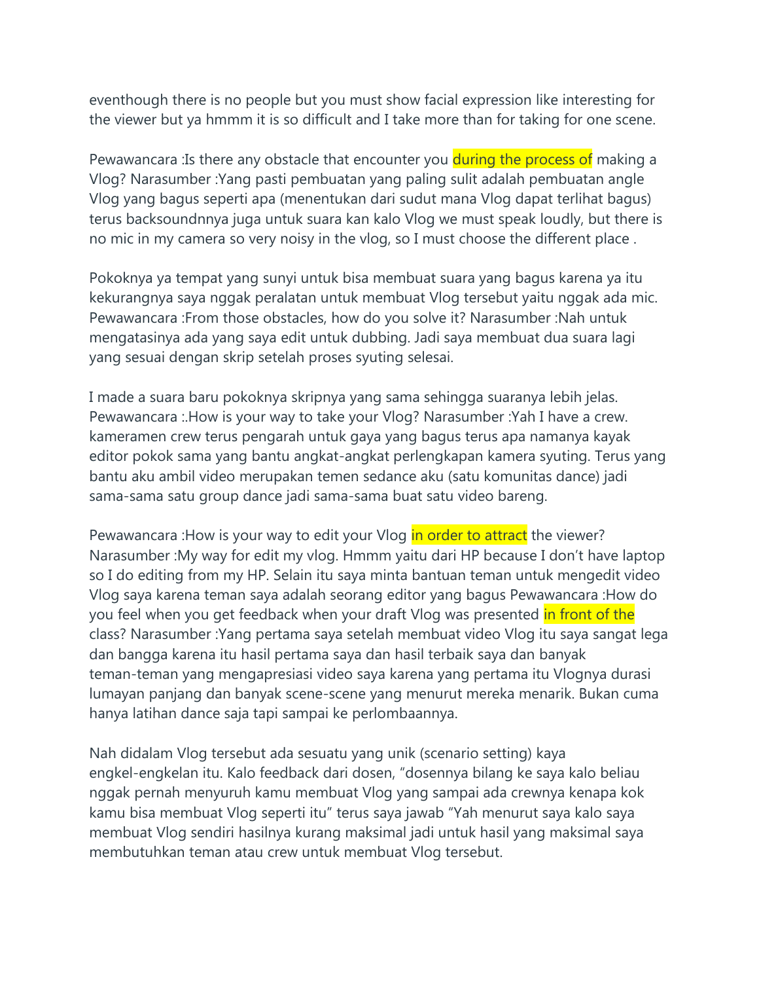eventhough there is no people but you must show facial expression like interesting for the viewer but ya hmmm it is so difficult and I take more than for taking for one scene.

Pewawancara : Is there any obstacle that encounter you during the process of making a Vlog? Narasumber :Yang pasti pembuatan yang paling sulit adalah pembuatan angle Vlog yang bagus seperti apa (menentukan dari sudut mana Vlog dapat terlihat bagus) terus backsoundnnya juga untuk suara kan kalo Vlog we must speak loudly, but there is no mic in my camera so very noisy in the vlog, so I must choose the different place .

Pokoknya ya tempat yang sunyi untuk bisa membuat suara yang bagus karena ya itu kekurangnya saya nggak peralatan untuk membuat Vlog tersebut yaitu nggak ada mic. Pewawancara :From those obstacles, how do you solve it? Narasumber :Nah untuk mengatasinya ada yang saya edit untuk dubbing. Jadi saya membuat dua suara lagi yang sesuai dengan skrip setelah proses syuting selesai.

I made a suara baru pokoknya skripnya yang sama sehingga suaranya lebih jelas. Pewawancara :.How is your way to take your Vlog? Narasumber :Yah I have a crew. kameramen crew terus pengarah untuk gaya yang bagus terus apa namanya kayak editor pokok sama yang bantu angkat-angkat perlengkapan kamera syuting. Terus yang bantu aku ambil video merupakan temen sedance aku (satu komunitas dance) jadi sama-sama satu group dance jadi sama-sama buat satu video bareng.

Pewawancara : How is your way to edit your Vlog in order to attract the viewer? Narasumber :My way for edit my vlog. Hmmm yaitu dari HP because I don't have laptop so I do editing from my HP. Selain itu saya minta bantuan teman untuk mengedit video Vlog saya karena teman saya adalah seorang editor yang bagus Pewawancara :How do you feel when you get feedback when your draft Vlog was presented in front of the class? Narasumber :Yang pertama saya setelah membuat video Vlog itu saya sangat lega dan bangga karena itu hasil pertama saya dan hasil terbaik saya dan banyak teman-teman yang mengapresiasi video saya karena yang pertama itu Vlognya durasi lumayan panjang dan banyak scene-scene yang menurut mereka menarik. Bukan cuma hanya latihan dance saja tapi sampai ke perlombaannya.

Nah didalam Vlog tersebut ada sesuatu yang unik (scenario setting) kaya engkel-engkelan itu. Kalo feedback dari dosen, "dosennya bilang ke saya kalo beliau nggak pernah menyuruh kamu membuat Vlog yang sampai ada crewnya kenapa kok kamu bisa membuat Vlog seperti itu" terus saya jawab "Yah menurut saya kalo saya membuat Vlog sendiri hasilnya kurang maksimal jadi untuk hasil yang maksimal saya membutuhkan teman atau crew untuk membuat Vlog tersebut.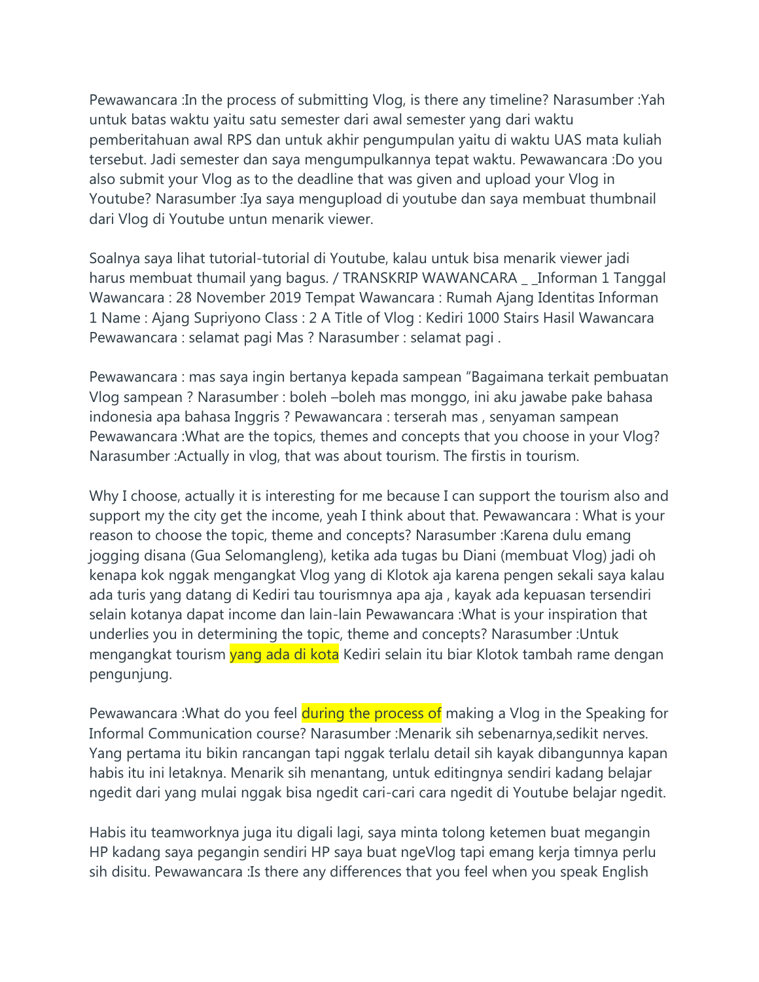Pewawancara :In the process of submitting Vlog, is there any timeline? Narasumber :Yah untuk batas waktu yaitu satu semester dari awal semester yang dari waktu pemberitahuan awal RPS dan untuk akhir pengumpulan yaitu di waktu UAS mata kuliah tersebut. Jadi semester dan saya mengumpulkannya tepat waktu. Pewawancara :Do you also submit your Vlog as to the deadline that was given and upload your Vlog in Youtube? Narasumber :Iya saya mengupload di youtube dan saya membuat thumbnail dari Vlog di Youtube untun menarik viewer.

Soalnya saya lihat tutorial-tutorial di Youtube, kalau untuk bisa menarik viewer jadi harus membuat thumail yang bagus. / TRANSKRIP WAWANCARA \_ \_ Informan 1 Tanggal Wawancara : 28 November 2019 Tempat Wawancara : Rumah Ajang Identitas Informan 1 Name : Ajang Supriyono Class : 2 A Title of Vlog : Kediri 1000 Stairs Hasil Wawancara Pewawancara : selamat pagi Mas ? Narasumber : selamat pagi .

Pewawancara : mas saya ingin bertanya kepada sampean "Bagaimana terkait pembuatan Vlog sampean ? Narasumber : boleh –boleh mas monggo, ini aku jawabe pake bahasa indonesia apa bahasa Inggris ? Pewawancara : terserah mas , senyaman sampean Pewawancara :What are the topics, themes and concepts that you choose in your Vlog? Narasumber :Actually in vlog, that was about tourism. The firstis in tourism.

Why I choose, actually it is interesting for me because I can support the tourism also and support my the city get the income, yeah I think about that. Pewawancara : What is your reason to choose the topic, theme and concepts? Narasumber :Karena dulu emang jogging disana (Gua Selomangleng), ketika ada tugas bu Diani (membuat Vlog) jadi oh kenapa kok nggak mengangkat Vlog yang di Klotok aja karena pengen sekali saya kalau ada turis yang datang di Kediri tau tourismnya apa aja , kayak ada kepuasan tersendiri selain kotanya dapat income dan lain-lain Pewawancara :What is your inspiration that underlies you in determining the topic, theme and concepts? Narasumber :Untuk mengangkat tourism vang ada di kota Kediri selain itu biar Klotok tambah rame dengan pengunjung.

Pewawancara : What do you feel during the process of making a Vlog in the Speaking for Informal Communication course? Narasumber :Menarik sih sebenarnya,sedikit nerves. Yang pertama itu bikin rancangan tapi nggak terlalu detail sih kayak dibangunnya kapan habis itu ini letaknya. Menarik sih menantang, untuk editingnya sendiri kadang belajar ngedit dari yang mulai nggak bisa ngedit cari-cari cara ngedit di Youtube belajar ngedit.

Habis itu teamworknya juga itu digali lagi, saya minta tolong ketemen buat megangin HP kadang saya pegangin sendiri HP saya buat ngeVlog tapi emang kerja timnya perlu sih disitu. Pewawancara :Is there any differences that you feel when you speak English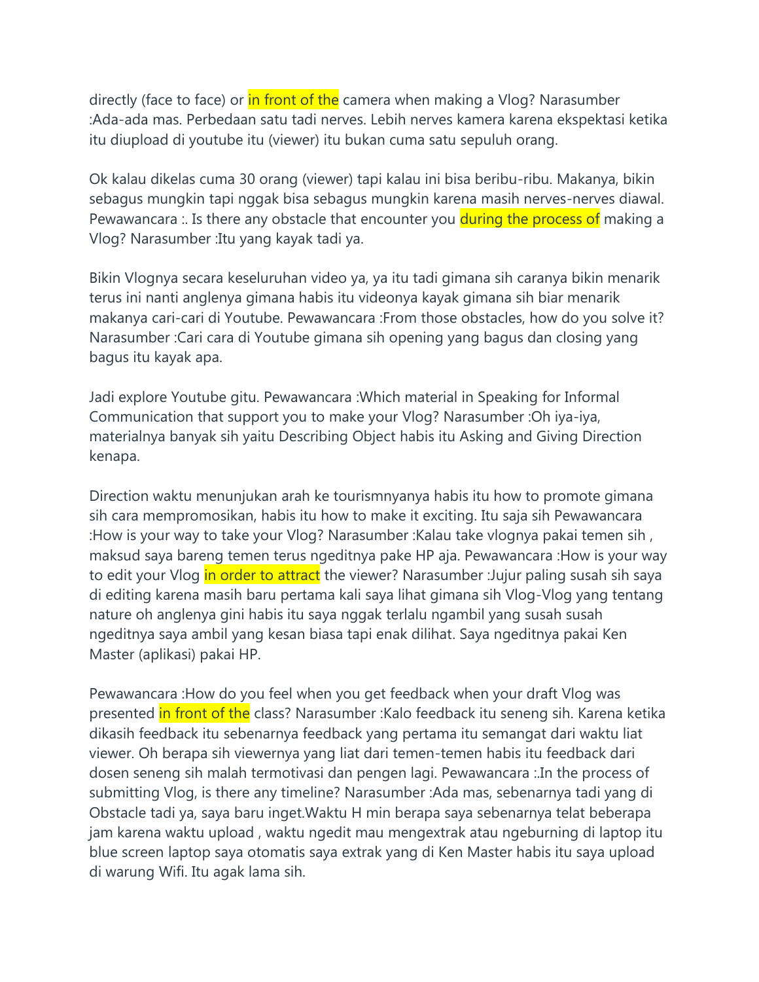directly (face to face) or in front of the camera when making a Vlog? Narasumber :Ada-ada mas. Perbedaan satu tadi nerves. Lebih nerves kamera karena ekspektasi ketika itu diupload di youtube itu (viewer) itu bukan cuma satu sepuluh orang.

Ok kalau dikelas cuma 30 orang (viewer) tapi kalau ini bisa beribu-ribu. Makanya, bikin sebagus mungkin tapi nggak bisa sebagus mungkin karena masih nerves-nerves diawal. Pewawancara :. Is there any obstacle that encounter you **during the process of** making a Vlog? Narasumber :Itu yang kayak tadi ya.

Bikin Vlognya secara keseluruhan video ya, ya itu tadi gimana sih caranya bikin menarik terus ini nanti anglenya gimana habis itu videonya kayak gimana sih biar menarik makanya cari-cari di Youtube. Pewawancara :From those obstacles, how do you solve it? Narasumber :Cari cara di Youtube gimana sih opening yang bagus dan closing yang bagus itu kayak apa.

Jadi explore Youtube gitu. Pewawancara :Which material in Speaking for Informal Communication that support you to make your Vlog? Narasumber :Oh iya-iya, materialnya banyak sih yaitu Describing Object habis itu Asking and Giving Direction kenapa.

Direction waktu menunjukan arah ke tourismnyanya habis itu how to promote gimana sih cara mempromosikan, habis itu how to make it exciting. Itu saja sih Pewawancara :How is your way to take your Vlog? Narasumber :Kalau take vlognya pakai temen sih , maksud saya bareng temen terus ngeditnya pake HP aja. Pewawancara :How is your way to edit your Vlog in order to attract the viewer? Narasumber : Jujur paling susah sih saya di editing karena masih baru pertama kali saya lihat gimana sih Vlog-Vlog yang tentang nature oh anglenya gini habis itu saya nggak terlalu ngambil yang susah susah ngeditnya saya ambil yang kesan biasa tapi enak dilihat. Saya ngeditnya pakai Ken Master (aplikasi) pakai HP.

Pewawancara :How do you feel when you get feedback when your draft Vlog was presented in front of the class? Narasumber :Kalo feedback itu seneng sih. Karena ketika dikasih feedback itu sebenarnya feedback yang pertama itu semangat dari waktu liat viewer. Oh berapa sih viewernya yang liat dari temen-temen habis itu feedback dari dosen seneng sih malah termotivasi dan pengen lagi. Pewawancara :.In the process of submitting Vlog, is there any timeline? Narasumber :Ada mas, sebenarnya tadi yang di Obstacle tadi ya, saya baru inget.Waktu H min berapa saya sebenarnya telat beberapa jam karena waktu upload , waktu ngedit mau mengextrak atau ngeburning di laptop itu blue screen laptop saya otomatis saya extrak yang di Ken Master habis itu saya upload di warung Wifi. Itu agak lama sih.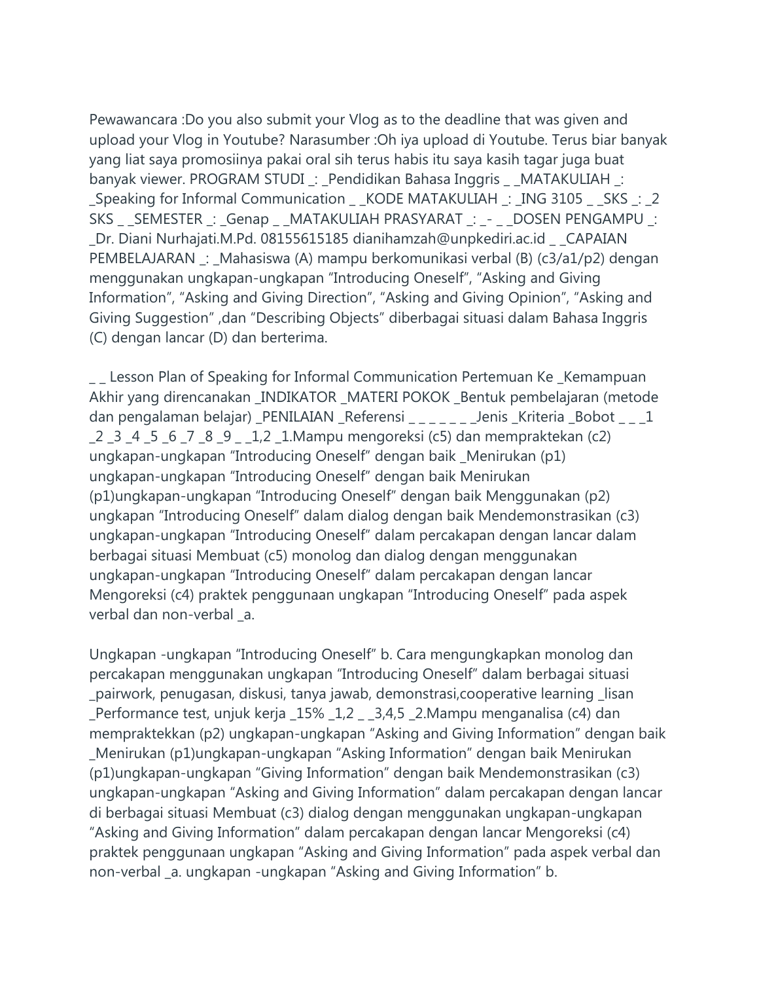Pewawancara :Do you also submit your Vlog as to the deadline that was given and upload your Vlog in Youtube? Narasumber :Oh iya upload di Youtube. Terus biar banyak yang liat saya promosiinya pakai oral sih terus habis itu saya kasih tagar juga buat banyak viewer. PROGRAM STUDI \_: \_Pendidikan Bahasa Inggris \_ \_MATAKULIAH \_: \_Speaking for Informal Communication \_ \_KODE MATAKULIAH \_: \_ING 3105 \_ \_SKS \_: \_2 SKS \_ \_SEMESTER \_: \_Genap \_ \_MATAKULIAH PRASYARAT \_: \_- \_ \_DOSEN PENGAMPU \_: \_Dr. Diani Nurhajati.M.Pd. 08155615185 dianihamzah@unpkediri.ac.id \_ \_CAPAIAN PEMBELAJARAN \_: \_Mahasiswa (A) mampu berkomunikasi verbal (B) (c3/a1/p2) dengan menggunakan ungkapan-ungkapan "Introducing Oneself", "Asking and Giving Information", "Asking and Giving Direction", "Asking and Giving Opinion", "Asking and Giving Suggestion" ,dan "Describing Objects" diberbagai situasi dalam Bahasa Inggris (C) dengan lancar (D) dan berterima.

\_\_ Lesson Plan of Speaking for Informal Communication Pertemuan Ke \_Kemampuan Akhir yang direncanakan \_INDIKATOR \_MATERI POKOK \_Bentuk pembelajaran (metode dan pengalaman belajar) \_PENILAIAN \_Referensi \_ \_ \_ \_ \_ \_ \_ Jenis \_Kriteria \_Bobot \_ \_ \_1 \_2 \_3 \_4 \_5 \_6 \_7 \_8 \_9 \_ \_1,2 \_1.Mampu mengoreksi (c5) dan mempraktekan (c2) ungkapan-ungkapan "Introducing Oneself" dengan baik \_Menirukan (p1) ungkapan-ungkapan "Introducing Oneself" dengan baik Menirukan (p1)ungkapan-ungkapan "Introducing Oneself" dengan baik Menggunakan (p2) ungkapan "Introducing Oneself" dalam dialog dengan baik Mendemonstrasikan (c3) ungkapan-ungkapan "Introducing Oneself" dalam percakapan dengan lancar dalam berbagai situasi Membuat (c5) monolog dan dialog dengan menggunakan ungkapan-ungkapan "Introducing Oneself" dalam percakapan dengan lancar Mengoreksi (c4) praktek penggunaan ungkapan "Introducing Oneself" pada aspek verbal dan non-verbal \_a.

Ungkapan -ungkapan "Introducing Oneself" b. Cara mengungkapkan monolog dan percakapan menggunakan ungkapan "Introducing Oneself" dalam berbagai situasi \_pairwork, penugasan, diskusi, tanya jawab, demonstrasi,cooperative learning \_lisan \_Performance test, unjuk kerja \_15% \_1,2 \_ \_3,4,5 \_2.Mampu menganalisa (c4) dan mempraktekkan (p2) ungkapan-ungkapan "Asking and Giving Information" dengan baik \_Menirukan (p1)ungkapan-ungkapan "Asking Information" dengan baik Menirukan (p1)ungkapan-ungkapan "Giving Information" dengan baik Mendemonstrasikan (c3) ungkapan-ungkapan "Asking and Giving Information" dalam percakapan dengan lancar di berbagai situasi Membuat (c3) dialog dengan menggunakan ungkapan-ungkapan "Asking and Giving Information" dalam percakapan dengan lancar Mengoreksi (c4) praktek penggunaan ungkapan "Asking and Giving Information" pada aspek verbal dan non-verbal \_a. ungkapan -ungkapan "Asking and Giving Information" b.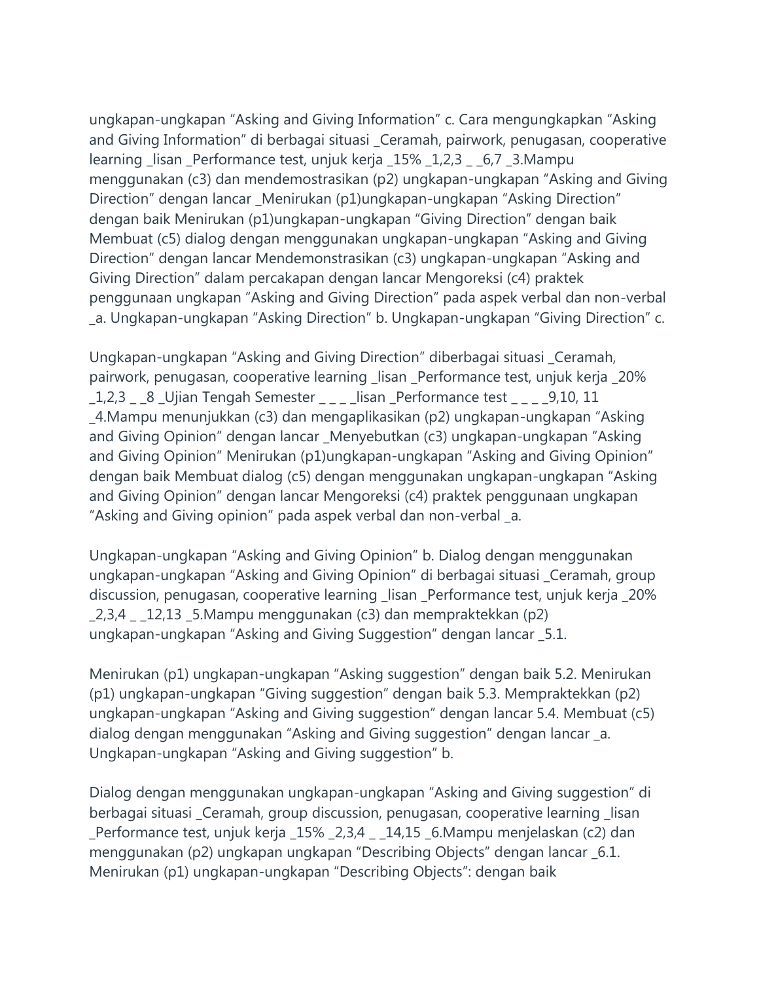ungkapan-ungkapan "Asking and Giving Information" c. Cara mengungkapkan "Asking and Giving Information" di berbagai situasi \_Ceramah, pairwork, penugasan, cooperative learning \_lisan \_Performance test, unjuk kerja \_15% \_1,2,3 \_ \_6,7 \_3.Mampu menggunakan (c3) dan mendemostrasikan (p2) ungkapan-ungkapan "Asking and Giving Direction" dengan lancar \_Menirukan (p1)ungkapan-ungkapan "Asking Direction" dengan baik Menirukan (p1)ungkapan-ungkapan "Giving Direction" dengan baik Membuat (c5) dialog dengan menggunakan ungkapan-ungkapan "Asking and Giving Direction" dengan lancar Mendemonstrasikan (c3) ungkapan-ungkapan "Asking and Giving Direction" dalam percakapan dengan lancar Mengoreksi (c4) praktek penggunaan ungkapan "Asking and Giving Direction" pada aspek verbal dan non-verbal \_a. Ungkapan-ungkapan "Asking Direction" b. Ungkapan-ungkapan "Giving Direction" c.

Ungkapan-ungkapan "Asking and Giving Direction" diberbagai situasi \_Ceramah, pairwork, penugasan, cooperative learning \_lisan \_Performance test, unjuk kerja \_20% \_1,2,3 \_ \_8 \_Ujian Tengah Semester \_ \_ \_ \_lisan \_Performance test \_ \_ \_ \_9,10, 11 \_4.Mampu menunjukkan (c3) dan mengaplikasikan (p2) ungkapan-ungkapan "Asking and Giving Opinion" dengan lancar \_Menyebutkan (c3) ungkapan-ungkapan "Asking and Giving Opinion" Menirukan (p1)ungkapan-ungkapan "Asking and Giving Opinion" dengan baik Membuat dialog (c5) dengan menggunakan ungkapan-ungkapan "Asking and Giving Opinion" dengan lancar Mengoreksi (c4) praktek penggunaan ungkapan "Asking and Giving opinion" pada aspek verbal dan non-verbal \_a.

Ungkapan-ungkapan "Asking and Giving Opinion" b. Dialog dengan menggunakan ungkapan-ungkapan "Asking and Giving Opinion" di berbagai situasi \_Ceramah, group discussion, penugasan, cooperative learning \_lisan \_Performance test, unjuk kerja \_20%  $2,3,4$  12,13 5.Mampu menggunakan (c3) dan mempraktekkan (p2) ungkapan-ungkapan "Asking and Giving Suggestion" dengan lancar \_5.1.

Menirukan (p1) ungkapan-ungkapan "Asking suggestion" dengan baik 5.2. Menirukan (p1) ungkapan-ungkapan "Giving suggestion" dengan baik 5.3. Mempraktekkan (p2) ungkapan-ungkapan "Asking and Giving suggestion" dengan lancar 5.4. Membuat (c5) dialog dengan menggunakan "Asking and Giving suggestion" dengan lancar \_a. Ungkapan-ungkapan "Asking and Giving suggestion" b.

Dialog dengan menggunakan ungkapan-ungkapan "Asking and Giving suggestion" di berbagai situasi \_Ceramah, group discussion, penugasan, cooperative learning \_lisan \_Performance test, unjuk kerja \_15% \_2,3,4 \_ \_14,15 \_6.Mampu menjelaskan (c2) dan menggunakan (p2) ungkapan ungkapan "Describing Objects" dengan lancar \_6.1. Menirukan (p1) ungkapan-ungkapan "Describing Objects": dengan baik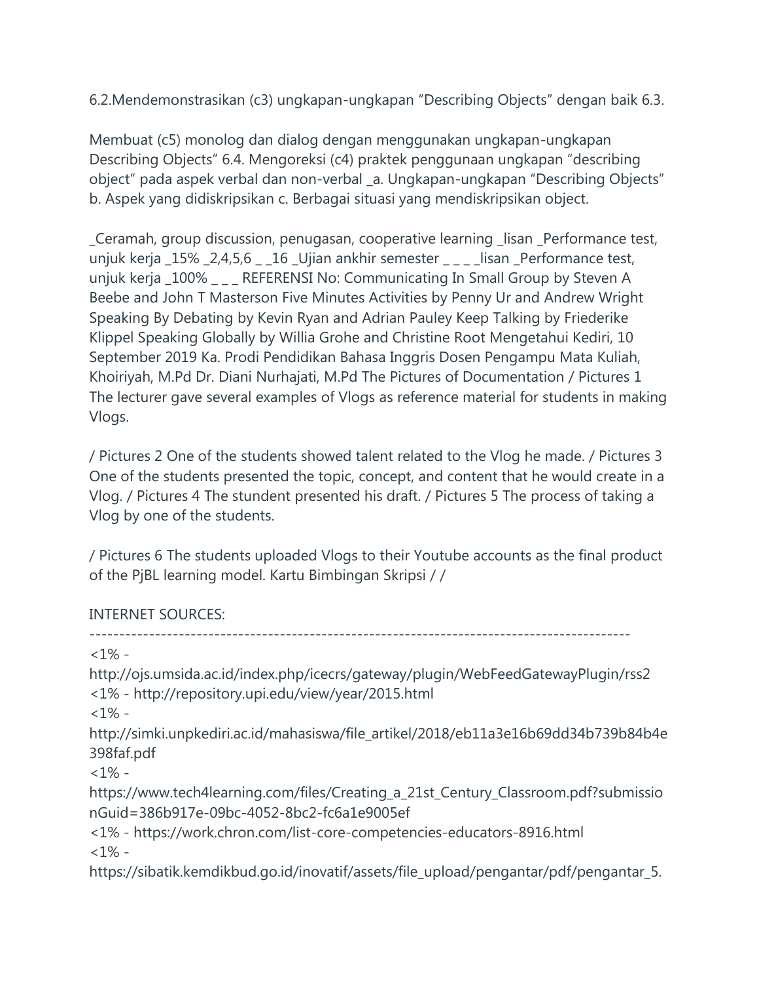6.2.Mendemonstrasikan (c3) ungkapan-ungkapan "Describing Objects" dengan baik 6.3.

Membuat (c5) monolog dan dialog dengan menggunakan ungkapan-ungkapan Describing Objects" 6.4. Mengoreksi (c4) praktek penggunaan ungkapan "describing object" pada aspek verbal dan non-verbal \_a. Ungkapan-ungkapan "Describing Objects" b. Aspek yang didiskripsikan c. Berbagai situasi yang mendiskripsikan object.

\_Ceramah, group discussion, penugasan, cooperative learning \_lisan \_Performance test, unjuk kerja \_15% \_2,4,5,6 \_ \_16 \_Ujian ankhir semester \_ \_ \_ \_ lisan \_Performance test, unjuk kerja \_100% \_ \_ \_ REFERENSI No: Communicating In Small Group by Steven A Beebe and John T Masterson Five Minutes Activities by Penny Ur and Andrew Wright Speaking By Debating by Kevin Ryan and Adrian Pauley Keep Talking by Friederike Klippel Speaking Globally by Willia Grohe and Christine Root Mengetahui Kediri, 10 September 2019 Ka. Prodi Pendidikan Bahasa Inggris Dosen Pengampu Mata Kuliah, Khoiriyah, M.Pd Dr. Diani Nurhajati, M.Pd The Pictures of Documentation / Pictures 1 The lecturer gave several examples of Vlogs as reference material for students in making Vlogs.

/ Pictures 2 One of the students showed talent related to the Vlog he made. / Pictures 3 One of the students presented the topic, concept, and content that he would create in a Vlog. / Pictures 4 The stundent presented his draft. / Pictures 5 The process of taking a Vlog by one of the students.

/ Pictures 6 The students uploaded Vlogs to their Youtube accounts as the final product of the PjBL learning model. Kartu Bimbingan Skripsi / /

INTERNET SOURCES:

-------------------------------------------------------------------------------------------

 $<1\%$  -

http://ojs.umsida.ac.id/index.php/icecrs/gateway/plugin/WebFeedGatewayPlugin/rss2 <1% - http://repository.upi.edu/view/year/2015.html

 $1\%$  -

http://simki.unpkediri.ac.id/mahasiswa/file\_artikel/2018/eb11a3e16b69dd34b739b84b4e 398faf.pdf

 $<1\%$  -

https://www.tech4learning.com/files/Creating\_a\_21st\_Century\_Classroom.pdf?submissio nGuid=386b917e-09bc-4052-8bc2-fc6a1e9005ef

<1% - https://work.chron.com/list-core-competencies-educators-8916.html  $<1\%$  -

https://sibatik.kemdikbud.go.id/inovatif/assets/file\_upload/pengantar/pdf/pengantar\_5.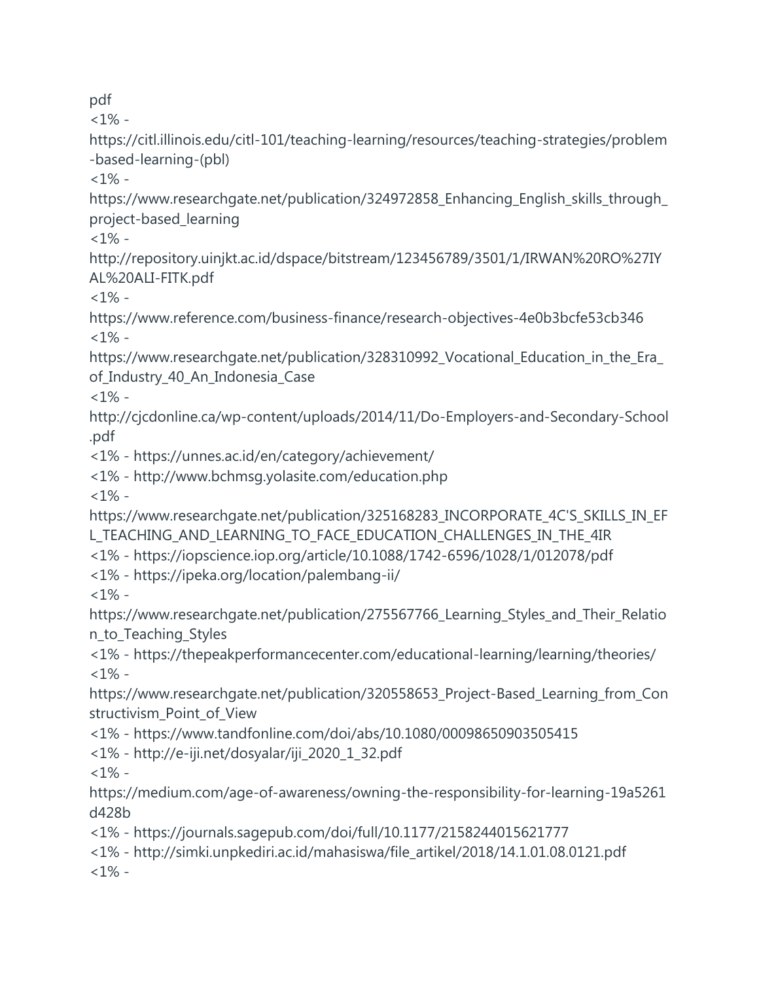pdf

 $<1\%$  -

https://citl.illinois.edu/citl-101/teaching-learning/resources/teaching-strategies/problem -based-learning-(pbl)

 $1\%$  -

https://www.researchgate.net/publication/324972858\_Enhancing\_English\_skills\_through\_ project-based\_learning

 $<1\%$  -

http://repository.uinjkt.ac.id/dspace/bitstream/123456789/3501/1/IRWAN%20RO%27IY AL%20ALI-FITK.pdf

 $<1\%$  -

https://www.reference.com/business-finance/research-objectives-4e0b3bcfe53cb346  $<1\%$  -

https://www.researchgate.net/publication/328310992\_Vocational\_Education\_in\_the\_Era\_ of\_Industry\_40\_An\_Indonesia\_Case

 $<1\%$  -

http://cjcdonline.ca/wp-content/uploads/2014/11/Do-Employers-and-Secondary-School .pdf

<1% - https://unnes.ac.id/en/category/achievement/

<1% - http://www.bchmsg.yolasite.com/education.php

 $<1\%$  -

https://www.researchgate.net/publication/325168283\_INCORPORATE\_4C'S\_SKILLS\_IN\_EF L\_TEACHING\_AND\_LEARNING\_TO\_FACE\_EDUCATION\_CHALLENGES\_IN\_THE\_4IR

<1% - https://iopscience.iop.org/article/10.1088/1742-6596/1028/1/012078/pdf

<1% - https://ipeka.org/location/palembang-ii/

 $<1\%$  -

https://www.researchgate.net/publication/275567766 Learning Styles and Their Relatio n\_to\_Teaching\_Styles

<1% - https://thepeakperformancecenter.com/educational-learning/learning/theories/  $<1\%$  -

https://www.researchgate.net/publication/320558653\_Project-Based\_Learning\_from\_Con structivism\_Point\_of\_View

<1% - https://www.tandfonline.com/doi/abs/10.1080/00098650903505415

<1% - http://e-iji.net/dosyalar/iji\_2020\_1\_32.pdf

 $1\%$  -

https://medium.com/age-of-awareness/owning-the-responsibility-for-learning-19a5261 d428b

<1% - https://journals.sagepub.com/doi/full/10.1177/2158244015621777

<1% - http://simki.unpkediri.ac.id/mahasiswa/file\_artikel/2018/14.1.01.08.0121.pdf  $<1\%$  -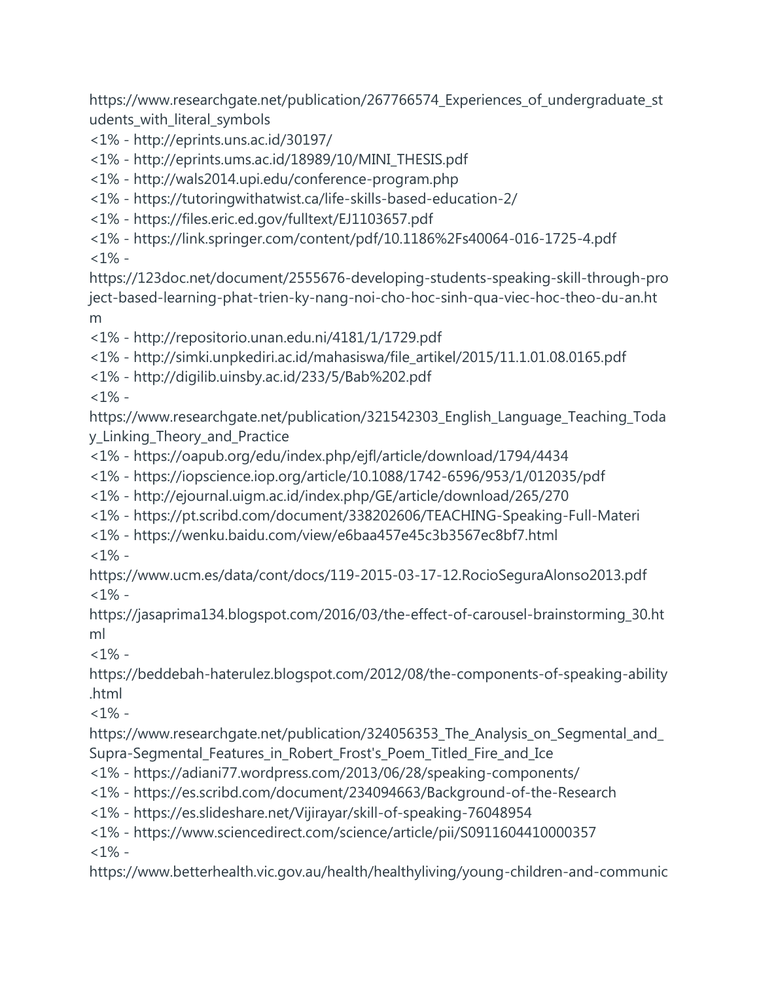https://www.researchgate.net/publication/267766574\_Experiences\_of\_undergraduate\_st udents\_with\_literal\_symbols

<1% - http://eprints.uns.ac.id/30197/

<1% - http://eprints.ums.ac.id/18989/10/MINI\_THESIS.pdf

<1% - http://wals2014.upi.edu/conference-program.php

<1% - https://tutoringwithatwist.ca/life-skills-based-education-2/

<1% - https://files.eric.ed.gov/fulltext/EJ1103657.pdf

<1% - https://link.springer.com/content/pdf/10.1186%2Fs40064-016-1725-4.pdf

 $<1\%$  -

https://123doc.net/document/2555676-developing-students-speaking-skill-through-pro ject-based-learning-phat-trien-ky-nang-noi-cho-hoc-sinh-qua-viec-hoc-theo-du-an.ht m

<1% - http://repositorio.unan.edu.ni/4181/1/1729.pdf

<1% - http://simki.unpkediri.ac.id/mahasiswa/file\_artikel/2015/11.1.01.08.0165.pdf

<1% - http://digilib.uinsby.ac.id/233/5/Bab%202.pdf

 $<1\%$  -

https://www.researchgate.net/publication/321542303\_English\_Language\_Teaching\_Toda y\_Linking\_Theory\_and\_Practice

<1% - https://oapub.org/edu/index.php/ejfl/article/download/1794/4434

<1% - https://iopscience.iop.org/article/10.1088/1742-6596/953/1/012035/pdf

<1% - http://ejournal.uigm.ac.id/index.php/GE/article/download/265/270

<1% - https://pt.scribd.com/document/338202606/TEACHING-Speaking-Full-Materi

<1% - https://wenku.baidu.com/view/e6baa457e45c3b3567ec8bf7.html

 $<1\%$  -

https://www.ucm.es/data/cont/docs/119-2015-03-17-12.RocioSeguraAlonso2013.pdf  $<1\%$  -

https://jasaprima134.blogspot.com/2016/03/the-effect-of-carousel-brainstorming\_30.ht ml

 $<1\%$  -

https://beddebah-haterulez.blogspot.com/2012/08/the-components-of-speaking-ability .html

 $<1\%$  -

https://www.researchgate.net/publication/324056353\_The\_Analysis\_on\_Segmental\_and\_ Supra-Segmental\_Features\_in\_Robert\_Frost's\_Poem\_Titled\_Fire\_and\_Ice

<1% - https://adiani77.wordpress.com/2013/06/28/speaking-components/

<1% - https://es.scribd.com/document/234094663/Background-of-the-Research

<1% - https://es.slideshare.net/Vijirayar/skill-of-speaking-76048954

<1% - https://www.sciencedirect.com/science/article/pii/S0911604410000357

 $<1\%$  -

https://www.betterhealth.vic.gov.au/health/healthyliving/young-children-and-communic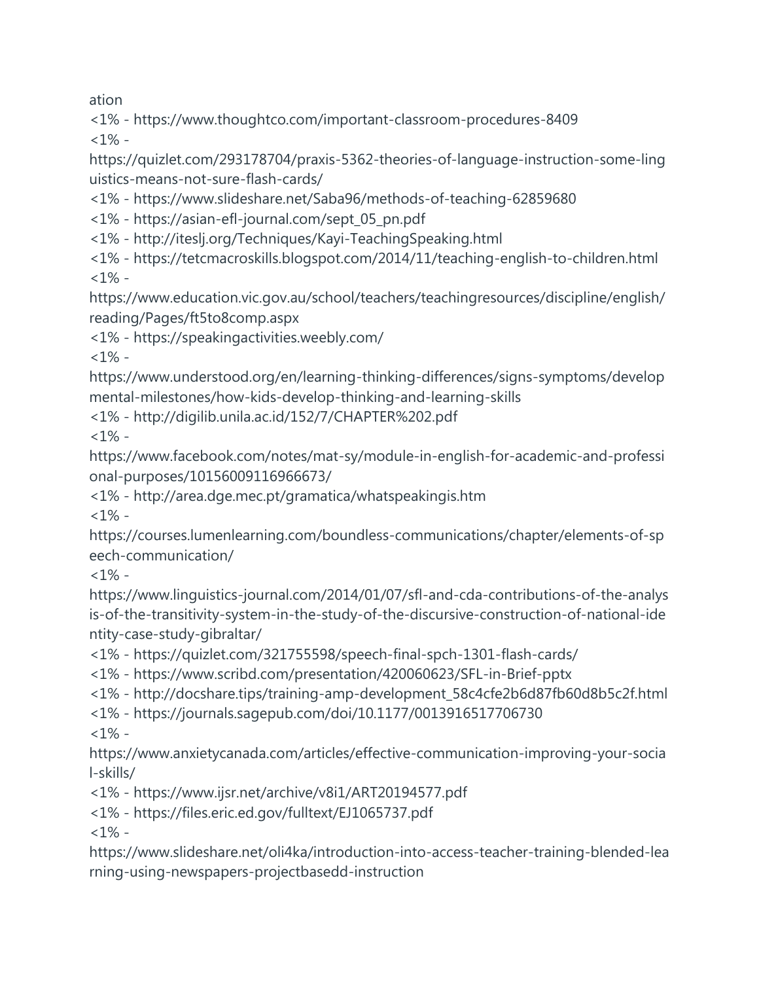ation

<1% - https://www.thoughtco.com/important-classroom-procedures-8409  $<1\%$  -

https://quizlet.com/293178704/praxis-5362-theories-of-language-instruction-some-ling uistics-means-not-sure-flash-cards/

<1% - https://www.slideshare.net/Saba96/methods-of-teaching-62859680

<1% - https://asian-efl-journal.com/sept\_05\_pn.pdf

<1% - http://iteslj.org/Techniques/Kayi-TeachingSpeaking.html

<1% - https://tetcmacroskills.blogspot.com/2014/11/teaching-english-to-children.html  $<1\%$  -

https://www.education.vic.gov.au/school/teachers/teachingresources/discipline/english/ reading/Pages/ft5to8comp.aspx

<1% - https://speakingactivities.weebly.com/

 $<1\%$  -

https://www.understood.org/en/learning-thinking-differences/signs-symptoms/develop mental-milestones/how-kids-develop-thinking-and-learning-skills

<1% - http://digilib.unila.ac.id/152/7/CHAPTER%202.pdf

 $<1\%$  -

https://www.facebook.com/notes/mat-sy/module-in-english-for-academic-and-professi onal-purposes/10156009116966673/

<1% - http://area.dge.mec.pt/gramatica/whatspeakingis.htm

 $<1\%$  -

https://courses.lumenlearning.com/boundless-communications/chapter/elements-of-sp eech-communication/

 $<1\%$  -

https://www.linguistics-journal.com/2014/01/07/sfl-and-cda-contributions-of-the-analys is-of-the-transitivity-system-in-the-study-of-the-discursive-construction-of-national-ide ntity-case-study-gibraltar/

<1% - https://quizlet.com/321755598/speech-final-spch-1301-flash-cards/

<1% - https://www.scribd.com/presentation/420060623/SFL-in-Brief-pptx

<1% - http://docshare.tips/training-amp-development\_58c4cfe2b6d87fb60d8b5c2f.html

<1% - https://journals.sagepub.com/doi/10.1177/0013916517706730

 $<1\%$  -

https://www.anxietycanada.com/articles/effective-communication-improving-your-socia l-skills/

<1% - https://www.ijsr.net/archive/v8i1/ART20194577.pdf

<1% - https://files.eric.ed.gov/fulltext/EJ1065737.pdf

 $<1\%$  -

https://www.slideshare.net/oli4ka/introduction-into-access-teacher-training-blended-lea rning-using-newspapers-projectbasedd-instruction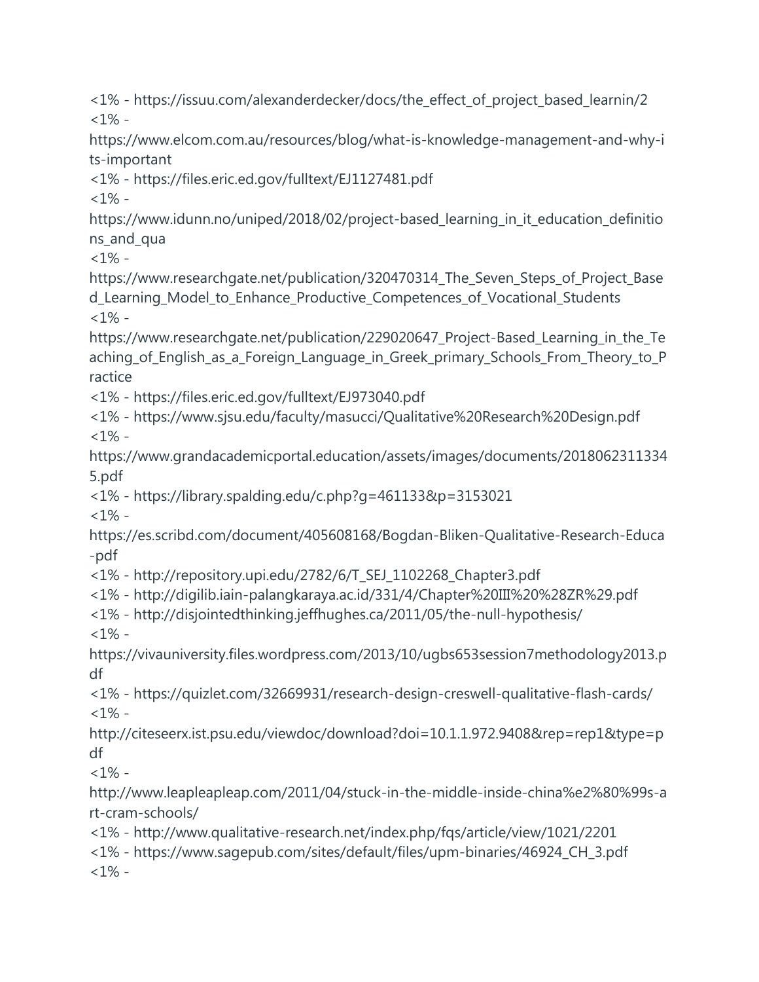<1% - https://issuu.com/alexanderdecker/docs/the\_effect\_of\_project\_based\_learnin/2  $1\%$  -

https://www.elcom.com.au/resources/blog/what-is-knowledge-management-and-why-i ts-important

<1% - https://files.eric.ed.gov/fulltext/EJ1127481.pdf

 $<1\%$  -

https://www.idunn.no/uniped/2018/02/project-based learning in it education definitio ns\_and\_qua

 $<1\%$  -

https://www.researchgate.net/publication/320470314\_The\_Seven\_Steps\_of\_Project\_Base d\_Learning\_Model\_to\_Enhance\_Productive\_Competences\_of\_Vocational\_Students  $<1\%$  -

https://www.researchgate.net/publication/229020647\_Project-Based\_Learning\_in\_the\_Te aching\_of\_English\_as\_a\_Foreign\_Language\_in\_Greek\_primary\_Schools\_From\_Theory\_to\_P ractice

<1% - https://files.eric.ed.gov/fulltext/EJ973040.pdf

<1% - https://www.sjsu.edu/faculty/masucci/Qualitative%20Research%20Design.pdf  $<1\%$  -

https://www.grandacademicportal.education/assets/images/documents/2018062311334 5.pdf

<1% - https://library.spalding.edu/c.php?g=461133&p=3153021

 $<1\%$  -

https://es.scribd.com/document/405608168/Bogdan-Bliken-Qualitative-Research-Educa -pdf

<1% - http://repository.upi.edu/2782/6/T\_SEJ\_1102268\_Chapter3.pdf

<1% - http://digilib.iain-palangkaraya.ac.id/331/4/Chapter%20III%20%28ZR%29.pdf

<1% - http://disjointedthinking.jeffhughes.ca/2011/05/the-null-hypothesis/  $< 1\%$  -

https://vivauniversity.files.wordpress.com/2013/10/ugbs653session7methodology2013.p df

<1% - https://quizlet.com/32669931/research-design-creswell-qualitative-flash-cards/  $1\%$  -

http://citeseerx.ist.psu.edu/viewdoc/download?doi=10.1.1.972.9408&rep=rep1&type=p df

 $<1\%$  -

http://www.leapleapleap.com/2011/04/stuck-in-the-middle-inside-china%e2%80%99s-a rt-cram-schools/

<1% - http://www.qualitative-research.net/index.php/fqs/article/view/1021/2201

<1% - https://www.sagepub.com/sites/default/files/upm-binaries/46924\_CH\_3.pdf  $<1\%$  -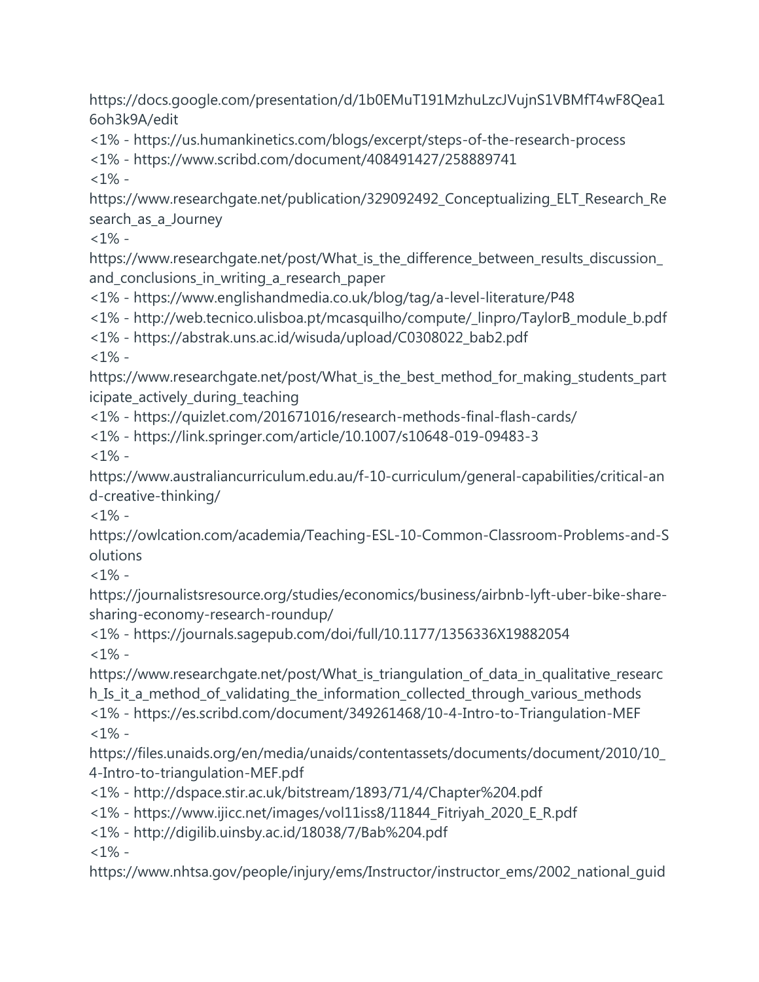https://docs.google.com/presentation/d/1b0EMuT191MzhuLzcJVujnS1VBMfT4wF8Qea1 6oh3k9A/edit

<1% - https://us.humankinetics.com/blogs/excerpt/steps-of-the-research-process

<1% - https://www.scribd.com/document/408491427/258889741

 $<1\%$  -

https://www.researchgate.net/publication/329092492\_Conceptualizing\_ELT\_Research\_Re search as a Journey

 $<1\%$  -

https://www.researchgate.net/post/What\_is\_the\_difference\_between\_results\_discussion\_ and\_conclusions\_in\_writing\_a\_research\_paper

<1% - https://www.englishandmedia.co.uk/blog/tag/a-level-literature/P48

<1% - http://web.tecnico.ulisboa.pt/mcasquilho/compute/\_linpro/TaylorB\_module\_b.pdf

<1% - https://abstrak.uns.ac.id/wisuda/upload/C0308022\_bab2.pdf

 $<1\%$  -

https://www.researchgate.net/post/What\_is\_the\_best\_method\_for\_making\_students\_part icipate\_actively\_during\_teaching

<1% - https://quizlet.com/201671016/research-methods-final-flash-cards/

<1% - https://link.springer.com/article/10.1007/s10648-019-09483-3

 $<1\%$  -

https://www.australiancurriculum.edu.au/f-10-curriculum/general-capabilities/critical-an d-creative-thinking/

 $<1\%$  -

https://owlcation.com/academia/Teaching-ESL-10-Common-Classroom-Problems-and-S olutions

 $<1\%$  -

https://journalistsresource.org/studies/economics/business/airbnb-lyft-uber-bike-sharesharing-economy-research-roundup/

<1% - https://journals.sagepub.com/doi/full/10.1177/1356336X19882054  $<1\%$  -

https://www.researchgate.net/post/What\_is\_triangulation\_of\_data\_in\_qualitative\_researc h\_Is\_it\_a\_method\_of\_validating\_the\_information\_collected\_through\_various\_methods <1% - https://es.scribd.com/document/349261468/10-4-Intro-to-Triangulation-MEF  $1\%$  -

https://files.unaids.org/en/media/unaids/contentassets/documents/document/2010/10\_ 4-Intro-to-triangulation-MEF.pdf

- <1% http://dspace.stir.ac.uk/bitstream/1893/71/4/Chapter%204.pdf
- <1% https://www.ijicc.net/images/vol11iss8/11844\_Fitriyah\_2020\_E\_R.pdf
- <1% http://digilib.uinsby.ac.id/18038/7/Bab%204.pdf

 $<1\%$  -

https://www.nhtsa.gov/people/injury/ems/Instructor/instructor\_ems/2002\_national\_guid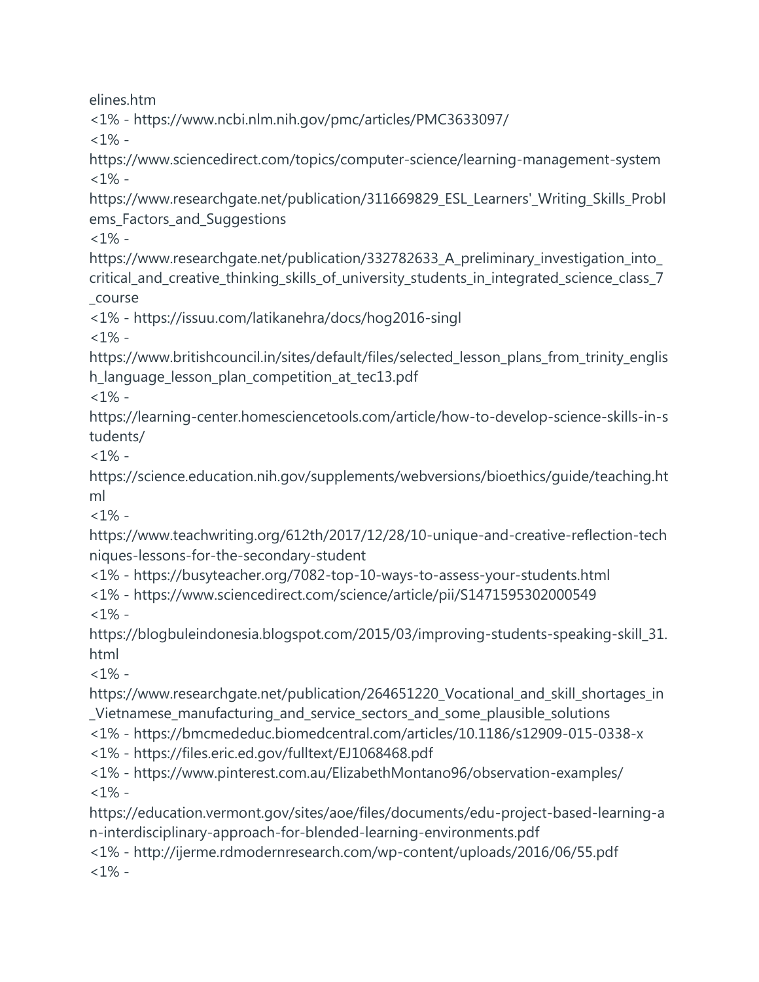elines.htm

<1% - https://www.ncbi.nlm.nih.gov/pmc/articles/PMC3633097/

 $<1\%$  -

https://www.sciencedirect.com/topics/computer-science/learning-management-system  $<1\%$  -

https://www.researchgate.net/publication/311669829\_ESL\_Learners'\_Writing\_Skills\_Probl ems Factors and Suggestions

 $<1\%$  -

https://www.researchgate.net/publication/332782633\_A\_preliminary\_investigation\_into\_ critical\_and\_creative\_thinking\_skills\_of\_university\_students\_in\_integrated\_science\_class\_7 \_course

<1% - https://issuu.com/latikanehra/docs/hog2016-singl

 $<1\%$  -

https://www.britishcouncil.in/sites/default/files/selected\_lesson\_plans\_from\_trinity\_englis h\_language\_lesson\_plan\_competition\_at\_tec13.pdf

 $<1\%$  -

https://learning-center.homesciencetools.com/article/how-to-develop-science-skills-in-s tudents/

 $<1\%$  -

https://science.education.nih.gov/supplements/webversions/bioethics/guide/teaching.ht ml

 $<1\%$  -

https://www.teachwriting.org/612th/2017/12/28/10-unique-and-creative-reflection-tech niques-lessons-for-the-secondary-student

<1% - https://busyteacher.org/7082-top-10-ways-to-assess-your-students.html

<1% - https://www.sciencedirect.com/science/article/pii/S1471595302000549  $1\%$  -

https://blogbuleindonesia.blogspot.com/2015/03/improving-students-speaking-skill 31. html

 $<1\%$  -

https://www.researchgate.net/publication/264651220\_Vocational\_and\_skill\_shortages\_in \_Vietnamese\_manufacturing\_and\_service\_sectors\_and\_some\_plausible\_solutions

<1% - https://bmcmededuc.biomedcentral.com/articles/10.1186/s12909-015-0338-x

<1% - https://files.eric.ed.gov/fulltext/EJ1068468.pdf

<1% - https://www.pinterest.com.au/ElizabethMontano96/observation-examples/  $1% -$ 

https://education.vermont.gov/sites/aoe/files/documents/edu-project-based-learning-a n-interdisciplinary-approach-for-blended-learning-environments.pdf

<1% - http://ijerme.rdmodernresearch.com/wp-content/uploads/2016/06/55.pdf  $<1\%$  -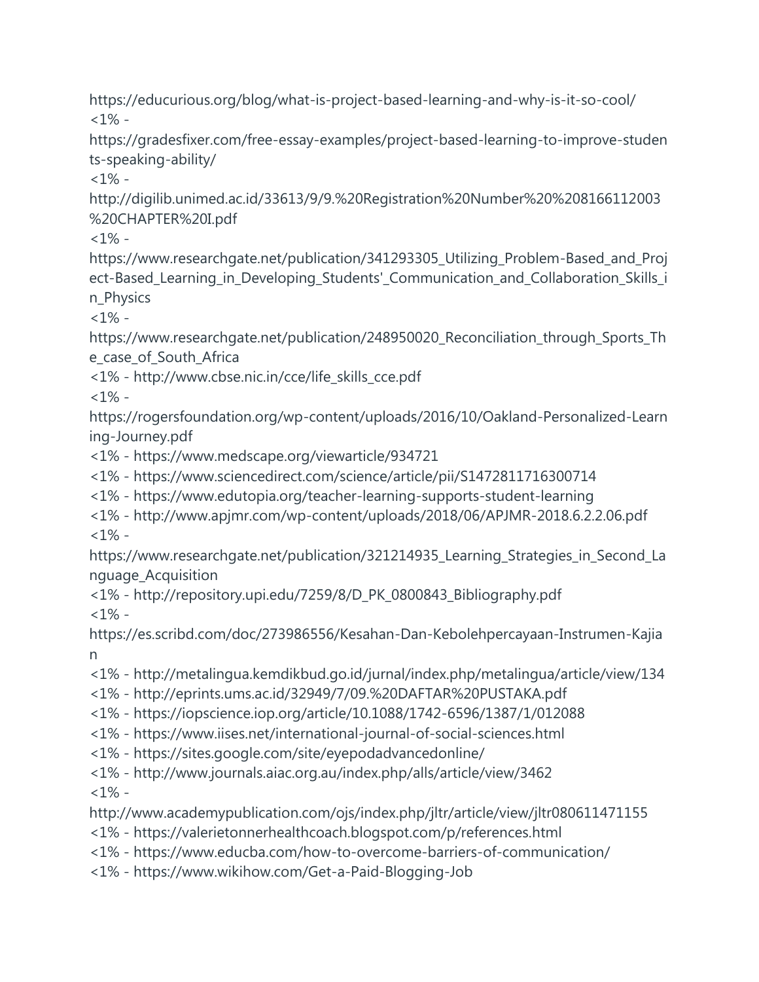https://educurious.org/blog/what-is-project-based-learning-and-why-is-it-so-cool/  $<1\%$  -

https://gradesfixer.com/free-essay-examples/project-based-learning-to-improve-studen ts-speaking-ability/

 $1\%$  -

http://digilib.unimed.ac.id/33613/9/9.%20Registration%20Number%20%208166112003 %20CHAPTER%20I.pdf

 $<1\%$  -

https://www.researchgate.net/publication/341293305\_Utilizing\_Problem-Based\_and\_Proj ect-Based\_Learning\_in\_Developing\_Students'\_Communication\_and\_Collaboration\_Skills\_i n\_Physics

 $<1\%$  -

https://www.researchgate.net/publication/248950020\_Reconciliation\_through\_Sports\_Th e\_case\_of\_South\_Africa

<1% - http://www.cbse.nic.in/cce/life\_skills\_cce.pdf

 $<1\%$  -

https://rogersfoundation.org/wp-content/uploads/2016/10/Oakland-Personalized-Learn ing-Journey.pdf

<1% - https://www.medscape.org/viewarticle/934721

<1% - https://www.sciencedirect.com/science/article/pii/S1472811716300714

<1% - https://www.edutopia.org/teacher-learning-supports-student-learning

<1% - http://www.apjmr.com/wp-content/uploads/2018/06/APJMR-2018.6.2.2.06.pdf  $1\%$  -

https://www.researchgate.net/publication/321214935\_Learning\_Strategies\_in\_Second\_La nguage\_Acquisition

<1% - http://repository.upi.edu/7259/8/D\_PK\_0800843\_Bibliography.pdf  $<1\%$  -

https://es.scribd.com/doc/273986556/Kesahan-Dan-Kebolehpercayaan-Instrumen-Kajia n

<1% - http://metalingua.kemdikbud.go.id/jurnal/index.php/metalingua/article/view/134

<1% - http://eprints.ums.ac.id/32949/7/09.%20DAFTAR%20PUSTAKA.pdf

<1% - https://iopscience.iop.org/article/10.1088/1742-6596/1387/1/012088

<1% - https://www.iises.net/international-journal-of-social-sciences.html

<1% - https://sites.google.com/site/eyepodadvancedonline/

<1% - http://www.journals.aiac.org.au/index.php/alls/article/view/3462

 $< 1\%$  -

http://www.academypublication.com/ojs/index.php/jltr/article/view/jltr080611471155

<1% - https://valerietonnerhealthcoach.blogspot.com/p/references.html

<1% - https://www.educba.com/how-to-overcome-barriers-of-communication/

<1% - https://www.wikihow.com/Get-a-Paid-Blogging-Job